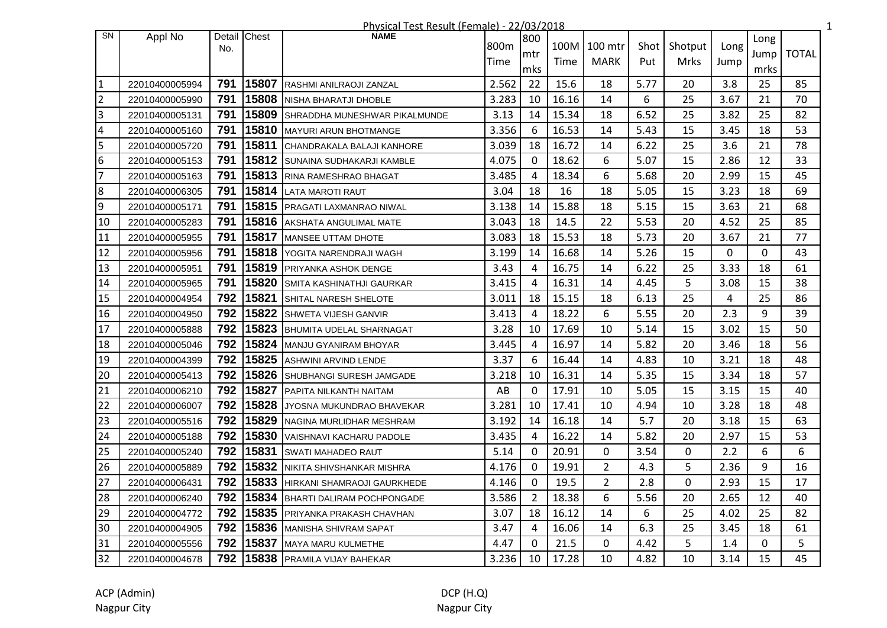|                |                |     |              | Physical Test Result (Female) - 22/03/2018 |       |                |       |                |      |         |      |      |              | $\mathbf{1}$ |
|----------------|----------------|-----|--------------|--------------------------------------------|-------|----------------|-------|----------------|------|---------|------|------|--------------|--------------|
| <b>SN</b>      | Appl No        |     | Detail Chest | <b>NAME</b>                                | 800m  | 800            |       | 100M 100 mtr   | Shot | Shotput | Long | Long |              |              |
|                |                | No. |              |                                            |       | mtr            |       | <b>MARK</b>    |      |         |      | Jump | <b>TOTAL</b> |              |
|                |                |     |              |                                            | Time  | mks            | Time  |                | Put  | Mrks    | Jump | mrks |              |              |
| $\vert$ 1      | 22010400005994 | 791 | 15807        | RASHMI ANILRAOJI ZANZAL                    | 2.562 | 22             | 15.6  | 18             | 5.77 | 20      | 3.8  | 25   | 85           |              |
| $\overline{2}$ | 22010400005990 | 791 | 15808        | NISHA BHARATJI DHOBLE                      | 3.283 | 10             | 16.16 | 14             | 6    | 25      | 3.67 | 21   | 70           |              |
| $\overline{3}$ | 22010400005131 | 791 | 15809        | SHRADDHA MUNESHWAR PIKALMUNDE              | 3.13  | 14             | 15.34 | 18             | 6.52 | 25      | 3.82 | 25   | 82           |              |
| $\overline{4}$ | 22010400005160 | 791 | 15810        | <b>MAYURI ARUN BHOTMANGE</b>               | 3.356 | 6              | 16.53 | 14             | 5.43 | 15      | 3.45 | 18   | 53           |              |
| 5              | 22010400005720 | 791 | 15811        | CHANDRAKALA BALAJI KANHORE                 | 3.039 | 18             | 16.72 | 14             | 6.22 | 25      | 3.6  | 21   | 78           |              |
| 6              | 22010400005153 | 791 | 15812        | SUNAINA SUDHAKARJI KAMBLE                  | 4.075 | $\Omega$       | 18.62 | 6              | 5.07 | 15      | 2.86 | 12   | 33           |              |
| $\overline{7}$ | 22010400005163 | 791 | 15813        | RINA RAMESHRAO BHAGAT                      | 3.485 | 4              | 18.34 | 6              | 5.68 | 20      | 2.99 | 15   | 45           |              |
| $\overline{8}$ | 22010400006305 | 791 | 15814        | <b>LATA MAROTI RAUT</b>                    | 3.04  | 18             | 16    | 18             | 5.05 | 15      | 3.23 | 18   | 69           |              |
| 9              | 22010400005171 | 791 | 15815        | PRAGATI LAXMANRAO NIWAL                    | 3.138 | 14             | 15.88 | 18             | 5.15 | 15      | 3.63 | 21   | 68           |              |
| 10             | 22010400005283 | 791 | 15816        | <b>AKSHATA ANGULIMAL MATE</b>              | 3.043 | 18             | 14.5  | 22             | 5.53 | 20      | 4.52 | 25   | 85           |              |
| 11             | 22010400005955 | 791 | 15817        | <b>MANSEE UTTAM DHOTE</b>                  | 3.083 | 18             | 15.53 | 18             | 5.73 | 20      | 3.67 | 21   | 77           |              |
| 12             | 22010400005956 | 791 | 15818        | YOGITA NARENDRAJI WAGH                     | 3.199 | 14             | 16.68 | 14             | 5.26 | 15      | 0    | 0    | 43           |              |
| 13             | 22010400005951 | 791 | 15819        | <b>PRIYANKA ASHOK DENGE</b>                | 3.43  | $\overline{4}$ | 16.75 | 14             | 6.22 | 25      | 3.33 | 18   | 61           |              |
| 14             | 22010400005965 | 791 | 15820        | SMITA KASHINATHJI GAURKAR                  | 3.415 | 4              | 16.31 | 14             | 4.45 | 5       | 3.08 | 15   | 38           |              |
| 15             | 22010400004954 | 792 | 15821        | SHITAL NARESH SHELOTE                      | 3.011 | 18             | 15.15 | 18             | 6.13 | 25      | 4    | 25   | 86           |              |
| 16             | 22010400004950 | 792 | 15822        | SHWETA VIJESH GANVIR                       | 3.413 | 4              | 18.22 | 6              | 5.55 | 20      | 2.3  | 9    | 39           |              |
| 17             | 22010400005888 | 792 | 15823        | <b>BHUMITA UDELAL SHARNAGAT</b>            | 3.28  | 10             | 17.69 | 10             | 5.14 | 15      | 3.02 | 15   | 50           |              |
| 18             | 22010400005046 | 792 | 15824        | MANJU GYANIRAM BHOYAR                      | 3.445 | $\overline{4}$ | 16.97 | 14             | 5.82 | 20      | 3.46 | 18   | 56           |              |
| 19             | 22010400004399 | 792 | 15825        | <b>ASHWINI ARVIND LENDE</b>                | 3.37  | 6              | 16.44 | 14             | 4.83 | 10      | 3.21 | 18   | 48           |              |
| 20             | 22010400005413 | 792 | 15826        | SHUBHANGI SURESH JAMGADE                   | 3.218 | 10             | 16.31 | 14             | 5.35 | 15      | 3.34 | 18   | 57           |              |
| 21             | 22010400006210 | 792 | 15827        | <b>PAPITA NILKANTH NAITAM</b>              | AB    | $\mathbf 0$    | 17.91 | 10             | 5.05 | 15      | 3.15 | 15   | 40           |              |
| 22             | 22010400006007 | 792 | 15828        | JYOSNA MUKUNDRAO BHAVEKAR                  | 3.281 | 10             | 17.41 | 10             | 4.94 | 10      | 3.28 | 18   | 48           |              |
| 23             | 22010400005516 | 792 | 15829        | NAGINA MURLIDHAR MESHRAM                   | 3.192 | 14             | 16.18 | 14             | 5.7  | 20      | 3.18 | 15   | 63           |              |
| 24             | 22010400005188 | 792 | 15830        | VAISHNAVI KACHARU PADOLE                   | 3.435 | 4              | 16.22 | 14             | 5.82 | 20      | 2.97 | 15   | 53           |              |
| 25             | 22010400005240 | 792 | 15831        | <b>SWATI MAHADEO RAUT</b>                  | 5.14  | $\Omega$       | 20.91 | $\Omega$       | 3.54 | 0       | 2.2  | 6    | 6            |              |
| 26             | 22010400005889 | 792 | 15832        | NIKITA SHIVSHANKAR MISHRA                  | 4.176 | $\Omega$       | 19.91 | $\overline{2}$ | 4.3  | 5       | 2.36 | 9    | 16           |              |
| 27             | 22010400006431 | 792 | 15833        | HIRKANI SHAMRAOJI GAURKHEDE                | 4.146 | $\mathbf{0}$   | 19.5  | $\overline{2}$ | 2.8  | 0       | 2.93 | 15   | 17           |              |
| 28             | 22010400006240 | 792 | 15834        | <b>BHARTI DALIRAM POCHPONGADE</b>          | 3.586 | $\overline{2}$ | 18.38 | 6              | 5.56 | 20      | 2.65 | 12   | 40           |              |
| 29             | 22010400004772 | 792 | 15835        | PRIYANKA PRAKASH CHAVHAN                   | 3.07  | 18             | 16.12 | 14             | 6    | 25      | 4.02 | 25   | 82           |              |
| 30             | 22010400004905 | 792 | 15836        | <b>MANISHA SHIVRAM SAPAT</b>               | 3.47  | 4              | 16.06 | 14             | 6.3  | 25      | 3.45 | 18   | 61           |              |
| 31             | 22010400005556 | 792 | 15837        | MAYA MARU KULMETHE                         | 4.47  | $\Omega$       | 21.5  | $\mathbf{0}$   | 4.42 | 5       | 1.4  | 0    | 5            |              |
| 32             | 22010400004678 |     |              | 792 15838 PRAMILA VIJAY BAHEKAR            | 3.236 | 10             | 17.28 | 10             | 4.82 | 10      | 3.14 | 15   | 45           |              |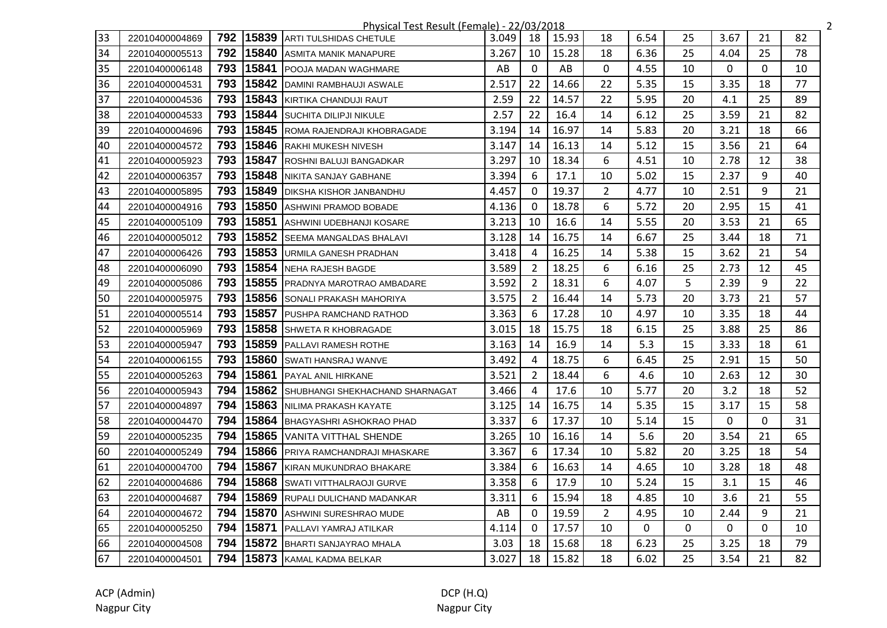|    |                |     |       | Physical Test Result (Female) - 22/03/2018 |       |                |       |                |      |    |              |              |    | $\overline{2}$ |
|----|----------------|-----|-------|--------------------------------------------|-------|----------------|-------|----------------|------|----|--------------|--------------|----|----------------|
| 33 | 22010400004869 | 792 | 15839 | ARTI TULSHIDAS CHETULE                     | 3.049 | 18             | 15.93 | 18             | 6.54 | 25 | 3.67         | 21           | 82 |                |
| 34 | 22010400005513 | 792 | 15840 | <b>ASMITA MANIK MANAPURE</b>               | 3.267 | 10             | 15.28 | 18             | 6.36 | 25 | 4.04         | 25           | 78 |                |
| 35 | 22010400006148 | 793 | 15841 | <b>POOJA MADAN WAGHMARE</b>                | AB    | $\mathbf{0}$   | AB    | $\mathbf{0}$   | 4.55 | 10 | $\mathbf{0}$ | $\mathbf{0}$ | 10 |                |
| 36 | 22010400004531 | 793 |       | 15842 DAMINI RAMBHAUJI ASWALE              | 2.517 | 22             | 14.66 | 22             | 5.35 | 15 | 3.35         | 18           | 77 |                |
| 37 | 22010400004536 | 793 |       | 15843 KIRTIKA CHANDUJI RAUT                | 2.59  | 22             | 14.57 | 22             | 5.95 | 20 | 4.1          | 25           | 89 |                |
| 38 | 22010400004533 | 793 | 15844 | <b>SUCHITA DILIPJI NIKULE</b>              | 2.57  | 22             | 16.4  | 14             | 6.12 | 25 | 3.59         | 21           | 82 |                |
| 39 | 22010400004696 | 793 | 15845 | ROMA RAJENDRAJI KHOBRAGADE                 | 3.194 | 14             | 16.97 | 14             | 5.83 | 20 | 3.21         | 18           | 66 |                |
| 40 | 22010400004572 | 793 | 15846 | <b>RAKHI MUKESH NIVESH</b>                 | 3.147 | 14             | 16.13 | 14             | 5.12 | 15 | 3.56         | 21           | 64 |                |
| 41 | 22010400005923 | 793 | 15847 | ROSHNI BALUJI BANGADKAR                    | 3.297 | 10             | 18.34 | 6              | 4.51 | 10 | 2.78         | 12           | 38 |                |
| 42 | 22010400006357 | 793 | 15848 | INIKITA SANJAY GABHANE                     | 3.394 | 6              | 17.1  | 10             | 5.02 | 15 | 2.37         | 9            | 40 |                |
| 43 | 22010400005895 | 793 | 15849 | <b>DIKSHA KISHOR JANBANDHU</b>             | 4.457 | 0              | 19.37 | $\overline{2}$ | 4.77 | 10 | 2.51         | 9            | 21 |                |
| 44 | 22010400004916 | 793 | 15850 | <b>ASHWINI PRAMOD BOBADE</b>               | 4.136 | 0              | 18.78 | 6              | 5.72 | 20 | 2.95         | 15           | 41 |                |
| 45 | 22010400005109 | 793 | 15851 | <b>JASHWINI UDEBHANJI KOSARE</b>           | 3.213 | 10             | 16.6  | 14             | 5.55 | 20 | 3.53         | 21           | 65 |                |
| 46 | 22010400005012 | 793 |       | 15852 SEEMA MANGALDAS BHALAVI              | 3.128 | 14             | 16.75 | 14             | 6.67 | 25 | 3.44         | 18           | 71 |                |
| 47 | 22010400006426 | 793 |       | 15853 URMILA GANESH PRADHAN                | 3.418 | 4              | 16.25 | 14             | 5.38 | 15 | 3.62         | 21           | 54 |                |
| 48 | 22010400006090 | 793 |       | 15854 NEHA RAJESH BAGDE                    | 3.589 | 2              | 18.25 | 6              | 6.16 | 25 | 2.73         | 12           | 45 |                |
| 49 | 22010400005086 | 793 |       | 15855 PRADNYA MAROTRAO AMBADARE            | 3.592 | 2              | 18.31 | 6              | 4.07 | 5  | 2.39         | 9            | 22 |                |
| 50 | 22010400005975 | 793 | 15856 | SONALI PRAKASH MAHORIYA                    | 3.575 | $\overline{2}$ | 16.44 | 14             | 5.73 | 20 | 3.73         | 21           | 57 |                |
| 51 | 22010400005514 | 793 | 15857 | PUSHPA RAMCHAND RATHOD                     | 3.363 | 6              | 17.28 | 10             | 4.97 | 10 | 3.35         | 18           | 44 |                |
| 52 | 22010400005969 | 793 |       | 15858 SHWETA R KHOBRAGADE                  | 3.015 | 18             | 15.75 | 18             | 6.15 | 25 | 3.88         | 25           | 86 |                |
| 53 | 22010400005947 | 793 | 15859 | <b>PALLAVI RAMESH ROTHE</b>                | 3.163 | 14             | 16.9  | 14             | 5.3  | 15 | 3.33         | 18           | 61 |                |
| 54 | 22010400006155 | 793 |       | 15860 SWATI HANSRAJ WANVE                  | 3.492 | 4              | 18.75 | 6              | 6.45 | 25 | 2.91         | 15           | 50 |                |
| 55 | 22010400005263 | 794 | 15861 | <b>IPAYAL ANIL HIRKANE</b>                 | 3.521 | $\overline{2}$ | 18.44 | 6              | 4.6  | 10 | 2.63         | 12           | 30 |                |
| 56 | 22010400005943 | 794 |       | 15862 SHUBHANGI SHEKHACHAND SHARNAGAT      | 3.466 | $\overline{4}$ | 17.6  | 10             | 5.77 | 20 | 3.2          | 18           | 52 |                |
| 57 | 22010400004897 | 794 |       | 15863 NILIMA PRAKASH KAYATE                | 3.125 | 14             | 16.75 | 14             | 5.35 | 15 | 3.17         | 15           | 58 |                |
| 58 | 22010400004470 | 794 |       | 15864 BHAGYASHRI ASHOKRAO PHAD             | 3.337 | 6              | 17.37 | 10             | 5.14 | 15 | $\mathbf{0}$ | 0            | 31 |                |
| 59 | 22010400005235 | 794 |       | 15865   VANITA VITTHAL SHENDE              | 3.265 | 10             | 16.16 | 14             | 5.6  | 20 | 3.54         | 21           | 65 |                |
| 60 | 22010400005249 | 794 | 15866 | PRIYA RAMCHANDRAJI MHASKARE                | 3.367 | 6              | 17.34 | 10             | 5.82 | 20 | 3.25         | 18           | 54 |                |
| 61 | 22010400004700 | 794 | 15867 | KIRAN MUKUNDRAO BHAKARE                    | 3.384 | 6              | 16.63 | 14             | 4.65 | 10 | 3.28         | 18           | 48 |                |
| 62 | 22010400004686 | 794 |       | 15868 SWATI VITTHALRAOJI GURVE             | 3.358 | 6              | 17.9  | 10             | 5.24 | 15 | 3.1          | 15           | 46 |                |
| 63 | 22010400004687 | 794 | 15869 | <b>RUPALI DULICHAND MADANKAR</b>           | 3.311 | 6              | 15.94 | 18             | 4.85 | 10 | 3.6          | 21           | 55 |                |
| 64 | 22010400004672 | 794 | 15870 | <b>ASHWINI SURESHRAO MUDE</b>              | AB    | $\Omega$       | 19.59 | $\mathbf{2}$   | 4.95 | 10 | 2.44         | 9            | 21 |                |
| 65 | 22010400005250 | 794 | 15871 | <b>IPALLAVI YAMRAJ ATILKAR</b>             | 4.114 | $\mathbf{0}$   | 17.57 | 10             | 0    | 0  | 0            | $\mathbf{0}$ | 10 |                |
| 66 | 22010400004508 | 794 |       | 15872 BHARTI SANJAYRAO MHALA               | 3.03  | 18             | 15.68 | 18             | 6.23 | 25 | 3.25         | 18           | 79 |                |
| 67 | 22010400004501 | 794 |       | 15873 KAMAL KADMA BELKAR                   | 3.027 | 18             | 15.82 | 18             | 6.02 | 25 | 3.54         | 21           | 82 |                |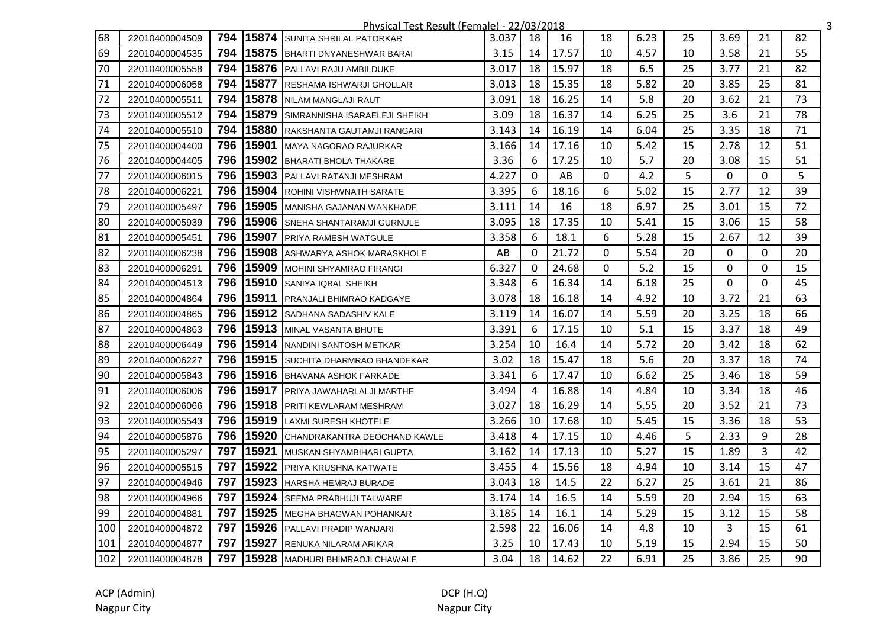|     |                |     |       | Physical Test Result (Female) - 22/03/2018 |       |                |       |    |      |    |      |    |    | 3 |
|-----|----------------|-----|-------|--------------------------------------------|-------|----------------|-------|----|------|----|------|----|----|---|
| 68  | 22010400004509 | 794 | 15874 | <b>ISUNITA SHRILAL PATORKAR</b>            | 3.037 | 18             | 16    | 18 | 6.23 | 25 | 3.69 | 21 | 82 |   |
| 69  | 22010400004535 | 794 | 15875 | <b>IBHARTI DNYANESHWAR BARAI</b>           | 3.15  | 14             | 17.57 | 10 | 4.57 | 10 | 3.58 | 21 | 55 |   |
| 70  | 22010400005558 | 794 |       | 15876 PALLAVI RAJU AMBILDUKE               | 3.017 | 18             | 15.97 | 18 | 6.5  | 25 | 3.77 | 21 | 82 |   |
| 71  | 22010400006058 | 794 | 15877 | <b>RESHAMA ISHWARJI GHOLLAR</b>            | 3.013 | 18             | 15.35 | 18 | 5.82 | 20 | 3.85 | 25 | 81 |   |
| 72  | 22010400005511 | 794 |       | 15878 NILAM MANGLAJI RAUT                  | 3.091 | 18             | 16.25 | 14 | 5.8  | 20 | 3.62 | 21 | 73 |   |
| 73  | 22010400005512 | 794 |       | 15879 SIMRANNISHA ISARAELEJI SHEIKH        | 3.09  | 18             | 16.37 | 14 | 6.25 | 25 | 3.6  | 21 | 78 |   |
| 74  | 22010400005510 | 794 | 15880 | RAKSHANTA GAUTAMJI RANGARI                 | 3.143 | 14             | 16.19 | 14 | 6.04 | 25 | 3.35 | 18 | 71 |   |
| 75  | 22010400004400 | 796 | 15901 | MAYA NAGORAO RAJURKAR                      | 3.166 | 14             | 17.16 | 10 | 5.42 | 15 | 2.78 | 12 | 51 |   |
| 76  | 22010400004405 | 796 | 15902 | <b>BHARATI BHOLA THAKARE</b>               | 3.36  | 6              | 17.25 | 10 | 5.7  | 20 | 3.08 | 15 | 51 |   |
| 77  | 22010400006015 | 796 | 15903 | <b>PALLAVI RATANJI MESHRAM</b>             | 4.227 | $\mathbf{0}$   | AB    | 0  | 4.2  | 5  | 0    | 0  | 5  |   |
| 78  | 22010400006221 | 796 |       | 15904 ROHINI VISHWNATH SARATE              | 3.395 | 6              | 18.16 | 6  | 5.02 | 15 | 2.77 | 12 | 39 |   |
| 79  | 22010400005497 | 796 |       | 15905 MANISHA GAJANAN WANKHADE             | 3.111 | 14             | 16    | 18 | 6.97 | 25 | 3.01 | 15 | 72 |   |
| 80  | 22010400005939 | 796 |       | 15906 SNEHA SHANTARAMJI GURNULE            | 3.095 | 18             | 17.35 | 10 | 5.41 | 15 | 3.06 | 15 | 58 |   |
| 81  | 22010400005451 | 796 | 15907 | <b>PRIYA RAMESH WATGULE</b>                | 3.358 | 6              | 18.1  | 6  | 5.28 | 15 | 2.67 | 12 | 39 |   |
| 82  | 22010400006238 | 796 |       | 15908 ASHWARYA ASHOK MARASKHOLE            | AB    | 0              | 21.72 | 0  | 5.54 | 20 | 0    | 0  | 20 |   |
| 83  | 22010400006291 | 796 | 15909 | <b>IMOHINI SHYAMRAO FIRANGI</b>            | 6.327 | $\mathbf 0$    | 24.68 | 0  | 5.2  | 15 | 0    | 0  | 15 |   |
| 84  | 22010400004513 | 796 | 15910 | <b>SANIYA IQBAL SHEIKH</b>                 | 3.348 | 6              | 16.34 | 14 | 6.18 | 25 | 0    | 0  | 45 |   |
| 85  | 22010400004864 | 796 | 15911 | PRANJALI BHIMRAO KADGAYE                   | 3.078 | 18             | 16.18 | 14 | 4.92 | 10 | 3.72 | 21 | 63 |   |
| 86  | 22010400004865 | 796 |       | 15912 SADHANA SADASHIV KALE                | 3.119 | 14             | 16.07 | 14 | 5.59 | 20 | 3.25 | 18 | 66 |   |
| 87  | 22010400004863 | 796 |       | 15913 MINAL VASANTA BHUTE                  | 3.391 | 6              | 17.15 | 10 | 5.1  | 15 | 3.37 | 18 | 49 |   |
| 88  | 22010400006449 | 796 |       | 15914 NANDINI SANTOSH METKAR               | 3.254 | 10             | 16.4  | 14 | 5.72 | 20 | 3.42 | 18 | 62 |   |
| 89  | 22010400006227 | 796 |       | 15915 SUCHITA DHARMRAO BHANDEKAR           | 3.02  | 18             | 15.47 | 18 | 5.6  | 20 | 3.37 | 18 | 74 |   |
| 90  | 22010400005843 | 796 |       | 15916 BHAVANA ASHOK FARKADE                | 3.341 | 6              | 17.47 | 10 | 6.62 | 25 | 3.46 | 18 | 59 |   |
| 91  | 22010400006006 | 796 |       | 15917 PRIYA JAWAHARLALJI MARTHE            | 3.494 | $\overline{4}$ | 16.88 | 14 | 4.84 | 10 | 3.34 | 18 | 46 |   |
| 92  | 22010400006066 | 796 |       | 15918 PRITI KEWLARAM MESHRAM               | 3.027 | 18             | 16.29 | 14 | 5.55 | 20 | 3.52 | 21 | 73 |   |
| 93  | 22010400005543 | 796 |       | 15919 LAXMI SURESH KHOTELE                 | 3.266 | 10             | 17.68 | 10 | 5.45 | 15 | 3.36 | 18 | 53 |   |
| 94  | 22010400005876 | 796 | 15920 | CHANDRAKANTRA DEOCHAND KAWLE               | 3.418 | 4              | 17.15 | 10 | 4.46 | 5  | 2.33 | 9  | 28 |   |
| 95  | 22010400005297 | 797 | 15921 | MUSKAN SHYAMBIHARI GUPTA                   | 3.162 | 14             | 17.13 | 10 | 5.27 | 15 | 1.89 | 3  | 42 |   |
| 96  | 22010400005515 | 797 | 15922 | <b>PRIYA KRUSHNA KATWATE</b>               | 3.455 | 4              | 15.56 | 18 | 4.94 | 10 | 3.14 | 15 | 47 |   |
| 97  | 22010400004946 | 797 | 15923 | <b>HARSHA HEMRAJ BURADE</b>                | 3.043 | 18             | 14.5  | 22 | 6.27 | 25 | 3.61 | 21 | 86 |   |
| 98  | 22010400004966 | 797 |       | 15924 SEEMA PRABHUJI TALWARE               | 3.174 | 14             | 16.5  | 14 | 5.59 | 20 | 2.94 | 15 | 63 |   |
| 99  | 22010400004881 | 797 |       | 15925 MEGHA BHAGWAN POHANKAR               | 3.185 | 14             | 16.1  | 14 | 5.29 | 15 | 3.12 | 15 | 58 |   |
| 100 | 22010400004872 | 797 |       | 15926 PALLAVI PRADIP WANJARI               | 2.598 | 22             | 16.06 | 14 | 4.8  | 10 | 3    | 15 | 61 |   |
| 101 | 22010400004877 | 797 | 15927 | <b>RENUKA NILARAM ARIKAR</b>               | 3.25  | 10             | 17.43 | 10 | 5.19 | 15 | 2.94 | 15 | 50 |   |
| 102 | 22010400004878 | 797 |       | 15928   MADHURI BHIMRAOJI CHAWALE          | 3.04  | 18             | 14.62 | 22 | 6.91 | 25 | 3.86 | 25 | 90 |   |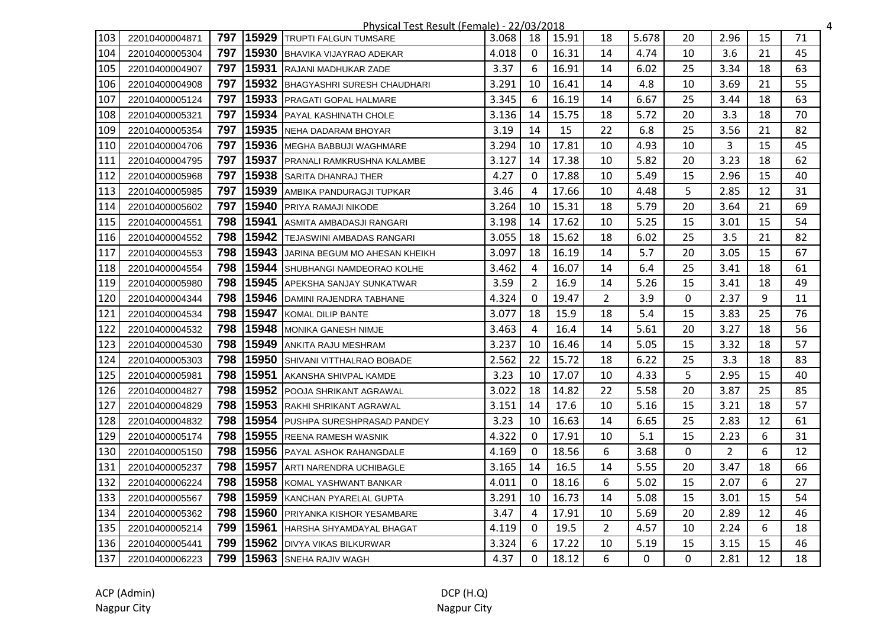|     |                |     |       | Physical Test Result (Female) - 22/03/2018 |       |                |       |                |          |    |                |    | 4  |
|-----|----------------|-----|-------|--------------------------------------------|-------|----------------|-------|----------------|----------|----|----------------|----|----|
| 103 | 22010400004871 | 797 | 15929 | <b>ITRUPTI FALGUN TUMSARE</b>              | 3.068 | 18             | 15.91 | 18             | 5.678    | 20 | 2.96           | 15 | 71 |
| 104 | 22010400005304 | 797 | 15930 | <b>IBHAVIKA VIJAYRAO ADEKAR</b>            | 4.018 | $\Omega$       | 16.31 | 14             | 4.74     | 10 | 3.6            | 21 | 45 |
| 105 | 22010400004907 | 797 |       | 15931 RAJANI MADHUKAR ZADE                 | 3.37  | 6              | 16.91 | 14             | 6.02     | 25 | 3.34           | 18 | 63 |
| 106 | 22010400004908 | 797 |       | 15932 BHAGYASHRI SURESH CHAUDHARI          | 3.291 | 10             | 16.41 | 14             | 4.8      | 10 | 3.69           | 21 | 55 |
| 107 | 22010400005124 | 797 |       | 15933 PRAGATI GOPAL HALMARE                | 3.345 | 6              | 16.19 | 14             | 6.67     | 25 | 3.44           | 18 | 63 |
| 108 | 22010400005321 | 797 | 15934 | <b>PAYAL KASHINATH CHOLE</b>               | 3.136 | 14             | 15.75 | 18             | 5.72     | 20 | 3.3            | 18 | 70 |
| 109 | 22010400005354 | 797 | 15935 | NEHA DADARAM BHOYAR                        | 3.19  | 14             | 15    | 22             | 6.8      | 25 | 3.56           | 21 | 82 |
| 110 | 22010400004706 | 797 |       | 15936 MEGHA BABBUJI WAGHMARE               | 3.294 | 10             | 17.81 | 10             | 4.93     | 10 | 3              | 15 | 45 |
| 111 | 22010400004795 | 797 | 15937 | <b>PRANALI RAMKRUSHNA KALAMBE</b>          | 3.127 | 14             | 17.38 | 10             | 5.82     | 20 | 3.23           | 18 | 62 |
| 112 | 22010400005968 | 797 |       | 15938 SARITA DHANRAJ THER                  | 4.27  | $\Omega$       | 17.88 | 10             | 5.49     | 15 | 2.96           | 15 | 40 |
| 113 | 22010400005985 | 797 | 15939 | <b>AMBIKA PANDURAGJI TUPKAR</b>            | 3.46  | 4              | 17.66 | 10             | 4.48     | 5  | 2.85           | 12 | 31 |
| 114 | 22010400005602 | 797 | 15940 | <b>PRIYA RAMAJI NIKODE</b>                 | 3.264 | 10             | 15.31 | 18             | 5.79     | 20 | 3.64           | 21 | 69 |
| 115 | 22010400004551 | 798 | 15941 | ASMITA AMBADASJI RANGARI                   | 3.198 | 14             | 17.62 | 10             | 5.25     | 15 | 3.01           | 15 | 54 |
| 116 | 22010400004552 | 798 | 15942 | <b>TEJASWINI AMBADAS RANGARI</b>           | 3.055 | 18             | 15.62 | 18             | 6.02     | 25 | 3.5            | 21 | 82 |
| 117 | 22010400004553 | 798 |       | 15943 JARINA BEGUM MO AHESAN KHEIKH        | 3.097 | 18             | 16.19 | 14             | 5.7      | 20 | 3.05           | 15 | 67 |
| 118 | 22010400004554 | 798 |       | 15944 SHUBHANGI NAMDEORAO KOLHE            | 3.462 | $\overline{4}$ | 16.07 | 14             | 6.4      | 25 | 3.41           | 18 | 61 |
| 119 | 22010400005980 | 798 | 15945 | <b>APEKSHA SANJAY SUNKATWAR</b>            | 3.59  | 2              | 16.9  | 14             | 5.26     | 15 | 3.41           | 18 | 49 |
| 120 | 22010400004344 | 798 | 15946 | DAMINI RAJENDRA TABHANE                    | 4.324 | $\Omega$       | 19.47 | $\overline{2}$ | 3.9      | 0  | 2.37           | 9  | 11 |
| 121 | 22010400004534 | 798 | 15947 | KOMAL DILIP BANTE                          | 3.077 | 18             | 15.9  | 18             | 5.4      | 15 | 3.83           | 25 | 76 |
| 122 | 22010400004532 | 798 | 15948 | MONIKA GANESH NIMJE                        | 3.463 | $\overline{4}$ | 16.4  | 14             | 5.61     | 20 | 3.27           | 18 | 56 |
| 123 | 22010400004530 | 798 | 15949 | <b>ANKITA RAJU MESHRAM</b>                 | 3.237 | 10             | 16.46 | 14             | 5.05     | 15 | 3.32           | 18 | 57 |
| 124 | 22010400005303 | 798 | 15950 | <b>SHIVANI VITTHALRAO BOBADE</b>           | 2.562 | 22             | 15.72 | 18             | 6.22     | 25 | 3.3            | 18 | 83 |
| 125 | 22010400005981 | 798 | 15951 | <b>JAKANSHA SHIVPAL KAMDE</b>              | 3.23  | 10             | 17.07 | 10             | 4.33     | 5  | 2.95           | 15 | 40 |
| 126 | 22010400004827 | 798 | 15952 | <b>POOJA SHRIKANT AGRAWAL</b>              | 3.022 | 18             | 14.82 | 22             | 5.58     | 20 | 3.87           | 25 | 85 |
| 127 | 22010400004829 | 798 |       | 15953 RAKHI SHRIKANT AGRAWAL               | 3.151 | 14             | 17.6  | 10             | 5.16     | 15 | 3.21           | 18 | 57 |
| 128 | 22010400004832 | 798 |       | 15954 PUSHPA SURESHPRASAD PANDEY           | 3.23  | 10             | 16.63 | 14             | 6.65     | 25 | 2.83           | 12 | 61 |
| 129 | 22010400005174 | 798 |       | 15955 REENA RAMESH WASNIK                  | 4.322 | $\Omega$       | 17.91 | 10             | 5.1      | 15 | 2.23           | 6  | 31 |
| 130 | 22010400005150 | 798 | 15956 | <b>PAYAL ASHOK RAHANGDALE</b>              | 4.169 | $\Omega$       | 18.56 | 6              | 3.68     | 0  | $\overline{2}$ | 6  | 12 |
| 131 | 22010400005237 | 798 | 15957 | ARTI NARENDRA UCHIBAGLE                    | 3.165 | 14             | 16.5  | 14             | 5.55     | 20 | 3.47           | 18 | 66 |
| 132 | 22010400006224 | 798 | 15958 | KOMAL YASHWANT BANKAR                      | 4.011 | 0              | 18.16 | 6              | 5.02     | 15 | 2.07           | 6  | 27 |
| 133 | 22010400005567 | 798 | 15959 | KANCHAN PYARELAL GUPTA                     | 3.291 | 10             | 16.73 | 14             | 5.08     | 15 | 3.01           | 15 | 54 |
| 134 | 22010400005362 | 798 | 15960 | <b>PRIYANKA KISHOR YESAMBARE</b>           | 3.47  | 4              | 17.91 | 10             | 5.69     | 20 | 2.89           | 12 | 46 |
| 135 | 22010400005214 | 799 | 15961 | <b>HARSHA SHYAMDAYAL BHAGAT</b>            | 4.119 | $\mathbf{0}$   | 19.5  | $\overline{2}$ | 4.57     | 10 | 2.24           | 6  | 18 |
| 136 | 22010400005441 | 799 |       | 15962 DIVYA VIKAS BILKURWAR                | 3.324 | 6              | 17.22 | 10             | 5.19     | 15 | 3.15           | 15 | 46 |
| 137 | 22010400006223 | 799 |       | 15963 SNEHA RAJIV WAGH                     | 4.37  | $\mathbf{0}$   | 18.12 | 6              | $\Omega$ | 0  | 2.81           | 12 | 18 |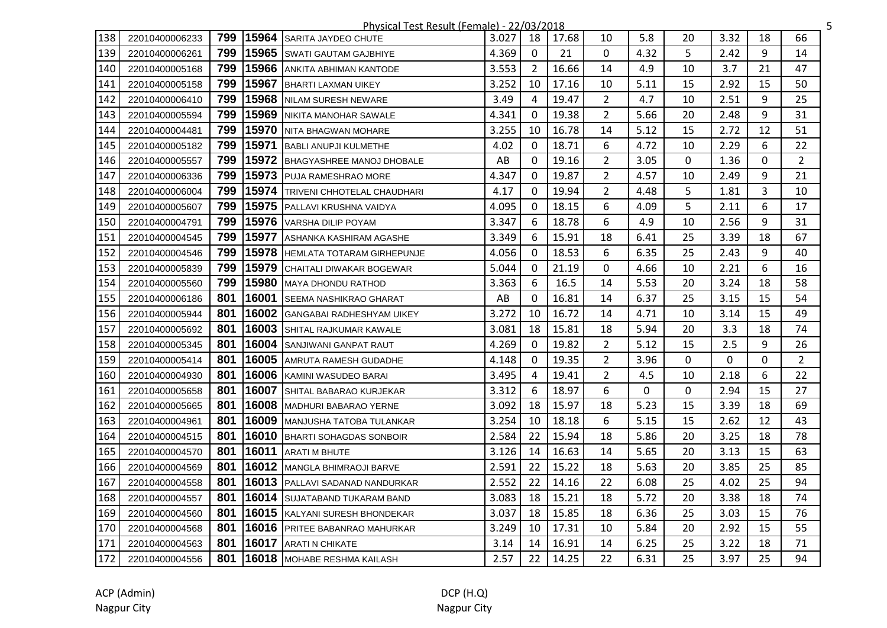|     |                |     |       | Physical Test Result (Female) - 22/03/2018 |       |              |       |                |      |    |      |    | 5              |
|-----|----------------|-----|-------|--------------------------------------------|-------|--------------|-------|----------------|------|----|------|----|----------------|
| 138 | 22010400006233 | 799 | 15964 | <b>ISARITA JAYDEO CHUTE</b>                | 3.027 | 18           | 17.68 | 10             | 5.8  | 20 | 3.32 | 18 | 66             |
| 139 | 22010400006261 | 799 | 15965 | <b>ISWATI GAUTAM GAJBHIYE</b>              | 4.369 | $\mathbf{0}$ | 21    | $\mathbf{0}$   | 4.32 | 5  | 2.42 | 9  | 14             |
| 140 | 22010400005168 | 799 |       | 15966 ANKITA ABHIMAN KANTODE               | 3.553 | 2            | 16.66 | 14             | 4.9  | 10 | 3.7  | 21 | 47             |
| 141 | 22010400005158 | 799 |       | 15967 BHARTI LAXMAN UIKEY                  | 3.252 | 10           | 17.16 | 10             | 5.11 | 15 | 2.92 | 15 | 50             |
| 142 | 22010400006410 | 799 |       | 15968 NILAM SURESH NEWARE                  | 3.49  | 4            | 19.47 | $\overline{2}$ | 4.7  | 10 | 2.51 | 9  | 25             |
| 143 | 22010400005594 | 799 |       | 15969 NIKITA MANOHAR SAWALE                | 4.341 | $\mathbf 0$  | 19.38 | $\overline{2}$ | 5.66 | 20 | 2.48 | 9  | 31             |
| 144 | 22010400004481 | 799 | 15970 | NITA BHAGWAN MOHARE                        | 3.255 | 10           | 16.78 | 14             | 5.12 | 15 | 2.72 | 12 | 51             |
| 145 | 22010400005182 | 799 | 15971 | <b>BABLI ANUPJI KULMETHE</b>               | 4.02  | $\mathbf{0}$ | 18.71 | 6              | 4.72 | 10 | 2.29 | 6  | 22             |
| 146 | 22010400005557 | 799 | 15972 | BHAGYASHREE MANOJ DHOBALE                  | AB    | $\Omega$     | 19.16 | $\overline{2}$ | 3.05 | 0  | 1.36 | 0  | $\overline{2}$ |
| 147 | 22010400006336 | 799 | 15973 | <b>IPUJA RAMESHRAO MORE</b>                | 4.347 | $\Omega$     | 19.87 | $\overline{2}$ | 4.57 | 10 | 2.49 | 9  | 21             |
| 148 | 22010400006004 | 799 |       | 15974 TRIVENI CHHOTELAL CHAUDHARI          | 4.17  | $\Omega$     | 19.94 | $\overline{2}$ | 4.48 | 5  | 1.81 | 3  | 10             |
| 149 | 22010400005607 | 799 |       | 15975 PALLAVI KRUSHNA VAIDYA               | 4.095 | 0            | 18.15 | 6              | 4.09 | 5  | 2.11 | 6  | 17             |
| 150 | 22010400004791 | 799 |       | 15976 VARSHA DILIP POYAM                   | 3.347 | 6            | 18.78 | 6              | 4.9  | 10 | 2.56 | 9  | 31             |
| 151 | 22010400004545 | 799 | 15977 | ASHANKA KASHIRAM AGASHE                    | 3.349 | 6            | 15.91 | 18             | 6.41 | 25 | 3.39 | 18 | 67             |
| 152 | 22010400004546 | 799 |       | 15978 HEMLATA TOTARAM GIRHEPUNJE           | 4.056 | $\Omega$     | 18.53 | 6              | 6.35 | 25 | 2.43 | 9  | 40             |
| 153 | 22010400005839 | 799 |       | 15979 CHAITALI DIWAKAR BOGEWAR             | 5.044 | $\mathbf{0}$ | 21.19 | 0              | 4.66 | 10 | 2.21 | 6  | 16             |
| 154 | 22010400005560 | 799 | 15980 | MAYA DHONDU RATHOD                         | 3.363 | 6            | 16.5  | 14             | 5.53 | 20 | 3.24 | 18 | 58             |
| 155 | 22010400006186 | 801 | 16001 | <b>SEEMA NASHIKRAO GHARAT</b>              | AB    | $\Omega$     | 16.81 | 14             | 6.37 | 25 | 3.15 | 15 | 54             |
| 156 | 22010400005944 | 801 | 16002 | <b>GANGABAI RADHESHYAM UIKEY</b>           | 3.272 | 10           | 16.72 | 14             | 4.71 | 10 | 3.14 | 15 | 49             |
| 157 | 22010400005692 | 801 |       | 16003 SHITAL RAJKUMAR KAWALE               | 3.081 | 18           | 15.81 | 18             | 5.94 | 20 | 3.3  | 18 | 74             |
| 158 | 22010400005345 | 801 |       | 16004 SANJIWANI GANPAT RAUT                | 4.269 | 0            | 19.82 | $\overline{2}$ | 5.12 | 15 | 2.5  | 9  | 26             |
| 159 | 22010400005414 | 801 |       | 16005 AMRUTA RAMESH GUDADHE                | 4.148 | $\mathbf{0}$ | 19.35 | $\overline{2}$ | 3.96 | 0  | 0    | 0  | $\overline{2}$ |
| 160 | 22010400004930 | 801 |       | 16006 KAMINI WASUDEO BARAI                 | 3.495 | 4            | 19.41 | $\overline{2}$ | 4.5  | 10 | 2.18 | 6  | 22             |
| 161 | 22010400005658 | 801 |       | 16007 SHITAL BABARAO KURJEKAR              | 3.312 | 6            | 18.97 | 6              | 0    | 0  | 2.94 | 15 | 27             |
| 162 | 22010400005665 | 801 |       | 16008 MADHURI BABARAO YERNE                | 3.092 | 18           | 15.97 | 18             | 5.23 | 15 | 3.39 | 18 | 69             |
| 163 | 22010400004961 | 801 |       | 16009 MANJUSHA TATOBA TULANKAR             | 3.254 | 10           | 18.18 | 6              | 5.15 | 15 | 2.62 | 12 | 43             |
| 164 | 22010400004515 | 801 |       | 16010 BHARTI SOHAGDAS SONBOIR              | 2.584 | 22           | 15.94 | 18             | 5.86 | 20 | 3.25 | 18 | 78             |
| 165 | 22010400004570 | 801 | 16011 | <b>ARATI M BHUTE</b>                       | 3.126 | 14           | 16.63 | 14             | 5.65 | 20 | 3.13 | 15 | 63             |
| 166 | 22010400004569 | 801 | 16012 | MANGLA BHIMRAOJI BARVE                     | 2.591 | 22           | 15.22 | 18             | 5.63 | 20 | 3.85 | 25 | 85             |
| 167 | 22010400004558 | 801 |       | <b>16013</b> PALLAVI SADANAD NANDURKAR     | 2.552 | 22           | 14.16 | 22             | 6.08 | 25 | 4.02 | 25 | 94             |
| 168 | 22010400004557 | 801 |       | 16014 SUJATABAND TUKARAM BAND              | 3.083 | 18           | 15.21 | 18             | 5.72 | 20 | 3.38 | 18 | 74             |
| 169 | 22010400004560 | 801 |       | 16015 KALYANI SURESH BHONDEKAR             | 3.037 | 18           | 15.85 | 18             | 6.36 | 25 | 3.03 | 15 | 76             |
| 170 | 22010400004568 | 801 |       | <b>16016</b> PRITEE BABANRAO MAHURKAR      | 3.249 | 10           | 17.31 | 10             | 5.84 | 20 | 2.92 | 15 | 55             |
| 171 | 22010400004563 | 801 |       | 16017 ARATI N CHIKATE                      | 3.14  | 14           | 16.91 | 14             | 6.25 | 25 | 3.22 | 18 | 71             |
| 172 | 22010400004556 | 801 |       | 16018 MOHABE RESHMA KAILASH                | 2.57  | 22           | 14.25 | 22             | 6.31 | 25 | 3.97 | 25 | 94             |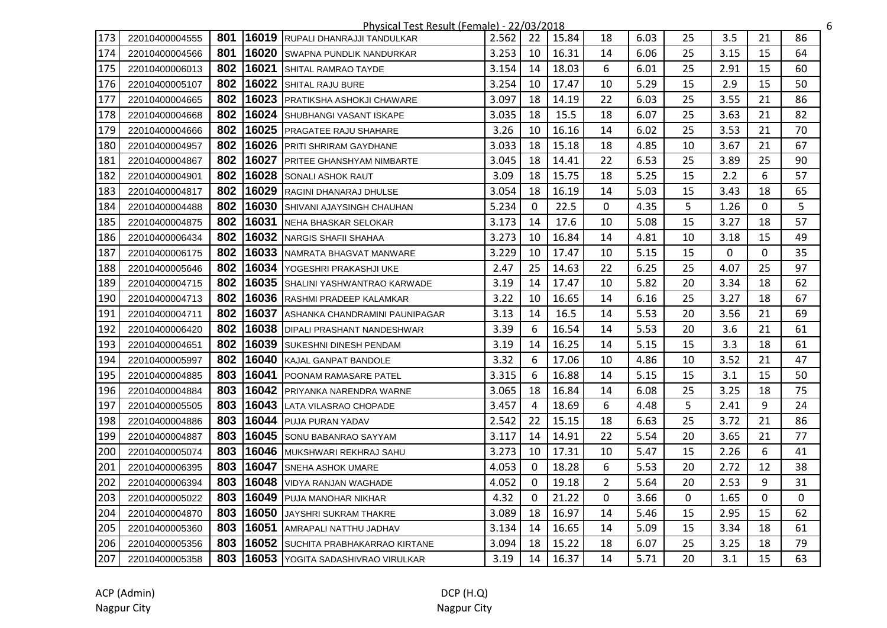|     |                |     |       | Physical Test Result (Female) - 22/03/2018 |       |                |       |                |      |    |      |    |          | 6 |
|-----|----------------|-----|-------|--------------------------------------------|-------|----------------|-------|----------------|------|----|------|----|----------|---|
| 173 | 22010400004555 | 801 |       | 16019 RUPALI DHANRAJJI TANDULKAR           | 2.562 | 22             | 15.84 | 18             | 6.03 | 25 | 3.5  | 21 | 86       |   |
| 174 | 22010400004566 | 801 |       | 16020 SWAPNA PUNDLIK NANDURKAR             | 3.253 | 10             | 16.31 | 14             | 6.06 | 25 | 3.15 | 15 | 64       |   |
| 175 | 22010400006013 | 802 |       | 16021 SHITAL RAMRAO TAYDE                  | 3.154 | 14             | 18.03 | 6              | 6.01 | 25 | 2.91 | 15 | 60       |   |
| 176 | 22010400005107 | 802 |       | 16022 SHITAL RAJU BURE                     | 3.254 | 10             | 17.47 | 10             | 5.29 | 15 | 2.9  | 15 | 50       |   |
| 177 | 22010400004665 | 802 |       | 16023 PRATIKSHA ASHOKJI CHAWARE            | 3.097 | 18             | 14.19 | 22             | 6.03 | 25 | 3.55 | 21 | 86       |   |
| 178 | 22010400004668 | 802 |       | 16024 SHUBHANGI VASANT ISKAPE              | 3.035 | 18             | 15.5  | 18             | 6.07 | 25 | 3.63 | 21 | 82       |   |
| 179 | 22010400004666 | 802 | 16025 | PRAGATEE RAJU SHAHARE                      | 3.26  | 10             | 16.16 | 14             | 6.02 | 25 | 3.53 | 21 | 70       |   |
| 180 | 22010400004957 | 802 |       | 16026 PRITI SHRIRAM GAYDHANE               | 3.033 | 18             | 15.18 | 18             | 4.85 | 10 | 3.67 | 21 | 67       |   |
| 181 | 22010400004867 | 802 | 16027 | <b>PRITEE GHANSHYAM NIMBARTE</b>           | 3.045 | 18             | 14.41 | 22             | 6.53 | 25 | 3.89 | 25 | 90       |   |
| 182 | 22010400004901 | 802 | 16028 | <b>SONALI ASHOK RAUT</b>                   | 3.09  | 18             | 15.75 | 18             | 5.25 | 15 | 2.2  | 6  | 57       |   |
| 183 | 22010400004817 | 802 |       | 16029 RAGINI DHANARAJ DHULSE               | 3.054 | 18             | 16.19 | 14             | 5.03 | 15 | 3.43 | 18 | 65       |   |
| 184 | 22010400004488 | 802 |       | 16030 SHIVANI AJAYSINGH CHAUHAN            | 5.234 | $\mathbf{0}$   | 22.5  | 0              | 4.35 | 5  | 1.26 | 0  | 5        |   |
| 185 | 22010400004875 | 802 |       | 16031 NEHA BHASKAR SELOKAR                 | 3.173 | 14             | 17.6  | 10             | 5.08 | 15 | 3.27 | 18 | 57       |   |
| 186 | 22010400006434 | 802 |       | 16032 NARGIS SHAFII SHAHAA                 | 3.273 | 10             | 16.84 | 14             | 4.81 | 10 | 3.18 | 15 | 49       |   |
| 187 | 22010400006175 | 802 |       | 16033 NAMRATA BHAGVAT MANWARE              | 3.229 | 10             | 17.47 | 10             | 5.15 | 15 | 0    | 0  | 35       |   |
| 188 | 22010400005646 | 802 |       | 16034 YOGESHRI PRAKASHJI UKE               | 2.47  | 25             | 14.63 | 22             | 6.25 | 25 | 4.07 | 25 | 97       |   |
| 189 | 22010400004715 | 802 |       | 16035 SHALINI YASHWANTRAO KARWADE          | 3.19  | 14             | 17.47 | 10             | 5.82 | 20 | 3.34 | 18 | 62       |   |
| 190 | 22010400004713 | 802 |       | 16036 RASHMI PRADEEP KALAMKAR              | 3.22  | 10             | 16.65 | 14             | 6.16 | 25 | 3.27 | 18 | 67       |   |
| 191 | 22010400004711 | 802 | 16037 | ASHANKA CHANDRAMINI PAUNIPAGAR             | 3.13  | 14             | 16.5  | 14             | 5.53 | 20 | 3.56 | 21 | 69       |   |
| 192 | 22010400006420 | 802 |       | 16038 DIPALI PRASHANT NANDESHWAR           | 3.39  | 6              | 16.54 | 14             | 5.53 | 20 | 3.6  | 21 | 61       |   |
| 193 | 22010400004651 | 802 |       | 16039 SUKESHNI DINESH PENDAM               | 3.19  | 14             | 16.25 | 14             | 5.15 | 15 | 3.3  | 18 | 61       |   |
| 194 | 22010400005997 | 802 |       | 16040 KAJAL GANPAT BANDOLE                 | 3.32  | 6              | 17.06 | 10             | 4.86 | 10 | 3.52 | 21 | 47       |   |
| 195 | 22010400004885 | 803 |       | 16041 POONAM RAMASARE PATEL                | 3.315 | 6              | 16.88 | 14             | 5.15 | 15 | 3.1  | 15 | 50       |   |
| 196 | 22010400004884 | 803 |       | 16042 PRIYANKA NARENDRA WARNE              | 3.065 | 18             | 16.84 | 14             | 6.08 | 25 | 3.25 | 18 | 75       |   |
| 197 | 22010400005505 | 803 |       | 16043 LATA VILASRAO CHOPADE                | 3.457 | $\overline{4}$ | 18.69 | 6              | 4.48 | 5  | 2.41 | 9  | 24       |   |
| 198 | 22010400004886 | 803 |       | 16044 PUJA PURAN YADAV                     | 2.542 | 22             | 15.15 | 18             | 6.63 | 25 | 3.72 | 21 | 86       |   |
| 199 | 22010400004887 | 803 |       | 16045 SONU BABANRAO SAYYAM                 | 3.117 | 14             | 14.91 | 22             | 5.54 | 20 | 3.65 | 21 | 77       |   |
| 200 | 22010400005074 | 803 | 16046 | MUKSHWARI REKHRAJ SAHU                     | 3.273 | 10             | 17.31 | 10             | 5.47 | 15 | 2.26 | 6  | 41       |   |
| 201 | 22010400006395 | 803 | 16047 | <b>SNEHA ASHOK UMARE</b>                   | 4.053 | $\mathbf{0}$   | 18.28 | 6              | 5.53 | 20 | 2.72 | 12 | 38       |   |
| 202 | 22010400006394 | 803 | 16048 | VIDYA RANJAN WAGHADE                       | 4.052 | $\Omega$       | 19.18 | $\overline{2}$ | 5.64 | 20 | 2.53 | 9  | 31       |   |
| 203 | 22010400005022 | 803 | 16049 | <b>PUJA MANOHAR NIKHAR</b>                 | 4.32  | $\Omega$       | 21.22 | 0              | 3.66 | 0  | 1.65 | 0  | $\Omega$ |   |
| 204 | 22010400004870 | 803 |       | 16050 JAYSHRI SUKRAM THAKRE                | 3.089 | 18             | 16.97 | 14             | 5.46 | 15 | 2.95 | 15 | 62       |   |
| 205 | 22010400005360 | 803 | 16051 | <b>JAMRAPALI NATTHU JADHAV</b>             | 3.134 | 14             | 16.65 | 14             | 5.09 | 15 | 3.34 | 18 | 61       |   |
| 206 | 22010400005356 | 803 |       | 16052 SUCHITA PRABHAKARRAO KIRTANE         | 3.094 | 18             | 15.22 | 18             | 6.07 | 25 | 3.25 | 18 | 79       |   |
| 207 | 22010400005358 | 803 |       | 16053 YOGITA SADASHIVRAO VIRULKAR          | 3.19  | 14             | 16.37 | 14             | 5.71 | 20 | 3.1  | 15 | 63       |   |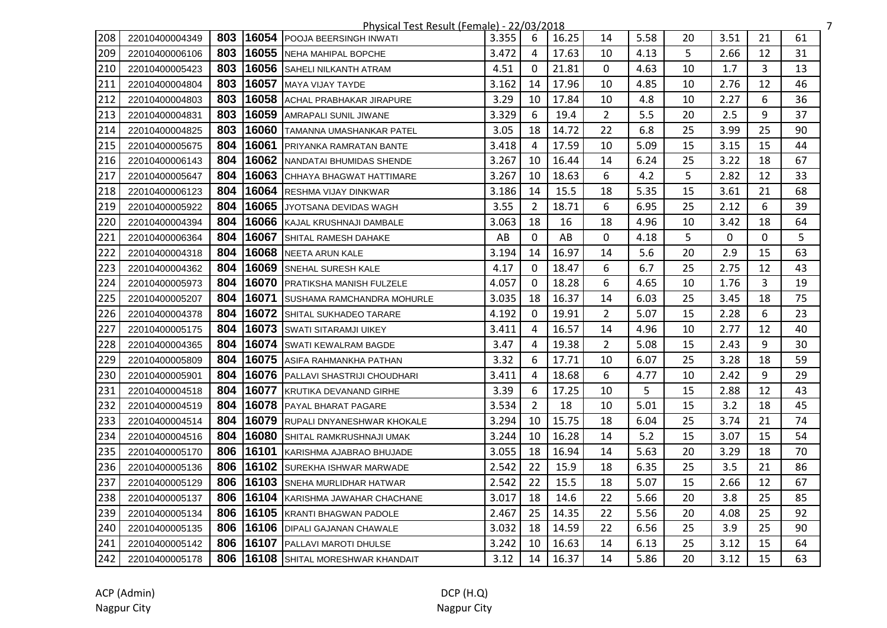|     |                |     |       | Physical Test Result (Female) - 22/03/2018 |       |                |       |                |      |    |      |    |    | $\overline{7}$ |
|-----|----------------|-----|-------|--------------------------------------------|-------|----------------|-------|----------------|------|----|------|----|----|----------------|
| 208 | 22010400004349 | 803 | 16054 | <b>POOJA BEERSINGH INWATI</b>              | 3.355 | 6              | 16.25 | 14             | 5.58 | 20 | 3.51 | 21 | 61 |                |
| 209 | 22010400006106 | 803 |       | 16055 NEHA MAHIPAL BOPCHE                  | 3.472 | 4              | 17.63 | 10             | 4.13 | 5  | 2.66 | 12 | 31 |                |
| 210 | 22010400005423 | 803 |       | 16056 SAHELI NILKANTH ATRAM                | 4.51  | $\Omega$       | 21.81 | 0              | 4.63 | 10 | 1.7  | 3  | 13 |                |
| 211 | 22010400004804 | 803 | 16057 | MAYA VIJAY TAYDE                           | 3.162 | 14             | 17.96 | 10             | 4.85 | 10 | 2.76 | 12 | 46 |                |
| 212 | 22010400004803 | 803 |       | 16058 ACHAL PRABHAKAR JIRAPURE             | 3.29  | 10             | 17.84 | 10             | 4.8  | 10 | 2.27 | 6  | 36 |                |
| 213 | 22010400004831 | 803 |       | 16059 AMRAPALI SUNIL JIWANE                | 3.329 | 6              | 19.4  | $\overline{2}$ | 5.5  | 20 | 2.5  | 9  | 37 |                |
| 214 | 22010400004825 | 803 | 16060 | <b>TAMANNA UMASHANKAR PATEL</b>            | 3.05  | 18             | 14.72 | 22             | 6.8  | 25 | 3.99 | 25 | 90 |                |
| 215 | 22010400005675 | 804 | 16061 | <b>PRIYANKA RAMRATAN BANTE</b>             | 3.418 | 4              | 17.59 | 10             | 5.09 | 15 | 3.15 | 15 | 44 |                |
| 216 | 22010400006143 | 804 | 16062 | NANDATAI BHUMIDAS SHENDE                   | 3.267 | 10             | 16.44 | 14             | 6.24 | 25 | 3.22 | 18 | 67 |                |
| 217 | 22010400005647 | 804 | 16063 | <b>ICHHAYA BHAGWAT HATTIMARE</b>           | 3.267 | 10             | 18.63 | 6              | 4.2  | 5. | 2.82 | 12 | 33 |                |
| 218 | 22010400006123 | 804 |       | 16064 RESHMA VIJAY DINKWAR                 | 3.186 | 14             | 15.5  | 18             | 5.35 | 15 | 3.61 | 21 | 68 |                |
| 219 | 22010400005922 | 804 | 16065 | <b>JYOTSANA DEVIDAS WAGH</b>               | 3.55  | 2              | 18.71 | 6              | 6.95 | 25 | 2.12 | 6  | 39 |                |
| 220 | 22010400004394 | 804 |       | 16066 KAJAL KRUSHNAJI DAMBALE              | 3.063 | 18             | 16    | 18             | 4.96 | 10 | 3.42 | 18 | 64 |                |
| 221 | 22010400006364 | 804 | 16067 | SHITAL RAMESH DAHAKE                       | AB    | $\mathbf 0$    | AB    | $\mathbf{0}$   | 4.18 | 5  | 0    | 0  | 5  |                |
| 222 | 22010400004318 | 804 |       | 16068 NEETA ARUN KALE                      | 3.194 | 14             | 16.97 | 14             | 5.6  | 20 | 2.9  | 15 | 63 |                |
| 223 | 22010400004362 | 804 |       | 16069 SNEHAL SURESH KALE                   | 4.17  | $\mathbf 0$    | 18.47 | 6              | 6.7  | 25 | 2.75 | 12 | 43 |                |
| 224 | 22010400005973 | 804 | 16070 | <b>IPRATIKSHA MANISH FULZELE</b>           | 4.057 | $\mathbf{0}$   | 18.28 | 6              | 4.65 | 10 | 1.76 | 3  | 19 |                |
| 225 | 22010400005207 | 804 | 16071 | <b>ISUSHAMA RAMCHANDRA MOHURLE</b>         | 3.035 | 18             | 16.37 | 14             | 6.03 | 25 | 3.45 | 18 | 75 |                |
| 226 | 22010400004378 | 804 | 16072 | <b>SHITAL SUKHADEO TARARE</b>              | 4.192 | $\Omega$       | 19.91 | $\overline{2}$ | 5.07 | 15 | 2.28 | 6  | 23 |                |
| 227 | 22010400005175 | 804 | 16073 | <b>SWATI SITARAMJI UIKEY</b>               | 3.411 | 4              | 16.57 | 14             | 4.96 | 10 | 2.77 | 12 | 40 |                |
| 228 | 22010400004365 | 804 |       | <b>16074 SWATI KEWALRAM BAGDE</b>          | 3.47  | 4              | 19.38 | $\overline{2}$ | 5.08 | 15 | 2.43 | 9  | 30 |                |
| 229 | 22010400005809 | 804 |       | 16075 ASIFA RAHMANKHA PATHAN               | 3.32  | 6              | 17.71 | 10             | 6.07 | 25 | 3.28 | 18 | 59 |                |
| 230 | 22010400005901 | 804 |       | 16076 PALLAVI SHASTRIJI CHOUDHARI          | 3.411 | 4              | 18.68 | 6              | 4.77 | 10 | 2.42 | 9  | 29 |                |
| 231 | 22010400004518 | 804 | 16077 | KRUTIKA DEVANAND GIRHE                     | 3.39  | 6              | 17.25 | 10             | 5    | 15 | 2.88 | 12 | 43 |                |
| 232 | 22010400004519 | 804 |       | 16078 PAYAL BHARAT PAGARE                  | 3.534 | $\overline{2}$ | 18    | 10             | 5.01 | 15 | 3.2  | 18 | 45 |                |
| 233 | 22010400004514 | 804 |       | 16079 RUPALI DNYANESHWAR KHOKALE           | 3.294 | 10             | 15.75 | 18             | 6.04 | 25 | 3.74 | 21 | 74 |                |
| 234 | 22010400004516 | 804 | 16080 | SHITAL RAMKRUSHNAJI UMAK                   | 3.244 | 10             | 16.28 | 14             | 5.2  | 15 | 3.07 | 15 | 54 |                |
| 235 | 22010400005170 | 806 | 16101 | KARISHMA AJABRAO BHUJADE                   | 3.055 | 18             | 16.94 | 14             | 5.63 | 20 | 3.29 | 18 | 70 |                |
| 236 | 22010400005136 | 806 | 16102 | <b>SUREKHA ISHWAR MARWADE</b>              | 2.542 | 22             | 15.9  | 18             | 6.35 | 25 | 3.5  | 21 | 86 |                |
| 237 | 22010400005129 | 806 |       | 16103 SNEHA MURLIDHAR HATWAR               | 2.542 | 22             | 15.5  | 18             | 5.07 | 15 | 2.66 | 12 | 67 |                |
| 238 | 22010400005137 | 806 |       | 16104 KARISHMA JAWAHAR CHACHANE            | 3.017 | 18             | 14.6  | 22             | 5.66 | 20 | 3.8  | 25 | 85 |                |
| 239 | 22010400005134 | 806 |       | 16105 KRANTI BHAGWAN PADOLE                | 2.467 | 25             | 14.35 | 22             | 5.56 | 20 | 4.08 | 25 | 92 |                |
| 240 | 22010400005135 | 806 |       | 16106 DIPALI GAJANAN CHAWALE               | 3.032 | 18             | 14.59 | 22             | 6.56 | 25 | 3.9  | 25 | 90 |                |
| 241 | 22010400005142 | 806 | 16107 | <b>PALLAVI MAROTI DHULSE</b>               | 3.242 | 10             | 16.63 | 14             | 6.13 | 25 | 3.12 | 15 | 64 |                |
| 242 | 22010400005178 | 806 |       | <b>16108 SHITAL MORESHWAR KHANDAIT</b>     | 3.12  | 14             | 16.37 | 14             | 5.86 | 20 | 3.12 | 15 | 63 |                |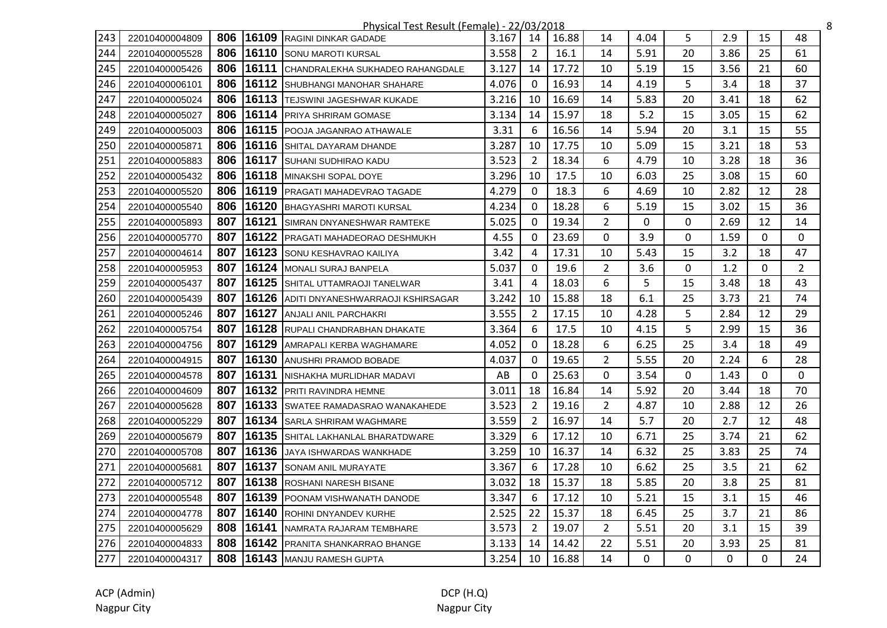|     |                |     |       | Physical Test Result (Female) - 22/03/2018 |       |                |       |                |              |              |              |          |                | 8 |
|-----|----------------|-----|-------|--------------------------------------------|-------|----------------|-------|----------------|--------------|--------------|--------------|----------|----------------|---|
| 243 | 22010400004809 | 806 | 16109 | <b>RAGINI DINKAR GADADE</b>                | 3.167 | 14             | 16.88 | 14             | 4.04         | 5            | 2.9          | 15       | 48             |   |
| 244 | 22010400005528 | 806 | 16110 | <b>I</b> SONU MAROTI KURSAL                | 3.558 | 2              | 16.1  | 14             | 5.91         | 20           | 3.86         | 25       | 61             |   |
| 245 | 22010400005426 | 806 |       | 16111 CHANDRALEKHA SUKHADEO RAHANGDALE     | 3.127 | 14             | 17.72 | 10             | 5.19         | 15           | 3.56         | 21       | 60             |   |
| 246 | 22010400006101 | 806 | 16112 | <b>SHUBHANGI MANOHAR SHAHARE</b>           | 4.076 | $\Omega$       | 16.93 | 14             | 4.19         | 5            | 3.4          | 18       | 37             |   |
| 247 | 22010400005024 | 806 | 16113 | <b>TEJSWINI JAGESHWAR KUKADE</b>           | 3.216 | 10             | 16.69 | 14             | 5.83         | 20           | 3.41         | 18       | 62             |   |
| 248 | 22010400005027 | 806 | 16114 | <b>PRIYA SHRIRAM GOMASE</b>                | 3.134 | 14             | 15.97 | 18             | 5.2          | 15           | 3.05         | 15       | 62             |   |
| 249 | 22010400005003 | 806 | 16115 | <b>POOJA JAGANRAO ATHAWALE</b>             | 3.31  | 6              | 16.56 | 14             | 5.94         | 20           | 3.1          | 15       | 55             |   |
| 250 | 22010400005871 | 806 | 16116 | <b>SHITAL DAYARAM DHANDE</b>               | 3.287 | 10             | 17.75 | 10             | 5.09         | 15           | 3.21         | 18       | 53             |   |
| 251 | 22010400005883 | 806 | 16117 | <b>SUHANI SUDHIRAO KADU</b>                | 3.523 | 2              | 18.34 | 6              | 4.79         | 10           | 3.28         | 18       | 36             |   |
| 252 | 22010400005432 | 806 |       | 16118 MINAKSHI SOPAL DOYE                  | 3.296 | 10             | 17.5  | 10             | 6.03         | 25           | 3.08         | 15       | 60             |   |
| 253 | 22010400005520 | 806 |       | 16119 PRAGATI MAHADEVRAO TAGADE            | 4.279 | $\Omega$       | 18.3  | 6              | 4.69         | 10           | 2.82         | 12       | 28             |   |
| 254 | 22010400005540 | 806 |       | 16120 BHAGYASHRI MAROTI KURSAL             | 4.234 | $\Omega$       | 18.28 | 6              | 5.19         | 15           | 3.02         | 15       | 36             |   |
| 255 | 22010400005893 | 807 |       | 16121 SIMRAN DNYANESHWAR RAMTEKE           | 5.025 | 0              | 19.34 | 2              | 0            | 0            | 2.69         | 12       | 14             |   |
| 256 | 22010400005770 | 807 | 16122 | <b>PRAGATI MAHADEORAO DESHMUKH</b>         | 4.55  | $\mathbf{0}$   | 23.69 | 0              | 3.9          | 0            | 1.59         | 0        | $\mathbf{0}$   |   |
| 257 | 22010400004614 | 807 | 16123 | SONU KESHAVRAO KAILIYA                     | 3.42  | 4              | 17.31 | 10             | 5.43         | 15           | 3.2          | 18       | 47             |   |
| 258 | 22010400005953 | 807 |       | 16124 MONALI SURAJ BANPELA                 | 5.037 | 0              | 19.6  | $\overline{2}$ | 3.6          | 0            | 1.2          | 0        | $\overline{2}$ |   |
| 259 | 22010400005437 | 807 | 16125 | SHITAL UTTAMRAOJI TANELWAR                 | 3.41  | 4              | 18.03 | 6              | 5            | 15           | 3.48         | 18       | 43             |   |
| 260 | 22010400005439 | 807 | 16126 | ADITI DNYANESHWARRAOJI KSHIRSAGAR          | 3.242 | 10             | 15.88 | 18             | 6.1          | 25           | 3.73         | 21       | 74             |   |
| 261 | 22010400005246 | 807 | 16127 | <b>ANJALI ANIL PARCHAKRI</b>               | 3.555 | $\overline{2}$ | 17.15 | 10             | 4.28         | 5            | 2.84         | 12       | 29             |   |
| 262 | 22010400005754 | 807 | 16128 | RUPALI CHANDRABHAN DHAKATE                 | 3.364 | 6              | 17.5  | 10             | 4.15         | 5            | 2.99         | 15       | 36             |   |
| 263 | 22010400004756 | 807 | 16129 | AMRAPALI KERBA WAGHAMARE                   | 4.052 | $\mathbf{0}$   | 18.28 | 6              | 6.25         | 25           | 3.4          | 18       | 49             |   |
| 264 | 22010400004915 | 807 | 16130 | <b>ANUSHRI PRAMOD BOBADE</b>               | 4.037 | $\mathbf{0}$   | 19.65 | $\overline{2}$ | 5.55         | 20           | 2.24         | 6        | 28             |   |
| 265 | 22010400004578 | 807 |       | 16131 NISHAKHA MURLIDHAR MADAVI            | AB    | 0              | 25.63 | 0              | 3.54         | 0            | 1.43         | 0        | $\Omega$       |   |
| 266 | 22010400004609 | 807 | 16132 | <b>PRITI RAVINDRA HEMNE</b>                | 3.011 | 18             | 16.84 | 14             | 5.92         | 20           | 3.44         | 18       | 70             |   |
| 267 | 22010400005628 | 807 | 16133 | SWATEE RAMADASRAO WANAKAHEDE               | 3.523 | 2              | 19.16 | $\overline{2}$ | 4.87         | 10           | 2.88         | 12       | 26             |   |
| 268 | 22010400005229 | 807 | 16134 | <b>SARLA SHRIRAM WAGHMARE</b>              | 3.559 | $\overline{2}$ | 16.97 | 14             | 5.7          | 20           | 2.7          | 12       | 48             |   |
| 269 | 22010400005679 | 807 | 16135 | SHITAL LAKHANLAL BHARATDWARE               | 3.329 | 6              | 17.12 | 10             | 6.71         | 25           | 3.74         | 21       | 62             |   |
| 270 | 22010400005708 | 807 | 16136 | JAYA ISHWARDAS WANKHADE                    | 3.259 | 10             | 16.37 | 14             | 6.32         | 25           | 3.83         | 25       | 74             |   |
| 271 | 22010400005681 | 807 | 16137 | <b>SONAM ANIL MURAYATE</b>                 | 3.367 | 6              | 17.28 | 10             | 6.62         | 25           | 3.5          | 21       | 62             |   |
| 272 | 22010400005712 | 807 | 16138 | <b>IROSHANI NARESH BISANE</b>              | 3.032 | 18             | 15.37 | 18             | 5.85         | 20           | 3.8          | 25       | 81             |   |
| 273 | 22010400005548 | 807 | 16139 | POONAM VISHWANATH DANODE                   | 3.347 | 6              | 17.12 | 10             | 5.21         | 15           | 3.1          | 15       | 46             |   |
| 274 | 22010400004778 | 807 | 16140 | <b>ROHINI DNYANDEV KURHE</b>               | 2.525 | 22             | 15.37 | 18             | 6.45         | 25           | 3.7          | 21       | 86             |   |
| 275 | 22010400005629 | 808 |       | <b>16141 INAMRATA RAJARAM TEMBHARE</b>     | 3.573 | 2              | 19.07 | $\overline{2}$ | 5.51         | 20           | 3.1          | 15       | 39             |   |
| 276 | 22010400004833 | 808 |       | 16142 PRANITA SHANKARRAO BHANGE            | 3.133 | 14             | 14.42 | 22             | 5.51         | 20           | 3.93         | 25       | 81             |   |
| 277 | 22010400004317 | 808 |       | 16143 MANJU RAMESH GUPTA                   | 3.254 | 10             | 16.88 | 14             | $\mathbf{0}$ | $\mathbf{0}$ | $\mathbf{0}$ | $\Omega$ | 24             |   |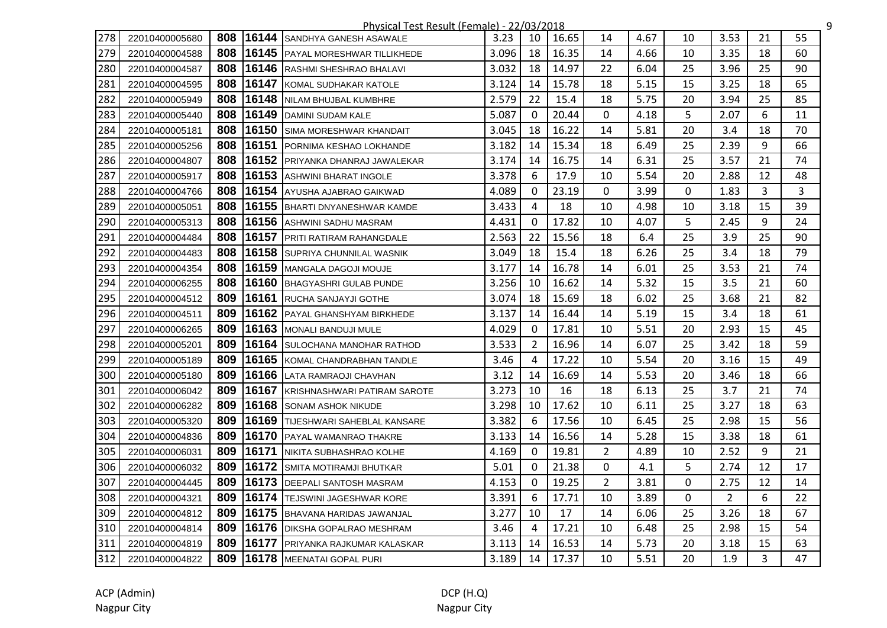|     |                |     |       | Physical Test Result (Female) - 22/03/2018 |       |              |       |                |      |    |                |    |    | 9 |
|-----|----------------|-----|-------|--------------------------------------------|-------|--------------|-------|----------------|------|----|----------------|----|----|---|
| 278 | 22010400005680 | 808 | 16144 | <b>ISANDHYA GANESH ASAWALE</b>             | 3.23  | 10           | 16.65 | 14             | 4.67 | 10 | 3.53           | 21 | 55 |   |
| 279 | 22010400004588 | 808 |       | 16145 PAYAL MORESHWAR TILLIKHEDE           | 3.096 | 18           | 16.35 | 14             | 4.66 | 10 | 3.35           | 18 | 60 |   |
| 280 | 22010400004587 | 808 |       | 16146 RASHMI SHESHRAO BHALAVI              | 3.032 | 18           | 14.97 | 22             | 6.04 | 25 | 3.96           | 25 | 90 |   |
| 281 | 22010400004595 | 808 |       | 16147 KOMAL SUDHAKAR KATOLE                | 3.124 | 14           | 15.78 | 18             | 5.15 | 15 | 3.25           | 18 | 65 |   |
| 282 | 22010400005949 | 808 |       | 16148 NILAM BHUJBAL KUMBHRE                | 2.579 | 22           | 15.4  | 18             | 5.75 | 20 | 3.94           | 25 | 85 |   |
| 283 | 22010400005440 | 808 |       | 16149 DAMINI SUDAM KALE                    | 5.087 | $\mathbf{0}$ | 20.44 | 0              | 4.18 | 5  | 2.07           | 6  | 11 |   |
| 284 | 22010400005181 | 808 | 16150 | <b>SIMA MORESHWAR KHANDAIT</b>             | 3.045 | 18           | 16.22 | 14             | 5.81 | 20 | 3.4            | 18 | 70 |   |
| 285 | 22010400005256 | 808 |       | 16151 PORNIMA KESHAO LOKHANDE              | 3.182 | 14           | 15.34 | 18             | 6.49 | 25 | 2.39           | 9  | 66 |   |
| 286 | 22010400004807 | 808 | 16152 | PRIYANKA DHANRAJ JAWALEKAR                 | 3.174 | 14           | 16.75 | 14             | 6.31 | 25 | 3.57           | 21 | 74 |   |
| 287 | 22010400005917 | 808 | 16153 | <b>ASHWINI BHARAT INGOLE</b>               | 3.378 | 6            | 17.9  | 10             | 5.54 | 20 | 2.88           | 12 | 48 |   |
| 288 | 22010400004766 | 808 |       | 16154 AYUSHA AJABRAO GAIKWAD               | 4.089 | $\mathbf{0}$ | 23.19 | 0              | 3.99 | 0  | 1.83           | 3  | 3  |   |
| 289 | 22010400005051 | 808 |       | 16155 BHARTI DNYANESHWAR KAMDE             | 3.433 | 4            | 18    | 10             | 4.98 | 10 | 3.18           | 15 | 39 |   |
| 290 | 22010400005313 | 808 |       | 16156 ASHWINI SADHU MASRAM                 | 4.431 | 0            | 17.82 | 10             | 4.07 | 5. | 2.45           | 9  | 24 |   |
| 291 | 22010400004484 | 808 | 16157 | <b>IPRITI RATIRAM RAHANGDALE</b>           | 2.563 | 22           | 15.56 | 18             | 6.4  | 25 | 3.9            | 25 | 90 |   |
| 292 | 22010400004483 | 808 |       | 16158 SUPRIYA CHUNNILAL WASNIK             | 3.049 | 18           | 15.4  | 18             | 6.26 | 25 | 3.4            | 18 | 79 |   |
| 293 | 22010400004354 | 808 |       | 16159 MANGALA DAGOJI MOUJE                 | 3.177 | 14           | 16.78 | 14             | 6.01 | 25 | 3.53           | 21 | 74 |   |
| 294 | 22010400006255 | 808 | 16160 | <b>BHAGYASHRI GULAB PUNDE</b>              | 3.256 | 10           | 16.62 | 14             | 5.32 | 15 | 3.5            | 21 | 60 |   |
| 295 | 22010400004512 | 809 | 16161 | <b>RUCHA SANJAYJI GOTHE</b>                | 3.074 | 18           | 15.69 | 18             | 6.02 | 25 | 3.68           | 21 | 82 |   |
| 296 | 22010400004511 | 809 | 16162 | <b>PAYAL GHANSHYAM BIRKHEDE</b>            | 3.137 | 14           | 16.44 | 14             | 5.19 | 15 | 3.4            | 18 | 61 |   |
| 297 | 22010400006265 | 809 | 16163 | <b>IMONALI BANDUJI MULE</b>                | 4.029 | 0            | 17.81 | 10             | 5.51 | 20 | 2.93           | 15 | 45 |   |
| 298 | 22010400005201 | 809 |       | 16164 SULOCHANA MANOHAR RATHOD             | 3.533 | 2            | 16.96 | 14             | 6.07 | 25 | 3.42           | 18 | 59 |   |
| 299 | 22010400005189 | 809 |       | 16165 KOMAL CHANDRABHAN TANDLE             | 3.46  | 4            | 17.22 | 10             | 5.54 | 20 | 3.16           | 15 | 49 |   |
| 300 | 22010400005180 | 809 |       | 16166 LATA RAMRAOJI CHAVHAN                | 3.12  | 14           | 16.69 | 14             | 5.53 | 20 | 3.46           | 18 | 66 |   |
| 301 | 22010400006042 | 809 |       | 16167 KRISHNASHWARI PATIRAM SAROTE         | 3.273 | 10           | 16    | 18             | 6.13 | 25 | 3.7            | 21 | 74 |   |
| 302 | 22010400006282 | 809 |       | 16168 SONAM ASHOK NIKUDE                   | 3.298 | 10           | 17.62 | 10             | 6.11 | 25 | 3.27           | 18 | 63 |   |
| 303 | 22010400005320 | 809 |       | 16169 TIJESHWARI SAHEBLAL KANSARE          | 3.382 | 6            | 17.56 | 10             | 6.45 | 25 | 2.98           | 15 | 56 |   |
| 304 | 22010400004836 | 809 |       | 16170 PAYAL WAMANRAO THAKRE                | 3.133 | 14           | 16.56 | 14             | 5.28 | 15 | 3.38           | 18 | 61 |   |
| 305 | 22010400006031 | 809 | 16171 | NIKITA SUBHASHRAO KOLHE                    | 4.169 | $\Omega$     | 19.81 | $\overline{2}$ | 4.89 | 10 | 2.52           | 9  | 21 |   |
| 306 | 22010400006032 | 809 | 16172 | <b>SMITA MOTIRAMJI BHUTKAR</b>             | 5.01  | $\Omega$     | 21.38 | 0              | 4.1  | 5  | 2.74           | 12 | 17 |   |
| 307 | 22010400004445 | 809 |       | 16173 DEEPALI SANTOSH MASRAM               | 4.153 | $\Omega$     | 19.25 | 2              | 3.81 | 0  | 2.75           | 12 | 14 |   |
| 308 | 22010400004321 | 809 |       | 16174 TEJSWINI JAGESHWAR KORE              | 3.391 | 6            | 17.71 | 10             | 3.89 | 0  | $\overline{2}$ | 6  | 22 |   |
| 309 | 22010400004812 | 809 |       | 16175 BHAVANA HARIDAS JAWANJAL             | 3.277 | 10           | 17    | 14             | 6.06 | 25 | 3.26           | 18 | 67 |   |
| 310 | 22010400004814 | 809 |       | 16176 DIKSHA GOPALRAO MESHRAM              | 3.46  | 4            | 17.21 | 10             | 6.48 | 25 | 2.98           | 15 | 54 |   |
| 311 | 22010400004819 | 809 | 16177 | <b>IPRIYANKA RAJKUMAR KALASKAR</b>         | 3.113 | 14           | 16.53 | 14             | 5.73 | 20 | 3.18           | 15 | 63 |   |
| 312 | 22010400004822 | 809 |       | 16178 MEENATAI GOPAL PURI                  | 3.189 | 14           | 17.37 | 10             | 5.51 | 20 | 1.9            | 3  | 47 |   |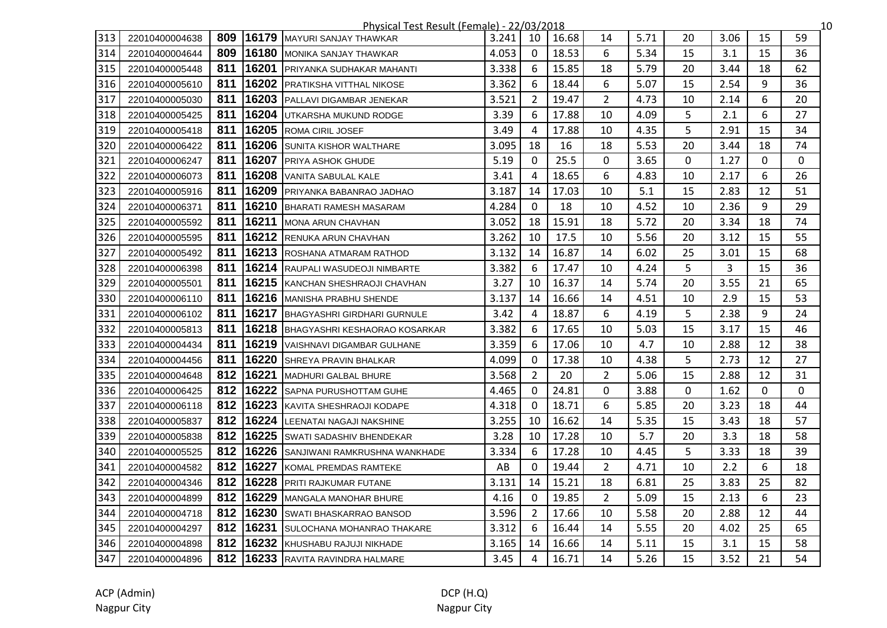|     |                |     |        | Physical Test Result (Female) - 22/03/2018 |       |                |       |                |      |    |      |    |              | 10 |
|-----|----------------|-----|--------|--------------------------------------------|-------|----------------|-------|----------------|------|----|------|----|--------------|----|
| 313 | 22010400004638 | 809 | 16179  | MAYURI SANJAY THAWKAR                      | 3.241 | 10             | 16.68 | 14             | 5.71 | 20 | 3.06 | 15 | 59           |    |
| 314 | 22010400004644 | 809 |        | 16180 MONIKA SANJAY THAWKAR                | 4.053 | $\mathbf 0$    | 18.53 | 6              | 5.34 | 15 | 3.1  | 15 | 36           |    |
| 315 | 22010400005448 | 811 | 16201  | <b>PRIYANKA SUDHAKAR MAHANTI</b>           | 3.338 | 6              | 15.85 | 18             | 5.79 | 20 | 3.44 | 18 | 62           |    |
| 316 | 22010400005610 | 811 |        | 16202 PRATIKSHA VITTHAL NIKOSE             | 3.362 | 6              | 18.44 | 6              | 5.07 | 15 | 2.54 | 9  | 36           |    |
| 317 | 22010400005030 | 811 |        | 16203 PALLAVI DIGAMBAR JENEKAR             | 3.521 | 2              | 19.47 | $\overline{2}$ | 4.73 | 10 | 2.14 | 6  | 20           |    |
| 318 | 22010400005425 | 811 | 16204  | UTKARSHA MUKUND RODGE                      | 3.39  | 6              | 17.88 | 10             | 4.09 | 5  | 2.1  | 6  | 27           |    |
| 319 | 22010400005418 | 811 |        | 16205 ROMA CIRIL JOSEF                     | 3.49  | 4              | 17.88 | 10             | 4.35 | 5  | 2.91 | 15 | 34           |    |
| 320 | 22010400006422 | 811 | 16206  | <b>SUNITA KISHOR WALTHARE</b>              | 3.095 | 18             | 16    | 18             | 5.53 | 20 | 3.44 | 18 | 74           |    |
| 321 | 22010400006247 | 811 | 16207  | <b>PRIYA ASHOK GHUDE</b>                   | 5.19  | $\mathbf{0}$   | 25.5  | 0              | 3.65 | 0  | 1.27 | 0  | $\mathbf{0}$ |    |
| 322 | 22010400006073 | 811 |        | 16208 VANITA SABULAL KALE                  | 3.41  | 4              | 18.65 | 6              | 4.83 | 10 | 2.17 | 6  | 26           |    |
| 323 | 22010400005916 | 811 | 16209  | <b>IPRIYANKA BABANRAO JADHAO</b>           | 3.187 | 14             | 17.03 | 10             | 5.1  | 15 | 2.83 | 12 | 51           |    |
| 324 | 22010400006371 | 811 |        | 16210 BHARATI RAMESH MASARAM               | 4.284 | $\mathbf{0}$   | 18    | 10             | 4.52 | 10 | 2.36 | 9  | 29           |    |
| 325 | 22010400005592 | 811 |        | 16211 MONA ARUN CHAVHAN                    | 3.052 | 18             | 15.91 | 18             | 5.72 | 20 | 3.34 | 18 | 74           |    |
| 326 | 22010400005595 | 811 |        | 16212 RENUKA ARUN CHAVHAN                  | 3.262 | 10             | 17.5  | 10             | 5.56 | 20 | 3.12 | 15 | 55           |    |
| 327 | 22010400005492 | 811 |        | 16213 ROSHANA ATMARAM RATHOD               | 3.132 | 14             | 16.87 | 14             | 6.02 | 25 | 3.01 | 15 | 68           |    |
| 328 | 22010400006398 | 811 |        | 16214 RAUPALI WASUDEOJI NIMBARTE           | 3.382 | 6              | 17.47 | 10             | 4.24 | 5  | 3    | 15 | 36           |    |
| 329 | 22010400005501 | 811 |        | 16215 KANCHAN SHESHRAOJI CHAVHAN           | 3.27  | 10             | 16.37 | 14             | 5.74 | 20 | 3.55 | 21 | 65           |    |
| 330 | 22010400006110 | 811 |        | 16216 MANISHA PRABHU SHENDE                | 3.137 | 14             | 16.66 | 14             | 4.51 | 10 | 2.9  | 15 | 53           |    |
| 331 | 22010400006102 | 811 |        | 16217 BHAGYASHRI GIRDHARI GURNULE          | 3.42  | 4              | 18.87 | 6              | 4.19 | 5  | 2.38 | 9  | 24           |    |
| 332 | 22010400005813 | 811 |        | <b>16218 BHAGYASHRI KESHAORAO KOSARKAR</b> | 3.382 | 6              | 17.65 | 10             | 5.03 | 15 | 3.17 | 15 | 46           |    |
| 333 | 22010400004434 | 811 |        | 16219 VAISHNAVI DIGAMBAR GULHANE           | 3.359 | 6              | 17.06 | 10             | 4.7  | 10 | 2.88 | 12 | 38           |    |
| 334 | 22010400004456 | 811 |        | 16220 SHREYA PRAVIN BHALKAR                | 4.099 | $\Omega$       | 17.38 | 10             | 4.38 | 5  | 2.73 | 12 | 27           |    |
| 335 | 22010400004648 | 812 | 116221 | MADHURI GALBAL BHURE                       | 3.568 | 2              | 20    | $\overline{2}$ | 5.06 | 15 | 2.88 | 12 | 31           |    |
| 336 | 22010400006425 | 812 |        | <b>16222</b> SAPNA PURUSHOTTAM GUHE        | 4.465 | $\Omega$       | 24.81 | 0              | 3.88 | 0  | 1.62 | 0  | $\Omega$     |    |
| 337 | 22010400006118 | 812 |        | 16223 KAVITA SHESHRAOJI KODAPE             | 4.318 | $\Omega$       | 18.71 | 6              | 5.85 | 20 | 3.23 | 18 | 44           |    |
| 338 | 22010400005837 | 812 | 16224  | LEENATAI NAGAJI NAKSHINE                   | 3.255 | 10             | 16.62 | 14             | 5.35 | 15 | 3.43 | 18 | 57           |    |
| 339 | 22010400005838 | 812 | 16225  | <b>SWATI SADASHIV BHENDEKAR</b>            | 3.28  | 10             | 17.28 | 10             | 5.7  | 20 | 3.3  | 18 | 58           |    |
| 340 | 22010400005525 | 812 |        | 16226 SANJIWANI RAMKRUSHNA WANKHADE        | 3.334 | 6              | 17.28 | 10             | 4.45 | 5. | 3.33 | 18 | 39           |    |
| 341 | 22010400004582 | 812 | 16227  | KOMAL PREMDAS RAMTEKE                      | AB    | $\Omega$       | 19.44 | $\overline{2}$ | 4.71 | 10 | 2.2  | 6  | 18           |    |
| 342 | 22010400004346 | 812 | 16228  | <b>PRITI RAJKUMAR FUTANE</b>               | 3.131 | 14             | 15.21 | 18             | 6.81 | 25 | 3.83 | 25 | 82           |    |
| 343 | 22010400004899 | 812 | 16229  | <b>MANGALA MANOHAR BHURE</b>               | 4.16  | $\mathbf{0}$   | 19.85 | $\overline{2}$ | 5.09 | 15 | 2.13 | 6  | 23           |    |
| 344 | 22010400004718 | 812 | 16230  | <b>ISWATI BHASKARRAO BANSOD</b>            | 3.596 | $\overline{2}$ | 17.66 | 10             | 5.58 | 20 | 2.88 | 12 | 44           |    |
| 345 | 22010400004297 | 812 |        | 16231 SULOCHANA MOHANRAO THAKARE           | 3.312 | 6              | 16.44 | 14             | 5.55 | 20 | 4.02 | 25 | 65           |    |
| 346 | 22010400004898 | 812 |        | 16232 KHUSHABU RAJUJI NIKHADE              | 3.165 | 14             | 16.66 | 14             | 5.11 | 15 | 3.1  | 15 | 58           |    |
| 347 | 22010400004896 |     |        | 812 16233 RAVITA RAVINDRA HALMARE          | 3.45  | 4              | 16.71 | 14             | 5.26 | 15 | 3.52 | 21 | 54           |    |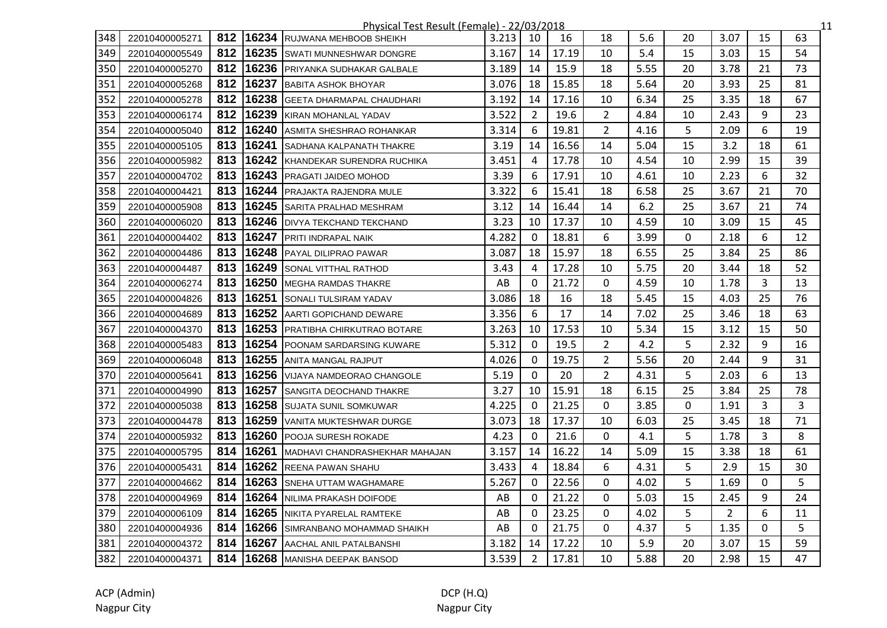|     |                |     |       | Physical Test Result (Female) - 22/03/2018 |       |                |       |                |      |    |                |                | 11 |
|-----|----------------|-----|-------|--------------------------------------------|-------|----------------|-------|----------------|------|----|----------------|----------------|----|
| 348 | 22010400005271 | 812 | 16234 | <b>RUJWANA MEHBOOB SHEIKH</b>              | 3.213 | 10             | 16    | 18             | 5.6  | 20 | 3.07           | 15             | 63 |
| 349 | 22010400005549 | 812 |       | 16235 SWATI MUNNESHWAR DONGRE              | 3.167 | 14             | 17.19 | 10             | 5.4  | 15 | 3.03           | 15             | 54 |
| 350 | 22010400005270 | 812 |       | 16236 PRIYANKA SUDHAKAR GALBALE            | 3.189 | 14             | 15.9  | 18             | 5.55 | 20 | 3.78           | 21             | 73 |
| 351 | 22010400005268 | 812 |       | 16237 BABITA ASHOK BHOYAR                  | 3.076 | 18             | 15.85 | 18             | 5.64 | 20 | 3.93           | 25             | 81 |
| 352 | 22010400005278 | 812 |       | 16238 GEETA DHARMAPAL CHAUDHARI            | 3.192 | 14             | 17.16 | 10             | 6.34 | 25 | 3.35           | 18             | 67 |
| 353 | 22010400006174 | 812 | 16239 | <b>KIRAN MOHANLAL YADAV</b>                | 3.522 | 2              | 19.6  | $\overline{2}$ | 4.84 | 10 | 2.43           | 9              | 23 |
| 354 | 22010400005040 | 812 | 16240 | ASMITA SHESHRAO ROHANKAR                   | 3.314 | 6              | 19.81 | $\overline{2}$ | 4.16 | 5  | 2.09           | 6              | 19 |
| 355 | 22010400005105 | 813 | 16241 | SADHANA KALPANATH THAKRE                   | 3.19  | 14             | 16.56 | 14             | 5.04 | 15 | 3.2            | 18             | 61 |
| 356 | 22010400005982 | 813 | 16242 | KHANDEKAR SURENDRA RUCHIKA                 | 3.451 | 4              | 17.78 | 10             | 4.54 | 10 | 2.99           | 15             | 39 |
| 357 | 22010400004702 | 813 |       | 16243 PRAGATI JAIDEO MOHOD                 | 3.39  | 6              | 17.91 | 10             | 4.61 | 10 | 2.23           | 6              | 32 |
| 358 | 22010400004421 | 813 |       | 16244 PRAJAKTA RAJENDRA MULE               | 3.322 | 6              | 15.41 | 18             | 6.58 | 25 | 3.67           | 21             | 70 |
| 359 | 22010400005908 | 813 |       | 16245 SARITA PRALHAD MESHRAM               | 3.12  | 14             | 16.44 | 14             | 6.2  | 25 | 3.67           | 21             | 74 |
| 360 | 22010400006020 | 813 |       | 16246   DIVYA TEKCHAND TEKCHAND            | 3.23  | 10             | 17.37 | 10             | 4.59 | 10 | 3.09           | 15             | 45 |
| 361 | 22010400004402 | 813 |       | 16247 PRITI INDRAPAL NAIK                  | 4.282 | $\mathbf{0}$   | 18.81 | 6              | 3.99 | 0  | 2.18           | 6              | 12 |
| 362 | 22010400004486 | 813 |       | 16248 PAYAL DILIPRAO PAWAR                 | 3.087 | 18             | 15.97 | 18             | 6.55 | 25 | 3.84           | 25             | 86 |
| 363 | 22010400004487 | 813 |       | 16249 SONAL VITTHAL RATHOD                 | 3.43  | 4              | 17.28 | 10             | 5.75 | 20 | 3.44           | 18             | 52 |
| 364 | 22010400006274 | 813 | 16250 | <b>IMEGHA RAMDAS THAKRE</b>                | AB    | 0              | 21.72 | 0              | 4.59 | 10 | 1.78           | 3              | 13 |
| 365 | 22010400004826 | 813 | 16251 | <b>SONALI TULSIRAM YADAV</b>               | 3.086 | 18             | 16    | 18             | 5.45 | 15 | 4.03           | 25             | 76 |
| 366 | 22010400004689 | 813 |       | 16252 AARTI GOPICHAND DEWARE               | 3.356 | 6              | 17    | 14             | 7.02 | 25 | 3.46           | 18             | 63 |
| 367 | 22010400004370 | 813 | 16253 | <b>PRATIBHA CHIRKUTRAO BOTARE</b>          | 3.263 | 10             | 17.53 | 10             | 5.34 | 15 | 3.12           | 15             | 50 |
| 368 | 22010400005483 | 813 |       | 16254 POONAM SARDARSING KUWARE             | 5.312 | $\mathbf{0}$   | 19.5  | $\overline{2}$ | 4.2  | 5  | 2.32           | 9              | 16 |
| 369 | 22010400006048 | 813 |       | 16255 ANITA MANGAL RAJPUT                  | 4.026 | $\mathbf{0}$   | 19.75 | $\overline{2}$ | 5.56 | 20 | 2.44           | 9              | 31 |
| 370 | 22010400005641 | 813 |       | 16256 VIJAYA NAMDEORAO CHANGOLE            | 5.19  | $\Omega$       | 20    | $\overline{2}$ | 4.31 | 5  | 2.03           | 6              | 13 |
| 371 | 22010400004990 | 813 |       | 16257 SANGITA DEOCHAND THAKRE              | 3.27  | 10             | 15.91 | 18             | 6.15 | 25 | 3.84           | 25             | 78 |
| 372 | 22010400005038 | 813 |       | 16258 SUJATA SUNIL SOMKUWAR                | 4.225 | $\mathbf 0$    | 21.25 | 0              | 3.85 | 0  | 1.91           | 3              | 3  |
| 373 | 22010400004478 | 813 |       | 16259 VANITA MUKTESHWAR DURGE              | 3.073 | 18             | 17.37 | 10             | 6.03 | 25 | 3.45           | 18             | 71 |
| 374 | 22010400005932 | 813 |       | 16260 POOJA SURESH ROKADE                  | 4.23  | $\mathbf 0$    | 21.6  | 0              | 4.1  | 5  | 1.78           | $\overline{3}$ | 8  |
| 375 | 22010400005795 | 814 | 16261 | MADHAVI CHANDRASHEKHAR MAHAJAN             | 3.157 | 14             | 16.22 | 14             | 5.09 | 15 | 3.38           | 18             | 61 |
| 376 | 22010400005431 | 814 |       | 16262 REENA PAWAN SHAHU                    | 3.433 | 4              | 18.84 | 6              | 4.31 | 5  | 2.9            | 15             | 30 |
| 377 | 22010400004662 | 814 |       | 16263 SNEHA UTTAM WAGHAMARE                | 5.267 | 0              | 22.56 | 0              | 4.02 | 5  | 1.69           | 0              | 5  |
| 378 | 22010400004969 | 814 |       | 16264 NILIMA PRAKASH DOIFODE               | AB    | 0              | 21.22 | 0              | 5.03 | 15 | 2.45           | 9              | 24 |
| 379 | 22010400006109 | 814 |       | 16265 NIKITA PYARELAL RAMTEKE              | AB    | $\mathbf{0}$   | 23.25 | 0              | 4.02 | 5  | $\overline{2}$ | 6              | 11 |
| 380 | 22010400004936 | 814 |       | 16266 SIMRANBANO MOHAMMAD SHAIKH           | AB    | $\Omega$       | 21.75 | 0              | 4.37 | 5  | 1.35           | 0              | 5  |
| 381 | 22010400004372 | 814 | 16267 | <b>JAACHAL ANIL PATALBANSHI</b>            | 3.182 | 14             | 17.22 | 10             | 5.9  | 20 | 3.07           | 15             | 59 |
| 382 | 22010400004371 | 814 |       | 16268 MANISHA DEEPAK BANSOD                | 3.539 | $\overline{2}$ | 17.81 | 10             | 5.88 | 20 | 2.98           | 15             | 47 |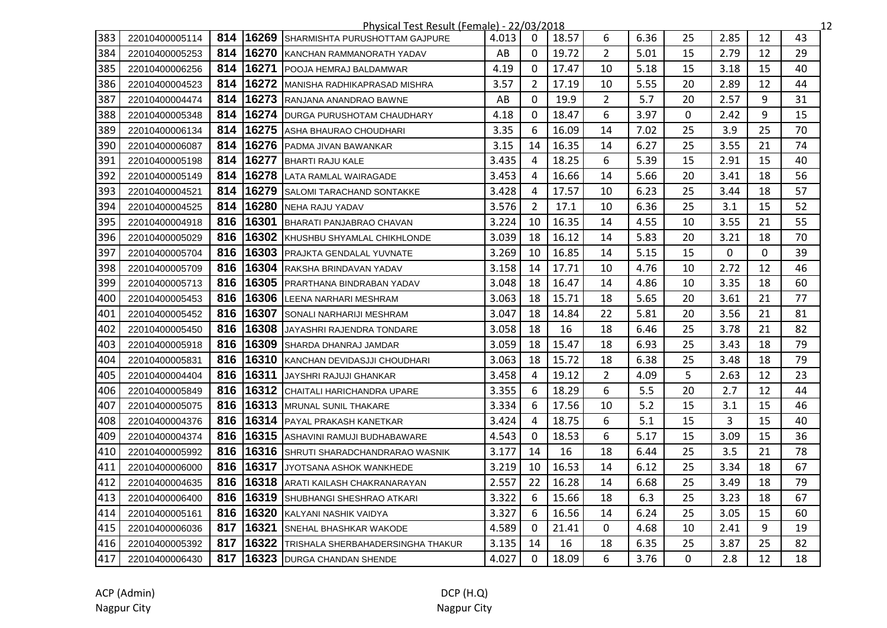|     |                |     |       | Physical Test Result (Female) - 22/03/2018 |       |                |       |                |      |          |      |              | 12 |
|-----|----------------|-----|-------|--------------------------------------------|-------|----------------|-------|----------------|------|----------|------|--------------|----|
| 383 | 22010400005114 | 814 | 16269 | SHARMISHTA PURUSHOTTAM GAJPURE             | 4.013 | $\Omega$       | 18.57 | 6              | 6.36 | 25       | 2.85 | 12           | 43 |
| 384 | 22010400005253 | 814 |       | 16270 KANCHAN RAMMANORATH YADAV            | AB    | $\mathbf{0}$   | 19.72 | $\overline{2}$ | 5.01 | 15       | 2.79 | 12           | 29 |
| 385 | 22010400006256 | 814 | 16271 | <b>POOJA HEMRAJ BALDAMWAR</b>              | 4.19  | $\mathbf 0$    | 17.47 | 10             | 5.18 | 15       | 3.18 | 15           | 40 |
| 386 | 22010400004523 | 814 |       | 16272 MANISHA RADHIKAPRASAD MISHRA         | 3.57  | 2              | 17.19 | 10             | 5.55 | 20       | 2.89 | 12           | 44 |
| 387 | 22010400004474 | 814 |       | 16273 RANJANA ANANDRAO BAWNE               | AB    | $\Omega$       | 19.9  | $\overline{2}$ | 5.7  | 20       | 2.57 | 9            | 31 |
| 388 | 22010400005348 | 814 |       | 16274 DURGA PURUSHOTAM CHAUDHARY           | 4.18  | $\mathbf{0}$   | 18.47 | 6              | 3.97 | 0        | 2.42 | 9            | 15 |
| 389 | 22010400006134 | 814 | 16275 | ASHA BHAURAO CHOUDHARI                     | 3.35  | 6              | 16.09 | 14             | 7.02 | 25       | 3.9  | 25           | 70 |
| 390 | 22010400006087 | 814 |       | 16276 PADMA JIVAN BAWANKAR                 | 3.15  | 14             | 16.35 | 14             | 6.27 | 25       | 3.55 | 21           | 74 |
| 391 | 22010400005198 | 814 | 16277 | <b>BHARTI RAJU KALE</b>                    | 3.435 | 4              | 18.25 | 6              | 5.39 | 15       | 2.91 | 15           | 40 |
| 392 | 22010400005149 | 814 |       | 16278 LATA RAMLAL WAIRAGADE                | 3.453 | 4              | 16.66 | 14             | 5.66 | 20       | 3.41 | 18           | 56 |
| 393 | 22010400004521 | 814 | 16279 | <b>SALOMI TARACHAND SONTAKKE</b>           | 3.428 | 4              | 17.57 | 10             | 6.23 | 25       | 3.44 | 18           | 57 |
| 394 | 22010400004525 | 814 |       | 16280 NEHA RAJU YADAV                      | 3.576 | $\overline{2}$ | 17.1  | 10             | 6.36 | 25       | 3.1  | 15           | 52 |
| 395 | 22010400004918 | 816 | 16301 | BHARATI PANJABRAO CHAVAN                   | 3.224 | 10             | 16.35 | 14             | 4.55 | 10       | 3.55 | 21           | 55 |
| 396 | 22010400005029 | 816 |       | 16302 KHUSHBU SHYAMLAL CHIKHLONDE          | 3.039 | 18             | 16.12 | 14             | 5.83 | 20       | 3.21 | 18           | 70 |
| 397 | 22010400005704 | 816 |       | 16303 PRAJKTA GENDALAL YUVNATE             | 3.269 | 10             | 16.85 | 14             | 5.15 | 15       | 0    | $\mathbf{0}$ | 39 |
| 398 | 22010400005709 | 816 |       | 16304 RAKSHA BRINDAVAN YADAV               | 3.158 | 14             | 17.71 | 10             | 4.76 | 10       | 2.72 | 12           | 46 |
| 399 | 22010400005713 | 816 |       | 16305 PRARTHANA BINDRABAN YADAV            | 3.048 | 18             | 16.47 | 14             | 4.86 | 10       | 3.35 | 18           | 60 |
| 400 | 22010400005453 | 816 | 16306 | LEENA NARHARI MESHRAM                      | 3.063 | 18             | 15.71 | 18             | 5.65 | 20       | 3.61 | 21           | 77 |
| 401 | 22010400005452 | 816 | 16307 | SONALI NARHARIJI MESHRAM                   | 3.047 | 18             | 14.84 | 22             | 5.81 | 20       | 3.56 | 21           | 81 |
| 402 | 22010400005450 | 816 | 16308 | JAYASHRI RAJENDRA TONDARE                  | 3.058 | 18             | 16    | 18             | 6.46 | 25       | 3.78 | 21           | 82 |
| 403 | 22010400005918 | 816 |       | 16309 SHARDA DHANRAJ JAMDAR                | 3.059 | 18             | 15.47 | 18             | 6.93 | 25       | 3.43 | 18           | 79 |
| 404 | 22010400005831 | 816 |       | 16310 KANCHAN DEVIDASJJI CHOUDHARI         | 3.063 | 18             | 15.72 | 18             | 6.38 | 25       | 3.48 | 18           | 79 |
| 405 | 22010400004404 | 816 | 16311 | JAYSHRI RAJUJI GHANKAR                     | 3.458 | 4              | 19.12 | $\overline{2}$ | 4.09 | 5        | 2.63 | 12           | 23 |
| 406 | 22010400005849 | 816 |       | 16312 CHAITALI HARICHANDRA UPARE           | 3.355 | 6              | 18.29 | 6              | 5.5  | 20       | 2.7  | 12           | 44 |
| 407 | 22010400005075 | 816 |       | 16313 MRUNAL SUNIL THAKARE                 | 3.334 | 6              | 17.56 | 10             | 5.2  | 15       | 3.1  | 15           | 46 |
| 408 | 22010400004376 | 816 |       | 16314 PAYAL PRAKASH KANETKAR               | 3.424 | 4              | 18.75 | 6              | 5.1  | 15       | 3    | 15           | 40 |
| 409 | 22010400004374 | 816 |       | 16315 ASHAVINI RAMUJI BUDHABAWARE          | 4.543 | $\Omega$       | 18.53 | 6              | 5.17 | 15       | 3.09 | 15           | 36 |
| 410 | 22010400005992 | 816 |       | 16316 SHRUTI SHARADCHANDRARAO WASNIK       | 3.177 | 14             | 16    | 18             | 6.44 | 25       | 3.5  | 21           | 78 |
| 411 | 22010400006000 | 816 | 16317 | JYOTSANA ASHOK WANKHEDE                    | 3.219 | 10             | 16.53 | 14             | 6.12 | 25       | 3.34 | 18           | 67 |
| 412 | 22010400004635 | 816 |       | 16318 ARATI KAILASH CHAKRANARAYAN          | 2.557 | 22             | 16.28 | 14             | 6.68 | 25       | 3.49 | 18           | 79 |
| 413 | 22010400006400 | 816 |       | 16319 SHUBHANGI SHESHRAO ATKARI            | 3.322 | 6              | 15.66 | 18             | 6.3  | 25       | 3.23 | 18           | 67 |
| 414 | 22010400005161 | 816 |       | 16320 KALYANI NASHIK VAIDYA                | 3.327 | 6              | 16.56 | 14             | 6.24 | 25       | 3.05 | 15           | 60 |
| 415 | 22010400006036 | 817 | 16321 | <b>ISNEHAL BHASHKAR WAKODE</b>             | 4.589 | 0              | 21.41 | 0              | 4.68 | 10       | 2.41 | 9            | 19 |
| 416 | 22010400005392 | 817 | 16322 | TRISHALA SHERBAHADERSINGHA THAKUR          | 3.135 | 14             | 16    | 18             | 6.35 | 25       | 3.87 | 25           | 82 |
| 417 | 22010400006430 | 817 |       | 16323 DURGA CHANDAN SHENDE                 | 4.027 | $\mathbf 0$    | 18.09 | 6              | 3.76 | $\Omega$ | 2.8  | 12           | 18 |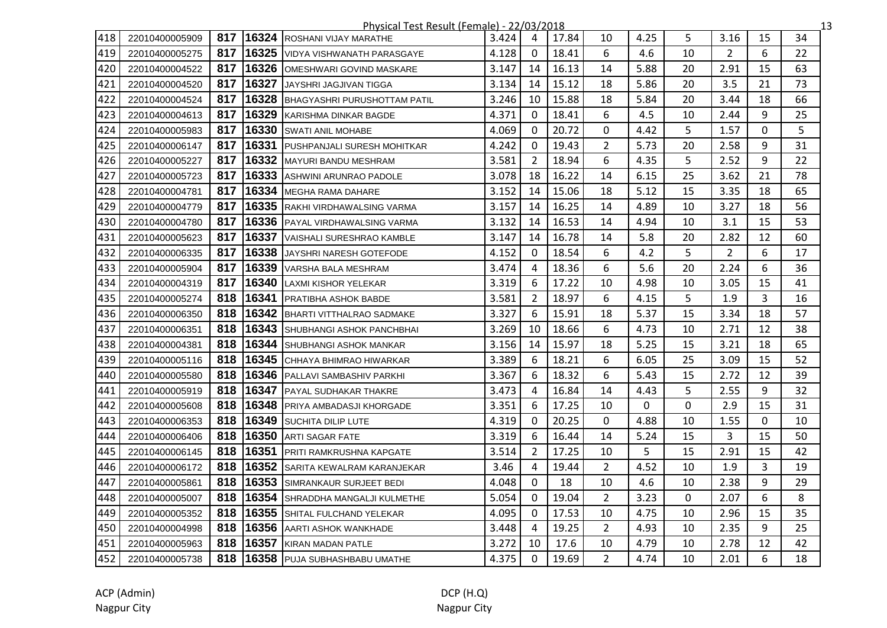|     | Physical Test Result (Female) - 22/03/2018<br>$\overline{13}$ |     |       |                                      |       |                |       |                |      |    |                |             |    |
|-----|---------------------------------------------------------------|-----|-------|--------------------------------------|-------|----------------|-------|----------------|------|----|----------------|-------------|----|
| 418 | 22010400005909                                                | 817 | 16324 | ROSHANI VIJAY MARATHE                | 3.424 | 4              | 17.84 | 10             | 4.25 | 5  | 3.16           | 15          | 34 |
| 419 | 22010400005275                                                | 817 |       | 16325 VIDYA VISHWANATH PARASGAYE     | 4.128 | $\mathbf 0$    | 18.41 | 6              | 4.6  | 10 | $\overline{2}$ | 6           | 22 |
| 420 | 22010400004522                                                | 817 |       | 16326 OMESHWARI GOVIND MASKARE       | 3.147 | 14             | 16.13 | 14             | 5.88 | 20 | 2.91           | 15          | 63 |
| 421 | 22010400004520                                                | 817 |       | 16327 JAYSHRI JAGJIVAN TIGGA         | 3.134 | 14             | 15.12 | 18             | 5.86 | 20 | 3.5            | 21          | 73 |
| 422 | 22010400004524                                                | 817 |       | 16328 BHAGYASHRI PURUSHOTTAM PATIL   | 3.246 | 10             | 15.88 | 18             | 5.84 | 20 | 3.44           | 18          | 66 |
| 423 | 22010400004613                                                | 817 | 16329 | KARISHMA DINKAR BAGDE                | 4.371 | $\Omega$       | 18.41 | 6              | 4.5  | 10 | 2.44           | 9           | 25 |
| 424 | 22010400005983                                                | 817 | 16330 | <b>SWATI ANIL MOHABE</b>             | 4.069 | $\mathbf{0}$   | 20.72 | 0              | 4.42 | 5  | 1.57           | 0           | 5  |
| 425 | 22010400006147                                                | 817 | 16331 | <b>PUSHPANJALI SURESH MOHITKAR</b>   | 4.242 | $\mathbf{0}$   | 19.43 | $\overline{2}$ | 5.73 | 20 | 2.58           | 9           | 31 |
| 426 | 22010400005227                                                | 817 |       | 16332 MAYURI BANDU MESHRAM           | 3.581 | 2              | 18.94 | 6              | 4.35 | 5  | 2.52           | 9           | 22 |
| 427 | 22010400005723                                                | 817 |       | 16333 ASHWINI ARUNRAO PADOLE         | 3.078 | 18             | 16.22 | 14             | 6.15 | 25 | 3.62           | 21          | 78 |
| 428 | 22010400004781                                                | 817 |       | 16334 MEGHA RAMA DAHARE              | 3.152 | 14             | 15.06 | 18             | 5.12 | 15 | 3.35           | 18          | 65 |
| 429 | 22010400004779                                                | 817 |       | 16335 RAKHI VIRDHAWALSING VARMA      | 3.157 | 14             | 16.25 | 14             | 4.89 | 10 | 3.27           | 18          | 56 |
| 430 | 22010400004780                                                | 817 |       | 16336 PAYAL VIRDHAWALSING VARMA      | 3.132 | 14             | 16.53 | 14             | 4.94 | 10 | 3.1            | 15          | 53 |
| 431 | 22010400005623                                                | 817 |       | 16337 VAISHALI SURESHRAO KAMBLE      | 3.147 | 14             | 16.78 | 14             | 5.8  | 20 | 2.82           | 12          | 60 |
| 432 | 22010400006335                                                | 817 | 16338 | JAYSHRI NARESH GOTEFODE              | 4.152 | $\Omega$       | 18.54 | 6              | 4.2  | 5  | $\overline{2}$ | 6           | 17 |
| 433 | 22010400005904                                                | 817 |       | 16339 VARSHA BALA MESHRAM            | 3.474 | $\overline{4}$ | 18.36 | 6              | 5.6  | 20 | 2.24           | 6           | 36 |
| 434 | 22010400004319                                                | 817 | 16340 | LAXMI KISHOR YELEKAR                 | 3.319 | 6              | 17.22 | 10             | 4.98 | 10 | 3.05           | 15          | 41 |
| 435 | 22010400005274                                                | 818 | 16341 | <b>PRATIBHA ASHOK BABDE</b>          | 3.581 | $\overline{2}$ | 18.97 | 6              | 4.15 | 5  | 1.9            | 3           | 16 |
| 436 | 22010400006350                                                | 818 |       | 16342 BHARTI VITTHALRAO SADMAKE      | 3.327 | 6              | 15.91 | 18             | 5.37 | 15 | 3.34           | 18          | 57 |
| 437 | 22010400006351                                                | 818 |       | 16343 SHUBHANGI ASHOK PANCHBHAI      | 3.269 | 10             | 18.66 | 6              | 4.73 | 10 | 2.71           | 12          | 38 |
| 438 | 22010400004381                                                | 818 | 16344 | <b>SHUBHANGI ASHOK MANKAR</b>        | 3.156 | 14             | 15.97 | 18             | 5.25 | 15 | 3.21           | 18          | 65 |
| 439 | 22010400005116                                                | 818 |       | 16345 CHHAYA BHIMRAO HIWARKAR        | 3.389 | 6              | 18.21 | 6              | 6.05 | 25 | 3.09           | 15          | 52 |
| 440 | 22010400005580                                                | 818 |       | 16346 PALLAVI SAMBASHIV PARKHI       | 3.367 | 6              | 18.32 | 6              | 5.43 | 15 | 2.72           | 12          | 39 |
| 441 | 22010400005919                                                | 818 |       | 16347 PAYAL SUDHAKAR THAKRE          | 3.473 | 4              | 16.84 | 14             | 4.43 | 5  | 2.55           | 9           | 32 |
| 442 | 22010400005608                                                | 818 |       | 16348 PRIYA AMBADASJI KHORGADE       | 3.351 | 6              | 17.25 | 10             | 0    | 0  | 2.9            | 15          | 31 |
| 443 | 22010400006353                                                | 818 |       | 16349 SUCHITA DILIP LUTE             | 4.319 | $\Omega$       | 20.25 | $\Omega$       | 4.88 | 10 | 1.55           | $\mathbf 0$ | 10 |
| 444 | 22010400006406                                                | 818 | 16350 | <b>ARTI SAGAR FATE</b>               | 3.319 | 6              | 16.44 | 14             | 5.24 | 15 | 3              | 15          | 50 |
| 445 | 22010400006145                                                | 818 | 16351 | <b>PRITI RAMKRUSHNA KAPGATE</b>      | 3.514 | $\overline{2}$ | 17.25 | 10             | 5    | 15 | 2.91           | 15          | 42 |
| 446 | 22010400006172                                                | 818 |       | 16352 SARITA KEWALRAM KARANJEKAR     | 3.46  | 4              | 19.44 | $\overline{2}$ | 4.52 | 10 | 1.9            | 3           | 19 |
| 447 | 22010400005861                                                | 818 |       | 16353 SIMRANKAUR SURJEET BEDI        | 4.048 | 0              | 18    | 10             | 4.6  | 10 | 2.38           | 9           | 29 |
| 448 | 22010400005007                                                | 818 |       | 16354 SHRADDHA MANGALJI KULMETHE     | 5.054 | $\Omega$       | 19.04 | $\overline{2}$ | 3.23 | 0  | 2.07           | 6           | 8  |
| 449 | 22010400005352                                                | 818 |       | 16355 SHITAL FULCHAND YELEKAR        | 4.095 | 0              | 17.53 | 10             | 4.75 | 10 | 2.96           | 15          | 35 |
| 450 | 22010400004998                                                | 818 |       | 16356 AARTI ASHOK WANKHADE           | 3.448 | 4              | 19.25 | $\overline{2}$ | 4.93 | 10 | 2.35           | 9           | 25 |
| 451 | 22010400005963                                                | 818 | 16357 | <b>KIRAN MADAN PATLE</b>             | 3.272 | 10             | 17.6  | 10             | 4.79 | 10 | 2.78           | 12          | 42 |
| 452 | 22010400005738                                                | 818 |       | <b>16358</b> PUJA SUBHASHBABU UMATHE | 4.375 | $\mathbf{0}$   | 19.69 | $\overline{2}$ | 4.74 | 10 | 2.01           | 6           | 18 |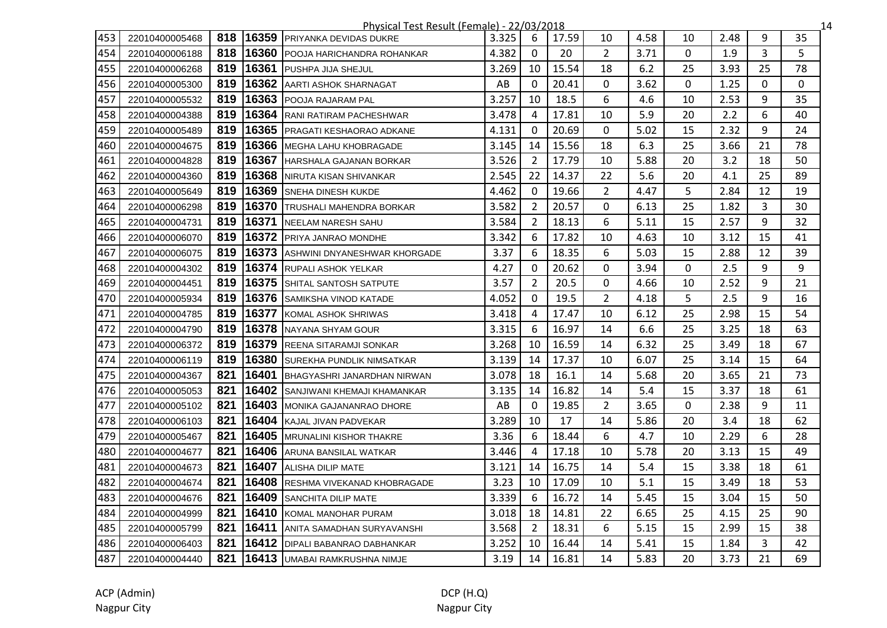|     | <u> Physical Test Result (Female) - 22/03/2018</u><br>14 |     |       |                                        |       |                |       |                |      |             |      |    |          |
|-----|----------------------------------------------------------|-----|-------|----------------------------------------|-------|----------------|-------|----------------|------|-------------|------|----|----------|
| 453 | 22010400005468                                           | 818 |       | 16359 PRIYANKA DEVIDAS DUKRE           | 3.325 | 6              | 17.59 | 10             | 4.58 | 10          | 2.48 | 9  | 35       |
| 454 | 22010400006188                                           | 818 | 16360 | <b>IPOOJA HARICHANDRA ROHANKAR</b>     | 4.382 | 0              | 20    | $\overline{2}$ | 3.71 | 0           | 1.9  | 3  | 5        |
| 455 | 22010400006268                                           | 819 | 16361 | PUSHPA JIJA SHEJUL                     | 3.269 | 10             | 15.54 | 18             | 6.2  | 25          | 3.93 | 25 | 78       |
| 456 | 22010400005300                                           | 819 |       | 16362 AARTI ASHOK SHARNAGAT            | AB    | $\Omega$       | 20.41 | 0              | 3.62 | 0           | 1.25 | 0  | $\Omega$ |
| 457 | 22010400005532                                           | 819 |       | 16363 POOJA RAJARAM PAL                | 3.257 | 10             | 18.5  | 6              | 4.6  | 10          | 2.53 | 9  | 35       |
| 458 | 22010400004388                                           | 819 |       | 16364 RANI RATIRAM PACHESHWAR          | 3.478 | 4              | 17.81 | 10             | 5.9  | 20          | 2.2  | 6  | 40       |
| 459 | 22010400005489                                           | 819 |       | 16365 PRAGATI KESHAORAO ADKANE         | 4.131 | $\mathbf{0}$   | 20.69 | $\mathbf{0}$   | 5.02 | 15          | 2.32 | 9  | 24       |
| 460 | 22010400004675                                           | 819 |       | 16366 MEGHA LAHU KHOBRAGADE            | 3.145 | 14             | 15.56 | 18             | 6.3  | 25          | 3.66 | 21 | 78       |
| 461 | 22010400004828                                           | 819 |       | <b>16367 HARSHALA GAJANAN BORKAR</b>   | 3.526 | $\overline{2}$ | 17.79 | 10             | 5.88 | 20          | 3.2  | 18 | 50       |
| 462 | 22010400004360                                           | 819 | 16368 | NIRUTA KISAN SHIVANKAR                 | 2.545 | 22             | 14.37 | 22             | 5.6  | 20          | 4.1  | 25 | 89       |
| 463 | 22010400005649                                           | 819 | 16369 | <b>SNEHA DINESH KUKDE</b>              | 4.462 | $\Omega$       | 19.66 | $\overline{2}$ | 4.47 | 5           | 2.84 | 12 | 19       |
| 464 | 22010400006298                                           | 819 | 16370 | <b>TRUSHALI MAHENDRA BORKAR</b>        | 3.582 | $\overline{2}$ | 20.57 | 0              | 6.13 | 25          | 1.82 | 3  | 30       |
| 465 | 22010400004731                                           | 819 | 16371 | <b>NEELAM NARESH SAHU</b>              | 3.584 | $\overline{2}$ | 18.13 | 6              | 5.11 | 15          | 2.57 | 9  | 32       |
| 466 | 22010400006070                                           | 819 |       | 16372 PRIYA JANRAO MONDHE              | 3.342 | 6              | 17.82 | 10             | 4.63 | 10          | 3.12 | 15 | 41       |
| 467 | 22010400006075                                           | 819 |       | 16373 ASHWINI DNYANESHWAR KHORGADE     | 3.37  | 6              | 18.35 | 6              | 5.03 | 15          | 2.88 | 12 | 39       |
| 468 | 22010400004302                                           | 819 |       | 16374 RUPALI ASHOK YELKAR              | 4.27  | $\mathbf{0}$   | 20.62 | 0              | 3.94 | 0           | 2.5  | 9  | 9        |
| 469 | 22010400004451                                           | 819 |       | 16375 SHITAL SANTOSH SATPUTE           | 3.57  | 2              | 20.5  | 0              | 4.66 | 10          | 2.52 | 9  | 21       |
| 470 | 22010400005934                                           | 819 |       | 16376 SAMIKSHA VINOD KATADE            | 4.052 | $\mathbf{0}$   | 19.5  | $\overline{2}$ | 4.18 | 5           | 2.5  | 9  | 16       |
| 471 | 22010400004785                                           | 819 | 16377 | KOMAL ASHOK SHRIWAS                    | 3.418 | 4              | 17.47 | 10             | 6.12 | 25          | 2.98 | 15 | 54       |
| 472 | 22010400004790                                           | 819 | 16378 | INAYANA SHYAM GOUR                     | 3.315 | 6              | 16.97 | 14             | 6.6  | 25          | 3.25 | 18 | 63       |
| 473 | 22010400006372                                           | 819 | 16379 | <b>REENA SITARAMJI SONKAR</b>          | 3.268 | 10             | 16.59 | 14             | 6.32 | 25          | 3.49 | 18 | 67       |
| 474 | 22010400006119                                           | 819 |       | 16380 SUREKHA PUNDLIK NIMSATKAR        | 3.139 | 14             | 17.37 | 10             | 6.07 | 25          | 3.14 | 15 | 64       |
| 475 | 22010400004367                                           | 821 | 16401 | BHAGYASHRI JANARDHAN NIRWAN            | 3.078 | 18             | 16.1  | 14             | 5.68 | 20          | 3.65 | 21 | 73       |
| 476 | 22010400005053                                           | 821 |       | 16402 SANJIWANI KHEMAJI KHAMANKAR      | 3.135 | 14             | 16.82 | 14             | 5.4  | 15          | 3.37 | 18 | 61       |
| 477 | 22010400005102                                           | 821 | 16403 | <b>IMONIKA GAJANANRAO DHORE</b>        | AB    | $\mathbf{0}$   | 19.85 | $\overline{2}$ | 3.65 | $\mathbf 0$ | 2.38 | 9  | 11       |
| 478 | 22010400006103                                           | 821 |       | 16404 KAJAL JIVAN PADVEKAR             | 3.289 | 10             | 17    | 14             | 5.86 | 20          | 3.4  | 18 | 62       |
| 479 | 22010400005467                                           | 821 |       | <b>16405   MRUNALINI KISHOR THAKRE</b> | 3.36  | 6              | 18.44 | 6              | 4.7  | 10          | 2.29 | 6  | 28       |
| 480 | 22010400004677                                           | 821 | 16406 | ARUNA BANSILAL WATKAR                  | 3.446 | 4              | 17.18 | 10             | 5.78 | 20          | 3.13 | 15 | 49       |
| 481 | 22010400004673                                           | 821 | 16407 | <b>ALISHA DILIP MATE</b>               | 3.121 | 14             | 16.75 | 14             | 5.4  | 15          | 3.38 | 18 | 61       |
| 482 | 22010400004674                                           | 821 | 16408 | <b>RESHMA VIVEKANAD KHOBRAGADE</b>     | 3.23  | 10             | 17.09 | 10             | 5.1  | 15          | 3.49 | 18 | 53       |
| 483 | 22010400004676                                           | 821 |       | 16409 SANCHITA DILIP MATE              | 3.339 | 6              | 16.72 | 14             | 5.45 | 15          | 3.04 | 15 | 50       |
| 484 | 22010400004999                                           | 821 |       | 16410 KOMAL MANOHAR PURAM              | 3.018 | 18             | 14.81 | 22             | 6.65 | 25          | 4.15 | 25 | 90       |
| 485 | 22010400005799                                           | 821 | 16411 | <b>ANITA SAMADHAN SURYAVANSHI</b>      | 3.568 | $\overline{2}$ | 18.31 | 6              | 5.15 | 15          | 2.99 | 15 | 38       |
| 486 | 22010400006403                                           | 821 |       | 16412 DIPALI BABANRAO DABHANKAR        | 3.252 | 10             | 16.44 | 14             | 5.41 | 15          | 1.84 | 3  | 42       |
| 487 | 22010400004440                                           | 821 |       | 16413 UMABAI RAMKRUSHNA NIMJE          | 3.19  | 14             | 16.81 | 14             | 5.83 | 20          | 3.73 | 21 | 69       |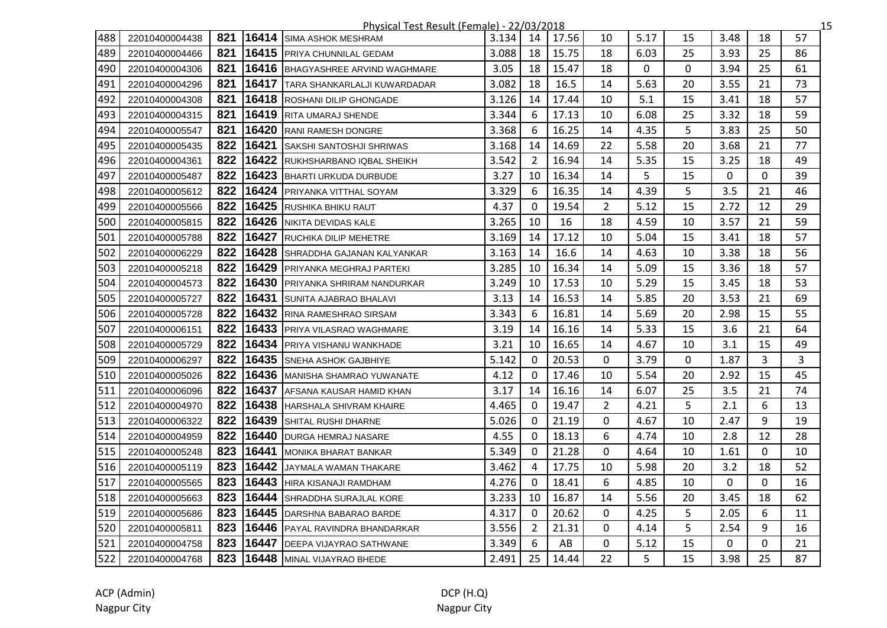|     |                |     |       | <u> Physical Test Result (Female) - 22/03/2018</u> |         |                |       |                |      |    |             |              | 15 |
|-----|----------------|-----|-------|----------------------------------------------------|---------|----------------|-------|----------------|------|----|-------------|--------------|----|
| 488 | 22010400004438 | 821 |       | <b>16414</b> SIMA ASHOK MESHRAM                    | 3.134 l | 14             | 17.56 | 10             | 5.17 | 15 | 3.48        | 18           | 57 |
| 489 | 22010400004466 | 821 |       | 16415 PRIYA CHUNNILAL GEDAM                        | 3.088   | 18             | 15.75 | 18             | 6.03 | 25 | 3.93        | 25           | 86 |
| 490 | 22010400004306 | 821 |       | 16416 BHAGYASHREE ARVIND WAGHMARE                  | 3.05    | 18             | 15.47 | 18             | 0    | 0  | 3.94        | 25           | 61 |
| 491 | 22010400004296 | 821 |       | 16417 TARA SHANKARLALJI KUWARDADAR                 | 3.082   | 18             | 16.5  | 14             | 5.63 | 20 | 3.55        | 21           | 73 |
| 492 | 22010400004308 | 821 |       | <b>16418</b> ROSHANI DILIP GHONGADE                | 3.126   | 14             | 17.44 | 10             | 5.1  | 15 | 3.41        | 18           | 57 |
| 493 | 22010400004315 | 821 |       | 16419 RITA UMARAJ SHENDE                           | 3.344   | 6              | 17.13 | 10             | 6.08 | 25 | 3.32        | 18           | 59 |
| 494 | 22010400005547 | 821 |       | 16420 RANI RAMESH DONGRE                           | 3.368   | 6              | 16.25 | 14             | 4.35 | 5  | 3.83        | 25           | 50 |
| 495 | 22010400005435 | 822 |       | 16421 SAKSHI SANTOSHJI SHRIWAS                     | 3.168   | 14             | 14.69 | 22             | 5.58 | 20 | 3.68        | 21           | 77 |
| 496 | 22010400004361 | 822 |       | 16422 RUKHSHARBANO IQBAL SHEIKH                    | 3.542   | $\overline{2}$ | 16.94 | 14             | 5.35 | 15 | 3.25        | 18           | 49 |
| 497 | 22010400005487 | 822 | 16423 | <b>BHARTI URKUDA DURBUDE</b>                       | 3.27    | 10             | 16.34 | 14             | 5    | 15 | $\mathbf 0$ | $\mathbf 0$  | 39 |
| 498 | 22010400005612 | 822 | 16424 | <b>PRIYANKA VITTHAL SOYAM</b>                      | 3.329   | 6              | 16.35 | 14             | 4.39 | 5  | 3.5         | 21           | 46 |
| 499 | 22010400005566 | 822 |       | 16425 RUSHIKA BHIKU RAUT                           | 4.37    | $\mathbf{0}$   | 19.54 | $\overline{2}$ | 5.12 | 15 | 2.72        | 12           | 29 |
| 500 | 22010400005815 | 822 |       | 16426 NIKITA DEVIDAS KALE                          | 3.265   | 10             | 16    | 18             | 4.59 | 10 | 3.57        | 21           | 59 |
| 501 | 22010400005788 | 822 |       | <b>16427</b> RUCHIKA DILIP MEHETRE                 | 3.169   | 14             | 17.12 | 10             | 5.04 | 15 | 3.41        | 18           | 57 |
| 502 | 22010400006229 | 822 |       | 16428 SHRADDHA GAJANAN KALYANKAR                   | 3.163   | 14             | 16.6  | 14             | 4.63 | 10 | 3.38        | 18           | 56 |
| 503 | 22010400005218 | 822 |       | 16429 PRIYANKA MEGHRAJ PARTEKI                     | 3.285   | 10             | 16.34 | 14             | 5.09 | 15 | 3.36        | 18           | 57 |
| 504 | 22010400004573 | 822 |       | 16430 PRIYANKA SHRIRAM NANDURKAR                   | 3.249   | 10             | 17.53 | 10             | 5.29 | 15 | 3.45        | 18           | 53 |
| 505 | 22010400005727 | 822 |       | <b>16431 SUNITA AJABRAO BHALAVI</b>                | 3.13    | 14             | 16.53 | 14             | 5.85 | 20 | 3.53        | 21           | 69 |
| 506 | 22010400005728 | 822 | 16432 | RINA RAMESHRAO SIRSAM                              | 3.343   | 6              | 16.81 | 14             | 5.69 | 20 | 2.98        | 15           | 55 |
| 507 | 22010400006151 | 822 | 16433 | <b>PRIYA VILASRAO WAGHMARE</b>                     | 3.19    | 14             | 16.16 | 14             | 5.33 | 15 | 3.6         | 21           | 64 |
| 508 | 22010400005729 | 822 | 16434 | PRIYA VISHANU WANKHADE                             | 3.21    | 10             | 16.65 | 14             | 4.67 | 10 | 3.1         | 15           | 49 |
| 509 | 22010400006297 | 822 |       | <b>16435</b> SNEHA ASHOK GAJBHIYE                  | 5.142   | $\Omega$       | 20.53 | 0              | 3.79 | 0  | 1.87        | 3            | 3  |
| 510 | 22010400005026 | 822 |       | 16436 MANISHA SHAMRAO YUWANATE                     | 4.12    | 0              | 17.46 | 10             | 5.54 | 20 | 2.92        | 15           | 45 |
| 511 | 22010400006096 | 822 |       | 16437 AFSANA KAUSAR HAMID KHAN                     | 3.17    | 14             | 16.16 | 14             | 6.07 | 25 | 3.5         | 21           | 74 |
| 512 | 22010400004970 | 822 |       | 16438 HARSHALA SHIVRAM KHAIRE                      | 4.465   | $\Omega$       | 19.47 | $\overline{2}$ | 4.21 | 5  | 2.1         | 6            | 13 |
| 513 | 22010400006322 | 822 |       | 16439 SHITAL RUSHI DHARNE                          | 5.026   | $\mathbf{0}$   | 21.19 | 0              | 4.67 | 10 | 2.47        | 9            | 19 |
| 514 | 22010400004959 |     |       | 822 16440 DURGA HEMRAJ NASARE                      | 4.55    | $\Omega$       | 18.13 | 6              | 4.74 | 10 | 2.8         | 12           | 28 |
| 515 | 22010400005248 | 823 | 16441 | MONIKA BHARAT BANKAR                               | 5.349   | $\Omega$       | 21.28 | $\mathbf{0}$   | 4.64 | 10 | 1.61        | $\mathbf{0}$ | 10 |
| 516 | 22010400005119 | 823 | 16442 | JAYMALA WAMAN THAKARE                              | 3.462   | 4              | 17.75 | 10             | 5.98 | 20 | 3.2         | 18           | 52 |
| 517 | 22010400005565 | 823 | 16443 | <b>HIRA KISANAJI RAMDHAM</b>                       | 4.276   | $\Omega$       | 18.41 | 6              | 4.85 | 10 | 0           | 0            | 16 |
| 518 | 22010400005663 | 823 | 16444 | <b>SHRADDHA SURAJLAL KORE</b>                      | 3.233   | 10             | 16.87 | 14             | 5.56 | 20 | 3.45        | 18           | 62 |
| 519 | 22010400005686 | 823 |       | 16445 DARSHNA BABARAO BARDE                        | 4.317   | $\Omega$       | 20.62 | 0              | 4.25 | 5  | 2.05        | 6            | 11 |
| 520 | 22010400005811 | 823 |       | 16446 PAYAL RAVINDRA BHANDARKAR                    | 3.556   | $\overline{2}$ | 21.31 | 0              | 4.14 | 5  | 2.54        | 9            | 16 |
| 521 | 22010400004758 | 823 |       | 16447 DEEPA VIJAYRAO SATHWANE                      | 3.349   | 6              | AB    | 0              | 5.12 | 15 | 0           | 0            | 21 |
| 522 | 22010400004768 |     |       | 823 16448 MINAL VIJAYRAO BHEDE                     | 2.491   | 25             | 14.44 | 22             | 5    | 15 | 3.98        | 25           | 87 |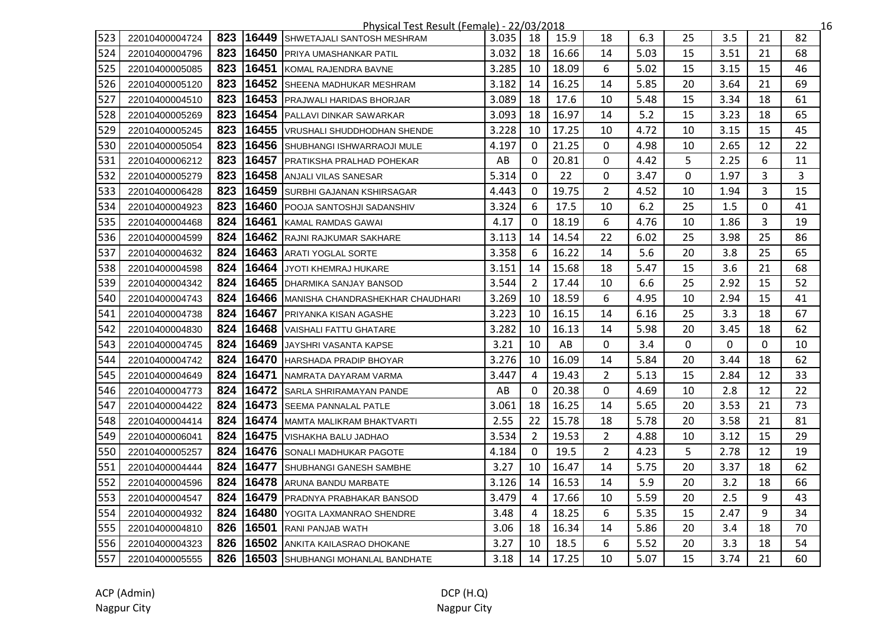|     |                |     |       | <u> Physical Test Result (Female) - 22/03/2018</u> |       |                |       |                |      |              |          |    |    | 16 |
|-----|----------------|-----|-------|----------------------------------------------------|-------|----------------|-------|----------------|------|--------------|----------|----|----|----|
| 523 | 22010400004724 | 823 | 16449 | SHWETAJALI SANTOSH MESHRAM                         | 3.035 | 18             | 15.9  | 18             | 6.3  | 25           | 3.5      | 21 | 82 |    |
| 524 | 22010400004796 | 823 | 16450 | PRIYA UMASHANKAR PATIL                             | 3.032 | 18             | 16.66 | 14             | 5.03 | 15           | 3.51     | 21 | 68 |    |
| 525 | 22010400005085 | 823 | 16451 | KOMAL RAJENDRA BAVNE                               | 3.285 | 10             | 18.09 | 6              | 5.02 | 15           | 3.15     | 15 | 46 |    |
| 526 | 22010400005120 | 823 |       | 16452 SHEENA MADHUKAR MESHRAM                      | 3.182 | 14             | 16.25 | 14             | 5.85 | 20           | 3.64     | 21 | 69 |    |
| 527 | 22010400004510 | 823 |       | 16453 PRAJWALI HARIDAS BHORJAR                     | 3.089 | 18             | 17.6  | 10             | 5.48 | 15           | 3.34     | 18 | 61 |    |
| 528 | 22010400005269 | 823 |       | 16454 PALLAVI DINKAR SAWARKAR                      | 3.093 | 18             | 16.97 | 14             | 5.2  | 15           | 3.23     | 18 | 65 |    |
| 529 | 22010400005245 | 823 |       | 16455 VRUSHALI SHUDDHODHAN SHENDE                  | 3.228 | 10             | 17.25 | 10             | 4.72 | 10           | 3.15     | 15 | 45 |    |
| 530 | 22010400005054 | 823 |       | 16456 SHUBHANGI ISHWARRAOJI MULE                   | 4.197 | $\mathbf{0}$   | 21.25 | $\Omega$       | 4.98 | 10           | 2.65     | 12 | 22 |    |
| 531 | 22010400006212 | 823 |       | 16457 PRATIKSHA PRALHAD POHEKAR                    | AB    | $\mathbf{0}$   | 20.81 | 0              | 4.42 | 5            | 2.25     | 6  | 11 |    |
| 532 | 22010400005279 | 823 | 16458 | ANJALI VILAS SANESAR                               | 5.314 | $\mathbf{0}$   | 22    | 0              | 3.47 | $\mathbf{0}$ | 1.97     | 3  | 3  |    |
| 533 | 22010400006428 | 823 | 16459 | <b>SURBHI GAJANAN KSHIRSAGAR</b>                   | 4.443 | 0              | 19.75 | $\overline{2}$ | 4.52 | 10           | 1.94     | 3  | 15 |    |
| 534 | 22010400004923 | 823 | 16460 | POOJA SANTOSHJI SADANSHIV                          | 3.324 | 6              | 17.5  | 10             | 6.2  | 25           | 1.5      | 0  | 41 |    |
| 535 | 22010400004468 | 824 | 16461 | <b>IKAMAL RAMDAS GAWAI</b>                         | 4.17  | 0              | 18.19 | 6              | 4.76 | 10           | 1.86     | 3  | 19 |    |
| 536 | 22010400004599 | 824 |       | 16462 RAJNI RAJKUMAR SAKHARE                       | 3.113 | 14             | 14.54 | 22             | 6.02 | 25           | 3.98     | 25 | 86 |    |
| 537 | 22010400004632 | 824 |       | 16463 ARATI YOGLAL SORTE                           | 3.358 | 6              | 16.22 | 14             | 5.6  | 20           | 3.8      | 25 | 65 |    |
| 538 | 22010400004598 | 824 |       | 16464 JYOTI KHEMRAJ HUKARE                         | 3.151 | 14             | 15.68 | 18             | 5.47 | 15           | 3.6      | 21 | 68 |    |
| 539 | 22010400004342 | 824 |       | 16465 DHARMIKA SANJAY BANSOD                       | 3.544 | $\overline{2}$ | 17.44 | 10             | 6.6  | 25           | 2.92     | 15 | 52 |    |
| 540 | 22010400004743 | 824 |       | 16466 MANISHA CHANDRASHEKHAR CHAUDHARI             | 3.269 | 10             | 18.59 | 6              | 4.95 | 10           | 2.94     | 15 | 41 |    |
| 541 | 22010400004738 | 824 | 16467 | <b>PRIYANKA KISAN AGASHE</b>                       | 3.223 | 10             | 16.15 | 14             | 6.16 | 25           | 3.3      | 18 | 67 |    |
| 542 | 22010400004830 | 824 | 16468 | VAISHALI FATTU GHATARE                             | 3.282 | 10             | 16.13 | 14             | 5.98 | 20           | 3.45     | 18 | 62 |    |
| 543 | 22010400004745 | 824 | 16469 | JAYSHRI VASANTA KAPSE                              | 3.21  | 10             | AB    | $\Omega$       | 3.4  | 0            | $\Omega$ | 0  | 10 |    |
| 544 | 22010400004742 | 824 | 16470 | HARSHADA PRADIP BHOYAR                             | 3.276 | 10             | 16.09 | 14             | 5.84 | 20           | 3.44     | 18 | 62 |    |
| 545 | 22010400004649 | 824 | 16471 | NAMRATA DAYARAM VARMA                              | 3.447 | 4              | 19.43 | $\overline{2}$ | 5.13 | 15           | 2.84     | 12 | 33 |    |
| 546 | 22010400004773 | 824 |       | 16472 SARLA SHRIRAMAYAN PANDE                      | AB    | $\Omega$       | 20.38 | 0              | 4.69 | 10           | 2.8      | 12 | 22 |    |
| 547 | 22010400004422 | 824 |       | 16473 SEEMA PANNALAL PATLE                         | 3.061 | 18             | 16.25 | 14             | 5.65 | 20           | 3.53     | 21 | 73 |    |
| 548 | 22010400004414 | 824 |       | 16474 MAMTA MALIKRAM BHAKTVARTI                    | 2.55  | 22             | 15.78 | 18             | 5.78 | 20           | 3.58     | 21 | 81 |    |
| 549 | 22010400006041 | 824 |       | 16475 VISHAKHA BALU JADHAO                         | 3.534 | $\overline{2}$ | 19.53 | $\overline{2}$ | 4.88 | 10           | 3.12     | 15 | 29 |    |
| 550 | 22010400005257 | 824 | 16476 | SONALI MADHUKAR PAGOTE                             | 4.184 | $\Omega$       | 19.5  | $\overline{2}$ | 4.23 | 5            | 2.78     | 12 | 19 |    |
| 551 | 22010400004444 | 824 | 16477 | <b>SHUBHANGI GANESH SAMBHE</b>                     | 3.27  | 10             | 16.47 | 14             | 5.75 | 20           | 3.37     | 18 | 62 |    |
| 552 | 22010400004596 | 824 | 16478 | ARUNA BANDU MARBATE                                | 3.126 | 14             | 16.53 | 14             | 5.9  | 20           | 3.2      | 18 | 66 |    |
| 553 | 22010400004547 | 824 | 16479 | <b>PRADNYA PRABHAKAR BANSOD</b>                    | 3.479 | 4              | 17.66 | 10             | 5.59 | 20           | 2.5      | 9  | 43 |    |
| 554 | 22010400004932 | 824 | 16480 | YOGITA LAXMANRAO SHENDRE                           | 3.48  | 4              | 18.25 | 6              | 5.35 | 15           | 2.47     | 9  | 34 |    |
| 555 | 22010400004810 | 826 |       | 16501 RANI PANJAB WATH                             | 3.06  | 18             | 16.34 | 14             | 5.86 | 20           | 3.4      | 18 | 70 |    |
| 556 | 22010400004323 | 826 |       | 16502 ANKITA KAILASRAO DHOKANE                     | 3.27  | 10             | 18.5  | 6              | 5.52 | 20           | 3.3      | 18 | 54 |    |
| 557 | 22010400005555 |     |       | 826 16503 SHUBHANGI MOHANLAL BANDHATE              | 3.18  | 14             | 17.25 | 10             | 5.07 | 15           | 3.74     | 21 | 60 |    |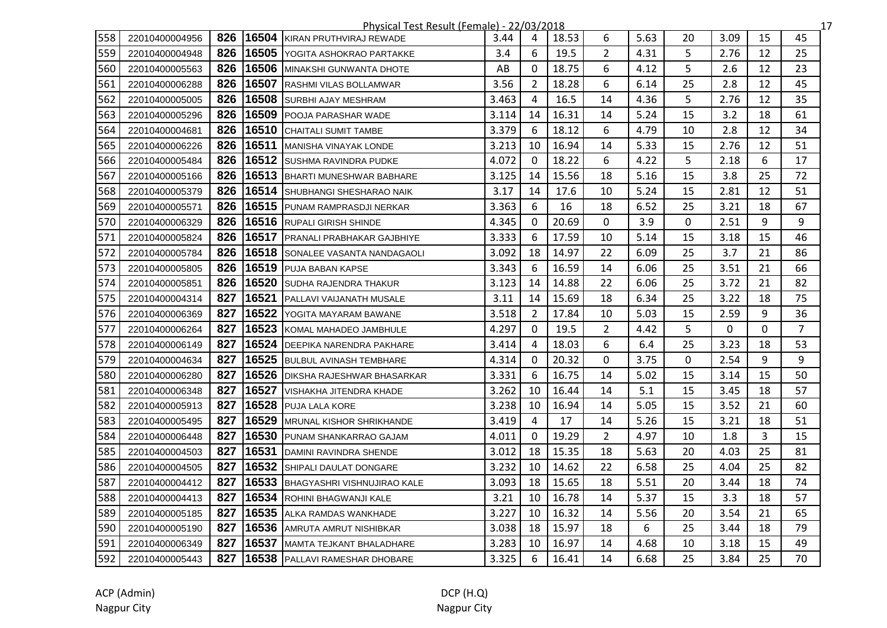|     | Physical Test Result (Female) - 22/03/2018<br>17 |     |       |                                   |       |                |       |                |      |    |      |    |                |  |
|-----|--------------------------------------------------|-----|-------|-----------------------------------|-------|----------------|-------|----------------|------|----|------|----|----------------|--|
| 558 | 22010400004956                                   | 826 | 16504 | KIRAN PRUTHVIRAJ REWADE           | 3.44  | 4              | 18.53 | 6              | 5.63 | 20 | 3.09 | 15 | 45             |  |
| 559 | 22010400004948                                   | 826 |       | 16505 YOGITA ASHOKRAO PARTAKKE    | 3.4   | 6              | 19.5  | $\overline{2}$ | 4.31 | 5  | 2.76 | 12 | 25             |  |
| 560 | 22010400005563                                   | 826 | 16506 | MINAKSHI GUNWANTA DHOTE           | AB    | $\mathbf{0}$   | 18.75 | 6              | 4.12 | 5  | 2.6  | 12 | 23             |  |
| 561 | 22010400006288                                   | 826 | 16507 | <b>RASHMI VILAS BOLLAMWAR</b>     | 3.56  | $\overline{2}$ | 18.28 | 6              | 6.14 | 25 | 2.8  | 12 | 45             |  |
| 562 | 22010400005005                                   | 826 |       | 16508 SURBHI AJAY MESHRAM         | 3.463 | 4              | 16.5  | 14             | 4.36 | 5  | 2.76 | 12 | 35             |  |
| 563 | 22010400005296                                   | 826 | 16509 | POOJA PARASHAR WADE               | 3.114 | 14             | 16.31 | 14             | 5.24 | 15 | 3.2  | 18 | 61             |  |
| 564 | 22010400004681                                   | 826 | 16510 | <b>CHAITALI SUMIT TAMBE</b>       | 3.379 | 6              | 18.12 | 6              | 4.79 | 10 | 2.8  | 12 | 34             |  |
| 565 | 22010400006226                                   | 826 | 16511 | MANISHA VINAYAK LONDE             | 3.213 | 10             | 16.94 | 14             | 5.33 | 15 | 2.76 | 12 | 51             |  |
| 566 | 22010400005484                                   | 826 |       | 16512 SUSHMA RAVINDRA PUDKE       | 4.072 | $\mathbf{0}$   | 18.22 | 6              | 4.22 | 5  | 2.18 | 6  | 17             |  |
| 567 | 22010400005166                                   | 826 |       | 16513 BHARTI MUNESHWAR BABHARE    | 3.125 | 14             | 15.56 | 18             | 5.16 | 15 | 3.8  | 25 | 72             |  |
| 568 | 22010400005379                                   | 826 |       | 16514 SHUBHANGI SHESHARAO NAIK    | 3.17  | 14             | 17.6  | 10             | 5.24 | 15 | 2.81 | 12 | 51             |  |
| 569 | 22010400005571                                   | 826 |       | 16515 PUNAM RAMPRASDJI NERKAR     | 3.363 | 6              | 16    | 18             | 6.52 | 25 | 3.21 | 18 | 67             |  |
| 570 | 22010400006329                                   | 826 |       | 16516 RUPALI GIRISH SHINDE        | 4.345 | $\Omega$       | 20.69 | 0              | 3.9  | 0  | 2.51 | 9  | 9              |  |
| 571 | 22010400005824                                   | 826 |       | 16517 PRANALI PRABHAKAR GAJBHIYE  | 3.333 | 6              | 17.59 | 10             | 5.14 | 15 | 3.18 | 15 | 46             |  |
| 572 | 22010400005784                                   | 826 |       | 16518 SONALEE VASANTA NANDAGAOLI  | 3.092 | 18             | 14.97 | 22             | 6.09 | 25 | 3.7  | 21 | 86             |  |
| 573 | 22010400005805                                   | 826 | 16519 | <b>PUJA BABAN KAPSE</b>           | 3.343 | 6              | 16.59 | 14             | 6.06 | 25 | 3.51 | 21 | 66             |  |
| 574 | 22010400005851                                   | 826 | 16520 | <b>SUDHA RAJENDRA THAKUR</b>      | 3.123 | 14             | 14.88 | 22             | 6.06 | 25 | 3.72 | 21 | 82             |  |
| 575 | 22010400004314                                   | 827 | 16521 | PALLAVI VAIJANATH MUSALE          | 3.11  | 14             | 15.69 | 18             | 6.34 | 25 | 3.22 | 18 | 75             |  |
| 576 | 22010400006369                                   | 827 | 16522 | YOGITA MAYARAM BAWANE             | 3.518 | $\overline{2}$ | 17.84 | 10             | 5.03 | 15 | 2.59 | 9  | 36             |  |
| 577 | 22010400006264                                   | 827 | 16523 | KOMAL MAHADEO JAMBHULE            | 4.297 | $\mathbf{0}$   | 19.5  | $\overline{2}$ | 4.42 | 5  | 0    | 0  | $\overline{7}$ |  |
| 578 | 22010400006149                                   | 827 |       | 16524 DEEPIKA NARENDRA PAKHARE    | 3.414 | $\overline{4}$ | 18.03 | 6              | 6.4  | 25 | 3.23 | 18 | 53             |  |
| 579 | 22010400004634                                   | 827 | 16525 | <b>BULBUL AVINASH TEMBHARE</b>    | 4.314 | $\mathbf{0}$   | 20.32 | 0              | 3.75 | 0  | 2.54 | 9  | 9              |  |
| 580 | 22010400006280                                   | 827 | 16526 | <b>DIKSHA RAJESHWAR BHASARKAR</b> | 3.331 | 6              | 16.75 | 14             | 5.02 | 15 | 3.14 | 15 | 50             |  |
| 581 | 22010400006348                                   | 827 | 16527 | VISHAKHA JITENDRA KHADE           | 3.262 | 10             | 16.44 | 14             | 5.1  | 15 | 3.45 | 18 | 57             |  |
| 582 | 22010400005913                                   | 827 |       | 16528 PUJA LALA KORE              | 3.238 | 10             | 16.94 | 14             | 5.05 | 15 | 3.52 | 21 | 60             |  |
| 583 | 22010400005495                                   | 827 | 16529 | <b>MRUNAL KISHOR SHRIKHANDE</b>   | 3.419 | $\overline{4}$ | 17    | 14             | 5.26 | 15 | 3.21 | 18 | 51             |  |
| 584 | 22010400006448                                   | 827 | 16530 | PUNAM SHANKARRAO GAJAM            | 4.011 | $\mathbf{0}$   | 19.29 | $\overline{2}$ | 4.97 | 10 | 1.8  | 3  | 15             |  |
| 585 | 22010400004503                                   | 827 | 16531 | DAMINI RAVINDRA SHENDE            | 3.012 | 18             | 15.35 | 18             | 5.63 | 20 | 4.03 | 25 | 81             |  |
| 586 | 22010400004505                                   | 827 |       | 16532 SHIPALI DAULAT DONGARE      | 3.232 | 10             | 14.62 | 22             | 6.58 | 25 | 4.04 | 25 | 82             |  |
| 587 | 22010400004412                                   | 827 | 16533 | BHAGYASHRI VISHNUJIRAO KALE       | 3.093 | 18             | 15.65 | 18             | 5.51 | 20 | 3.44 | 18 | 74             |  |
| 588 | 22010400004413                                   | 827 | 16534 | <b>ROHINI BHAGWANJI KALE</b>      | 3.21  | 10             | 16.78 | 14             | 5.37 | 15 | 3.3  | 18 | 57             |  |
| 589 | 22010400005185                                   | 827 | 16535 | ALKA RAMDAS WANKHADE              | 3.227 | 10             | 16.32 | 14             | 5.56 | 20 | 3.54 | 21 | 65             |  |
| 590 | 22010400005190                                   | 827 |       | 16536 AMRUTA AMRUT NISHIBKAR      | 3.038 | 18             | 15.97 | 18             | 6    | 25 | 3.44 | 18 | 79             |  |
| 591 | 22010400006349                                   | 827 | 16537 | <b>IMAMTA TEJKANT BHALADHARE</b>  | 3.283 | 10             | 16.97 | 14             | 4.68 | 10 | 3.18 | 15 | 49             |  |
| 592 | 22010400005443                                   | 827 |       | 16538 PALLAVI RAMESHAR DHOBARE    | 3.325 | 6              | 16.41 | 14             | 6.68 | 25 | 3.84 | 25 | 70             |  |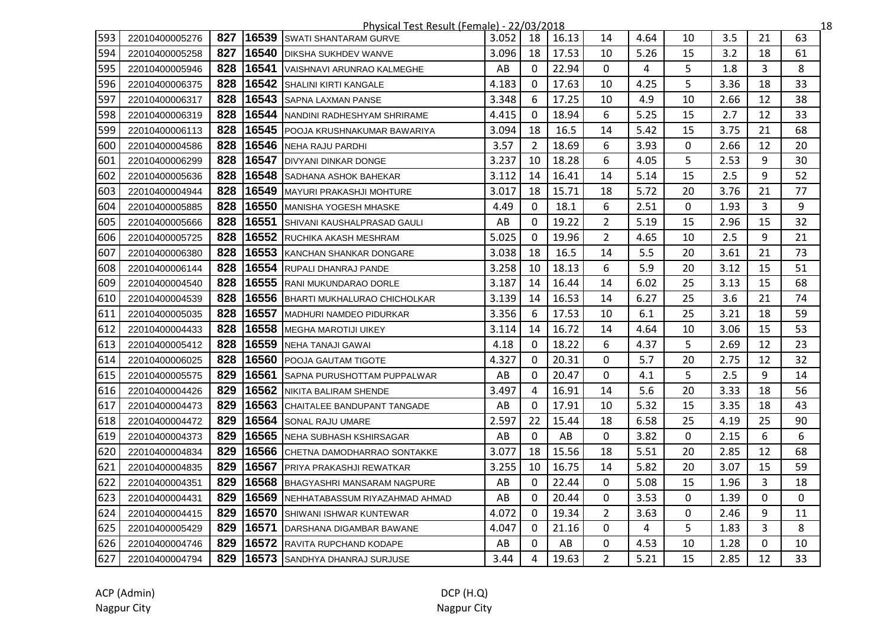|     | Physical Test Result (Female) - 22/03/2018<br>18 |     |       |                                      |       |                |       |                |      |    |      |    |    |
|-----|--------------------------------------------------|-----|-------|--------------------------------------|-------|----------------|-------|----------------|------|----|------|----|----|
| 593 | 22010400005276                                   | 827 | 16539 | <b>SWATI SHANTARAM GURVE</b>         | 3.052 | 18             | 16.13 | 14             | 4.64 | 10 | 3.5  | 21 | 63 |
| 594 | 22010400005258                                   | 827 |       | 16540 DIKSHA SUKHDEV WANVE           | 3.096 | 18             | 17.53 | 10             | 5.26 | 15 | 3.2  | 18 | 61 |
| 595 | 22010400005946                                   | 828 | 16541 | VAISHNAVI ARUNRAO KALMEGHE           | AB    | $\Omega$       | 22.94 | 0              | 4    | 5  | 1.8  | 3  | 8  |
| 596 | 22010400006375                                   | 828 |       | 16542 SHALINI KIRTI KANGALE          | 4.183 | $\mathbf{0}$   | 17.63 | 10             | 4.25 | 5  | 3.36 | 18 | 33 |
| 597 | 22010400006317                                   | 828 |       | 16543 SAPNA LAXMAN PANSE             | 3.348 | 6              | 17.25 | 10             | 4.9  | 10 | 2.66 | 12 | 38 |
| 598 | 22010400006319                                   | 828 | 16544 | NANDINI RADHESHYAM SHRIRAME          | 4.415 | $\mathbf{0}$   | 18.94 | 6              | 5.25 | 15 | 2.7  | 12 | 33 |
| 599 | 22010400006113                                   | 828 | 16545 | <b>POOJA KRUSHNAKUMAR BAWARIYA</b>   | 3.094 | 18             | 16.5  | 14             | 5.42 | 15 | 3.75 | 21 | 68 |
| 600 | 22010400004586                                   | 828 | 16546 | NEHA RAJU PARDHI                     | 3.57  | 2              | 18.69 | 6              | 3.93 | 0  | 2.66 | 12 | 20 |
| 601 | 22010400006299                                   | 828 | 16547 | <b>DIVYANI DINKAR DONGE</b>          | 3.237 | 10             | 18.28 | 6              | 4.05 | 5  | 2.53 | 9  | 30 |
| 602 | 22010400005636                                   | 828 |       | 16548 SADHANA ASHOK BAHEKAR          | 3.112 | 14             | 16.41 | 14             | 5.14 | 15 | 2.5  | 9  | 52 |
| 603 | 22010400004944                                   | 828 | 16549 | MAYURI PRAKASHJI MOHTURE             | 3.017 | 18             | 15.71 | 18             | 5.72 | 20 | 3.76 | 21 | 77 |
| 604 | 22010400005885                                   | 828 |       | 16550 MANISHA YOGESH MHASKE          | 4.49  | $\mathbf{0}$   | 18.1  | 6              | 2.51 | 0  | 1.93 | 3  | 9  |
| 605 | 22010400005666                                   | 828 | 16551 | <b>ISHIVANI KAUSHALPRASAD GAULI</b>  | AB    | $\Omega$       | 19.22 | $\overline{2}$ | 5.19 | 15 | 2.96 | 15 | 32 |
| 606 | 22010400005725                                   | 828 |       | 16552 RUCHIKA AKASH MESHRAM          | 5.025 | $\Omega$       | 19.96 | $\overline{2}$ | 4.65 | 10 | 2.5  | 9  | 21 |
| 607 | 22010400006380                                   | 828 |       | 16553 KANCHAN SHANKAR DONGARE        | 3.038 | 18             | 16.5  | 14             | 5.5  | 20 | 3.61 | 21 | 73 |
| 608 | 22010400006144                                   | 828 |       | 16554 RUPALI DHANRAJ PANDE           | 3.258 | 10             | 18.13 | 6              | 5.9  | 20 | 3.12 | 15 | 51 |
| 609 | 22010400004540                                   | 828 |       | 16555 RANI MUKUNDARAO DORLE          | 3.187 | 14             | 16.44 | 14             | 6.02 | 25 | 3.13 | 15 | 68 |
| 610 | 22010400004539                                   | 828 | 16556 | BHARTI MUKHALURAO CHICHOLKAR         | 3.139 | 14             | 16.53 | 14             | 6.27 | 25 | 3.6  | 21 | 74 |
| 611 | 22010400005035                                   | 828 | 16557 | <b>MADHURI NAMDEO PIDURKAR</b>       | 3.356 | 6              | 17.53 | 10             | 6.1  | 25 | 3.21 | 18 | 59 |
| 612 | 22010400004433                                   | 828 | 16558 | <b>MEGHA MAROTIJI UIKEY</b>          | 3.114 | 14             | 16.72 | 14             | 4.64 | 10 | 3.06 | 15 | 53 |
| 613 | 22010400005412                                   | 828 | 16559 | NEHA TANAJI GAWAI                    | 4.18  | 0              | 18.22 | 6              | 4.37 | 5  | 2.69 | 12 | 23 |
| 614 | 22010400006025                                   | 828 | 16560 | <b>IPOOJA GAUTAM TIGOTE</b>          | 4.327 | $\mathbf{0}$   | 20.31 | 0              | 5.7  | 20 | 2.75 | 12 | 32 |
| 615 | 22010400005575                                   | 829 |       | 16561 SAPNA PURUSHOTTAM PUPPALWAR    | AB    | $\Omega$       | 20.47 | 0              | 4.1  | 5  | 2.5  | 9  | 14 |
| 616 | 22010400004426                                   | 829 |       | 16562 NIKITA BALIRAM SHENDE          | 3.497 | 4              | 16.91 | 14             | 5.6  | 20 | 3.33 | 18 | 56 |
| 617 | 22010400004473                                   | 829 |       | 16563 CHAITALEE BANDUPANT TANGADE    | AB    | $\mathbf 0$    | 17.91 | 10             | 5.32 | 15 | 3.35 | 18 | 43 |
| 618 | 22010400004472                                   | 829 |       | 16564 SONAL RAJU UMARE               | 2.597 | 22             | 15.44 | 18             | 6.58 | 25 | 4.19 | 25 | 90 |
| 619 | 22010400004373                                   | 829 | 16565 | <b>NEHA SUBHASH KSHIRSAGAR</b>       | AB    | $\mathbf{0}$   | AB    | $\mathbf{0}$   | 3.82 | 0  | 2.15 | 6  | 6  |
| 620 | 22010400004834                                   | 829 | 16566 | CHETNA DAMODHARRAO SONTAKKE          | 3.077 | 18             | 15.56 | 18             | 5.51 | 20 | 2.85 | 12 | 68 |
| 621 | 22010400004835                                   | 829 | 16567 | <b>IPRIYA PRAKASHJI REWATKAR</b>     | 3.255 | 10             | 16.75 | 14             | 5.82 | 20 | 3.07 | 15 | 59 |
| 622 | 22010400004351                                   | 829 | 16568 | <b>IBHAGYASHRI MANSARAM NAGPURE</b>  | AB    | $\Omega$       | 22.44 | 0              | 5.08 | 15 | 1.96 | 3  | 18 |
| 623 | 22010400004431                                   | 829 |       | 16569 NEHHATABASSUM RIYAZAHMAD AHMAD | AB    | $\Omega$       | 20.44 | 0              | 3.53 | 0  | 1.39 | 0  | 0  |
| 624 | 22010400004415                                   | 829 | 16570 | <b>SHIWANI ISHWAR KUNTEWAR</b>       | 4.072 | 0              | 19.34 | $\overline{2}$ | 3.63 | 0  | 2.46 | 9  | 11 |
| 625 | 22010400005429                                   | 829 | 16571 | DARSHANA DIGAMBAR BAWANE             | 4.047 | 0              | 21.16 | 0              | 4    | 5  | 1.83 | 3  | 8  |
| 626 | 22010400004746                                   | 829 |       | <b>16572 RAVITA RUPCHAND KODAPE</b>  | AB    | $\Omega$       | AB    | 0              | 4.53 | 10 | 1.28 | 0  | 10 |
| 627 | 22010400004794                                   | 829 |       | 16573 SANDHYA DHANRAJ SURJUSE        | 3.44  | $\overline{a}$ | 19.63 | $\overline{2}$ | 5.21 | 15 | 2.85 | 12 | 33 |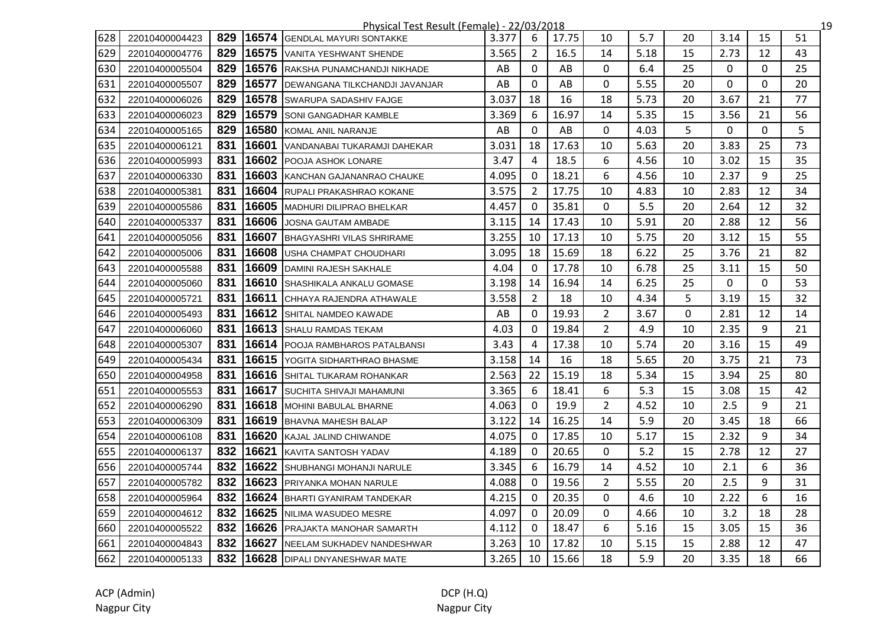|     | <u>Physical Test Result (Female) - 22/03/2018</u><br>19 |     |       |                                    |       |                |       |                |      |              |             |             |    |
|-----|---------------------------------------------------------|-----|-------|------------------------------------|-------|----------------|-------|----------------|------|--------------|-------------|-------------|----|
| 628 | 22010400004423                                          | 829 |       | 16574 GENDLAL MAYURI SONTAKKE      | 3.377 | 6              | 17.75 | 10             | 5.7  | 20           | 3.14        | 15          | 51 |
| 629 | 22010400004776                                          | 829 | 16575 | VANITA YESHWANT SHENDE             | 3.565 | $\overline{2}$ | 16.5  | 14             | 5.18 | 15           | 2.73        | 12          | 43 |
| 630 | 22010400005504                                          | 829 | 16576 | RAKSHA PUNAMCHANDJI NIKHADE        | AB    | 0              | AB    | 0              | 6.4  | 25           | 0           | 0           | 25 |
| 631 | 22010400005507                                          | 829 | 16577 | DEWANGANA TILKCHANDJI JAVANJAR     | AB    | 0              | AB    | 0              | 5.55 | 20           | $\mathbf 0$ | 0           | 20 |
| 632 | 22010400006026                                          | 829 |       | 16578 SWARUPA SADASHIV FAJGE       | 3.037 | 18             | 16    | 18             | 5.73 | 20           | 3.67        | 21          | 77 |
| 633 | 22010400006023                                          | 829 | 16579 | <b>SONI GANGADHAR KAMBLE</b>       | 3.369 | 6              | 16.97 | 14             | 5.35 | 15           | 3.56        | 21          | 56 |
| 634 | 22010400005165                                          | 829 | 16580 | KOMAL ANIL NARANJE                 | AB    | $\mathbf 0$    | AB    | 0              | 4.03 | 5            | $\mathbf 0$ | $\mathbf 0$ | 5  |
| 635 | 22010400006121                                          | 831 |       | 16601 VANDANABAI TUKARAMJI DAHEKAR | 3.031 | 18             | 17.63 | 10             | 5.63 | 20           | 3.83        | 25          | 73 |
| 636 | 22010400005993                                          | 831 |       | 16602 POOJA ASHOK LONARE           | 3.47  | $\overline{4}$ | 18.5  | 6              | 4.56 | 10           | 3.02        | 15          | 35 |
| 637 | 22010400006330                                          | 831 | 16603 | KANCHAN GAJANANRAO CHAUKE          | 4.095 | $\mathbf 0$    | 18.21 | 6              | 4.56 | 10           | 2.37        | 9           | 25 |
| 638 | 22010400005381                                          | 831 | 16604 | RUPALI PRAKASHRAO KOKANE           | 3.575 | $\overline{2}$ | 17.75 | 10             | 4.83 | 10           | 2.83        | 12          | 34 |
| 639 | 22010400005586                                          | 831 |       | 16605 MADHURI DILIPRAO BHELKAR     | 4.457 | $\mathbf{0}$   | 35.81 | 0              | 5.5  | 20           | 2.64        | 12          | 32 |
| 640 | 22010400005337                                          | 831 | 16606 | <b>JOSNA GAUTAM AMBADE</b>         | 3.115 | 14             | 17.43 | 10             | 5.91 | 20           | 2.88        | 12          | 56 |
| 641 | 22010400005056                                          | 831 |       | 16607 BHAGYASHRI VILAS SHRIRAME    | 3.255 | 10             | 17.13 | 10             | 5.75 | 20           | 3.12        | 15          | 55 |
| 642 | 22010400005006                                          | 831 |       | 16608 USHA CHAMPAT CHOUDHARI       | 3.095 | 18             | 15.69 | 18             | 6.22 | 25           | 3.76        | 21          | 82 |
| 643 | 22010400005588                                          | 831 |       | 16609 DAMINI RAJESH SAKHALE        | 4.04  | 0              | 17.78 | 10             | 6.78 | 25           | 3.11        | 15          | 50 |
| 644 | 22010400005060                                          | 831 |       | 16610 SHASHIKALA ANKALU GOMASE     | 3.198 | 14             | 16.94 | 14             | 6.25 | 25           | 0           | 0           | 53 |
| 645 | 22010400005721                                          | 831 |       | 16611 CHHAYA RAJENDRA ATHAWALE     | 3.558 | $\overline{2}$ | 18    | 10             | 4.34 | 5            | 3.19        | 15          | 32 |
| 646 | 22010400005493                                          | 831 | 16612 | SHITAL NAMDEO KAWADE               | AB    | $\mathbf{0}$   | 19.93 | $\overline{2}$ | 3.67 | $\mathbf{0}$ | 2.81        | 12          | 14 |
| 647 | 22010400006060                                          | 831 |       | 16613 SHALU RAMDAS TEKAM           | 4.03  | 0              | 19.84 | $\overline{2}$ | 4.9  | 10           | 2.35        | 9           | 21 |
| 648 | 22010400005307                                          | 831 |       | 16614 POOJA RAMBHAROS PATALBANSI   | 3.43  | 4              | 17.38 | 10             | 5.74 | 20           | 3.16        | 15          | 49 |
| 649 | 22010400005434                                          | 831 |       | 16615 YOGITA SIDHARTHRAO BHASME    | 3.158 | 14             | 16    | 18             | 5.65 | 20           | 3.75        | 21          | 73 |
| 650 | 22010400004958                                          | 831 |       | 16616 SHITAL TUKARAM ROHANKAR      | 2.563 | 22             | 15.19 | 18             | 5.34 | 15           | 3.94        | 25          | 80 |
| 651 | 22010400005553                                          | 831 |       | 16617 SUCHITA SHIVAJI MAHAMUNI     | 3.365 | 6              | 18.41 | 6              | 5.3  | 15           | 3.08        | 15          | 42 |
| 652 | 22010400006290                                          | 831 |       | 16618 MOHINI BABULAL BHARNE        | 4.063 | 0              | 19.9  | $\overline{2}$ | 4.52 | 10           | 2.5         | 9           | 21 |
| 653 | 22010400006309                                          | 831 |       | 16619 BHAVNA MAHESH BALAP          | 3.122 | 14             | 16.25 | 14             | 5.9  | 20           | 3.45        | 18          | 66 |
| 654 | 22010400006108                                          | 831 |       | 16620 KAJAL JALIND CHIWANDE        | 4.075 | $\mathbf 0$    | 17.85 | 10             | 5.17 | 15           | 2.32        | 9           | 34 |
| 655 | 22010400006137                                          | 832 |       | 16621 KAVITA SANTOSH YADAV         | 4.189 | $\mathbf 0$    | 20.65 | 0              | 5.2  | 15           | 2.78        | 12          | 27 |
| 656 | 22010400005744                                          | 832 | 16622 | SHUBHANGI MOHANJI NARULE           | 3.345 | 6              | 16.79 | 14             | 4.52 | 10           | 2.1         | 6           | 36 |
| 657 | 22010400005782                                          | 832 | 16623 | PRIYANKA MOHAN NARULE              | 4.088 | $\mathbf{0}$   | 19.56 | $\overline{2}$ | 5.55 | 20           | 2.5         | 9           | 31 |
| 658 | 22010400005964                                          | 832 | 16624 | BHARTI GYANIRAM TANDEKAR           | 4.215 | $\mathbf{0}$   | 20.35 | 0              | 4.6  | 10           | 2.22        | 6           | 16 |
| 659 | 22010400004612                                          | 832 |       | 16625 NILIMA WASUDEO MESRE         | 4.097 | $\mathbf{0}$   | 20.09 | 0              | 4.66 | 10           | 3.2         | 18          | 28 |
| 660 | 22010400005522                                          | 832 |       | 16626 PRAJAKTA MANOHAR SAMARTH     | 4.112 | 0              | 18.47 | 6              | 5.16 | 15           | 3.05        | 15          | 36 |
| 661 | 22010400004843                                          | 832 |       | 16627 NEELAM SUKHADEV NANDESHWAR   | 3.263 | 10             | 17.82 | 10             | 5.15 | 15           | 2.88        | 12          | 47 |
| 662 | 22010400005133                                          |     |       | 832 16628 DIPALI DNYANESHWAR MATE  | 3.265 | 10             | 15.66 | 18             | 5.9  | 20           | 3.35        | 18          | 66 |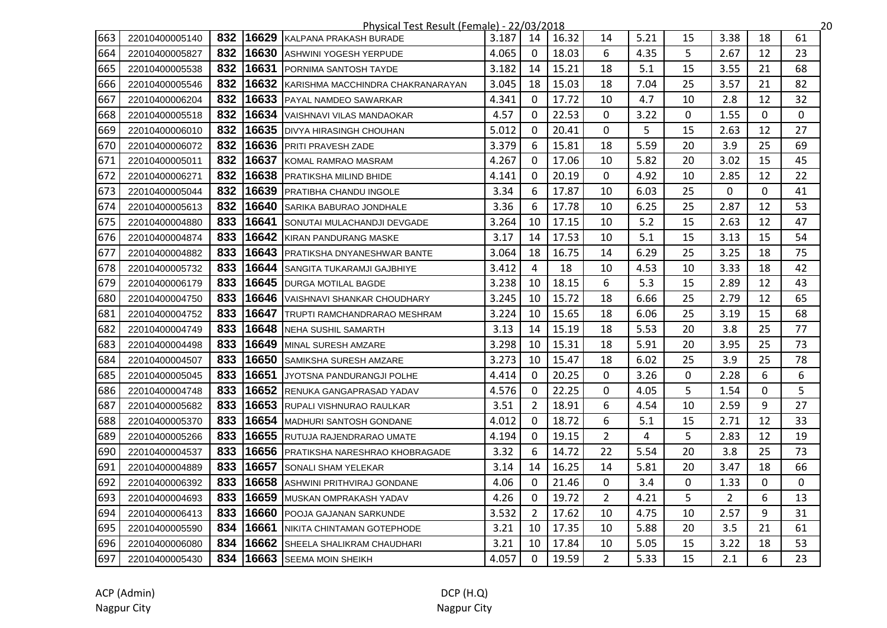|     | Physical Test Result (Female) - 22/03/2018<br>,20 |     |       |                                    |       |                |       |                |      |          |                |              |              |
|-----|---------------------------------------------------|-----|-------|------------------------------------|-------|----------------|-------|----------------|------|----------|----------------|--------------|--------------|
| 663 | 22010400005140                                    | 832 | 16629 | KALPANA PRAKASH BURADE             | 3.187 | 14             | 16.32 | 14             | 5.21 | 15       | 3.38           | 18           | 61           |
| 664 | 22010400005827                                    | 832 | 16630 | <b>ASHWINI YOGESH YERPUDE</b>      | 4.065 | $\mathbf 0$    | 18.03 | 6              | 4.35 | 5        | 2.67           | 12           | 23           |
| 665 | 22010400005538                                    | 832 | 16631 | <b>PORNIMA SANTOSH TAYDE</b>       | 3.182 | 14             | 15.21 | 18             | 5.1  | 15       | 3.55           | 21           | 68           |
| 666 | 22010400005546                                    | 832 | 16632 | KARISHMA MACCHINDRA CHAKRANARAYAN  | 3.045 | 18             | 15.03 | 18             | 7.04 | 25       | 3.57           | 21           | 82           |
| 667 | 22010400006204                                    | 832 | 16633 | <b>IPAYAL NAMDEO SAWARKAR</b>      | 4.341 | $\Omega$       | 17.72 | 10             | 4.7  | 10       | 2.8            | 12           | 32           |
| 668 | 22010400005518                                    | 832 | 16634 | VAISHNAVI VILAS MANDAOKAR          | 4.57  | $\Omega$       | 22.53 | $\mathbf{0}$   | 3.22 | $\Omega$ | 1.55           | $\mathbf{0}$ | $\mathbf{0}$ |
| 669 | 22010400006010                                    | 832 | 16635 | <b>DIVYA HIRASINGH CHOUHAN</b>     | 5.012 | $\Omega$       | 20.41 | 0              | 5    | 15       | 2.63           | 12           | 27           |
| 670 | 22010400006072                                    | 832 | 16636 | <b>PRITI PRAVESH ZADE</b>          | 3.379 | 6              | 15.81 | 18             | 5.59 | 20       | 3.9            | 25           | 69           |
| 671 | 22010400005011                                    | 832 | 16637 | KOMAL RAMRAO MASRAM                | 4.267 | $\Omega$       | 17.06 | 10             | 5.82 | 20       | 3.02           | 15           | 45           |
| 672 | 22010400006271                                    | 832 | 16638 | PRATIKSHA MILIND BHIDE             | 4.141 | $\mathbf 0$    | 20.19 | 0              | 4.92 | 10       | 2.85           | 12           | 22           |
| 673 | 22010400005044                                    | 832 | 16639 | <b>PRATIBHA CHANDU INGOLE</b>      | 3.34  | 6              | 17.87 | 10             | 6.03 | 25       | 0              | 0            | 41           |
| 674 | 22010400005613                                    | 832 | 16640 | <b>SARIKA BABURAO JONDHALE</b>     | 3.36  | 6              | 17.78 | 10             | 6.25 | 25       | 2.87           | 12           | 53           |
| 675 | 22010400004880                                    | 833 | 16641 | SONUTAI MULACHANDJI DEVGADE        | 3.264 | 10             | 17.15 | 10             | 5.2  | 15       | 2.63           | 12           | 47           |
| 676 | 22010400004874                                    | 833 | 16642 | KIRAN PANDURANG MASKE              | 3.17  | 14             | 17.53 | 10             | 5.1  | 15       | 3.13           | 15           | 54           |
| 677 | 22010400004882                                    | 833 | 16643 | <b>PRATIKSHA DNYANESHWAR BANTE</b> | 3.064 | 18             | 16.75 | 14             | 6.29 | 25       | 3.25           | 18           | 75           |
| 678 | 22010400005732                                    | 833 | 16644 | SANGITA TUKARAMJI GAJBHIYE         | 3.412 | $\overline{4}$ | 18    | 10             | 4.53 | 10       | 3.33           | 18           | 42           |
| 679 | 22010400006179                                    | 833 | 16645 | <b>DURGA MOTILAL BAGDE</b>         | 3.238 | 10             | 18.15 | 6              | 5.3  | 15       | 2.89           | 12           | 43           |
| 680 | 22010400004750                                    | 833 | 16646 | VAISHNAVI SHANKAR CHOUDHARY        | 3.245 | 10             | 15.72 | 18             | 6.66 | 25       | 2.79           | 12           | 65           |
| 681 | 22010400004752                                    | 833 | 16647 | TRUPTI RAMCHANDRARAO MESHRAM       | 3.224 | 10             | 15.65 | 18             | 6.06 | 25       | 3.19           | 15           | 68           |
| 682 | 22010400004749                                    | 833 | 16648 | NEHA SUSHIL SAMARTH                | 3.13  | 14             | 15.19 | 18             | 5.53 | 20       | 3.8            | 25           | 77           |
| 683 | 22010400004498                                    | 833 | 16649 | MINAL SURESH AMZARE                | 3.298 | 10             | 15.31 | 18             | 5.91 | 20       | 3.95           | 25           | 73           |
| 684 | 22010400004507                                    | 833 | 16650 | <b>SAMIKSHA SURESH AMZARE</b>      | 3.273 | 10             | 15.47 | 18             | 6.02 | 25       | 3.9            | 25           | 78           |
| 685 | 22010400005045                                    | 833 | 16651 | JYOTSNA PANDURANGJI POLHE          | 4.414 | $\Omega$       | 20.25 | $\mathbf{0}$   | 3.26 | 0        | 2.28           | 6            | 6            |
| 686 | 22010400004748                                    | 833 | 16652 | <b>RENUKA GANGAPRASAD YADAV</b>    | 4.576 | $\Omega$       | 22.25 | 0              | 4.05 | 5        | 1.54           | 0            | 5            |
| 687 | 22010400005682                                    | 833 | 16653 | <b>RUPALI VISHNURAO RAULKAR</b>    | 3.51  | $\overline{2}$ | 18.91 | 6              | 4.54 | 10       | 2.59           | 9            | 27           |
| 688 | 22010400005370                                    | 833 | 16654 | <b>MADHURI SANTOSH GONDANE</b>     | 4.012 | $\Omega$       | 18.72 | 6              | 5.1  | 15       | 2.71           | 12           | 33           |
| 689 | 22010400005266                                    | 833 | 16655 | RUTUJA RAJENDRARAO UMATE           | 4.194 | $\mathbf{0}$   | 19.15 | $\overline{2}$ | 4    | 5        | 2.83           | 12           | 19           |
| 690 | 22010400004537                                    | 833 | 16656 | PRATIKSHA NARESHRAO KHOBRAGADE     | 3.32  | 6              | 14.72 | 22             | 5.54 | 20       | 3.8            | 25           | 73           |
| 691 | 22010400004889                                    | 833 | 16657 | SONALI SHAM YELEKAR                | 3.14  | 14             | 16.25 | 14             | 5.81 | 20       | 3.47           | 18           | 66           |
| 692 | 22010400006392                                    | 833 | 16658 | ASHWINI PRITHVIRAJ GONDANE         | 4.06  | $\mathbf{0}$   | 21.46 | 0              | 3.4  | 0        | 1.33           | 0            | $\mathbf{0}$ |
| 693 | 22010400004693                                    | 833 | 16659 | MUSKAN OMPRAKASH YADAV             | 4.26  | $\mathbf{0}$   | 19.72 | $\overline{2}$ | 4.21 | 5        | $\overline{2}$ | 6            | 13           |
| 694 | 22010400006413                                    | 833 | 16660 | <b>POOJA GAJANAN SARKUNDE</b>      | 3.532 | $\overline{2}$ | 17.62 | 10             | 4.75 | 10       | 2.57           | 9            | 31           |
| 695 | 22010400005590                                    | 834 | 16661 | NIKITA CHINTAMAN GOTEPHODE         | 3.21  | 10             | 17.35 | 10             | 5.88 | 20       | 3.5            | 21           | 61           |
| 696 | 22010400006080                                    | 834 | 16662 | SHEELA SHALIKRAM CHAUDHARI         | 3.21  | 10             | 17.84 | 10             | 5.05 | 15       | 3.22           | 18           | 53           |
| 697 | 22010400005430                                    | 834 |       | 16663 SEEMA MOIN SHEIKH            | 4.057 | $\mathbf{0}$   | 19.59 | $\overline{2}$ | 5.33 | 15       | 2.1            | 6            | 23           |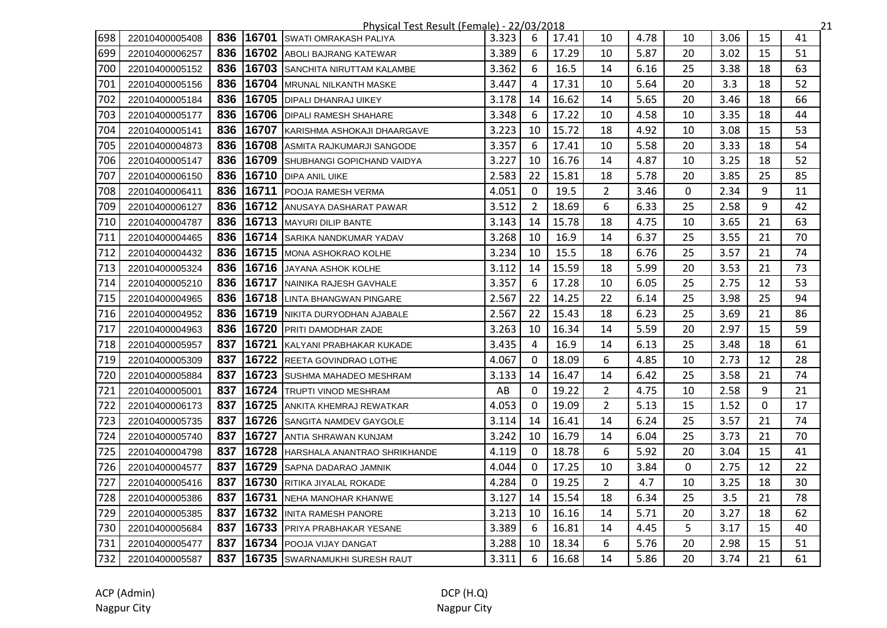|     | Physical Test Result (Female) - 22/03/2018<br>21 |     |       |                                     |       |                |       |                |      |    |      |    |    |  |
|-----|--------------------------------------------------|-----|-------|-------------------------------------|-------|----------------|-------|----------------|------|----|------|----|----|--|
| 698 | 22010400005408                                   | 836 | 16701 | SWATI OMRAKASH PALIYA               | 3.323 | 6              | 17.41 | 10             | 4.78 | 10 | 3.06 | 15 | 41 |  |
| 699 | 22010400006257                                   | 836 |       | 16702 ABOLI BAJRANG KATEWAR         | 3.389 | 6              | 17.29 | 10             | 5.87 | 20 | 3.02 | 15 | 51 |  |
| 700 | 22010400005152                                   | 836 |       | 16703 SANCHITA NIRUTTAM KALAMBE     | 3.362 | 6              | 16.5  | 14             | 6.16 | 25 | 3.38 | 18 | 63 |  |
| 701 | 22010400005156                                   | 836 |       | 16704   MRUNAL NILKANTH MASKE       | 3.447 | $\overline{4}$ | 17.31 | 10             | 5.64 | 20 | 3.3  | 18 | 52 |  |
| 702 | 22010400005184                                   | 836 |       | 16705 DIPALI DHANRAJ UIKEY          | 3.178 | 14             | 16.62 | 14             | 5.65 | 20 | 3.46 | 18 | 66 |  |
| 703 | 22010400005177                                   | 836 |       | 16706   DIPALI RAMESH SHAHARE       | 3.348 | 6              | 17.22 | 10             | 4.58 | 10 | 3.35 | 18 | 44 |  |
| 704 | 22010400005141                                   | 836 |       | 16707 KARISHMA ASHOKAJI DHAARGAVE   | 3.223 | 10             | 15.72 | 18             | 4.92 | 10 | 3.08 | 15 | 53 |  |
| 705 | 22010400004873                                   | 836 |       | 16708 ASMITA RAJKUMARJI SANGODE     | 3.357 | 6              | 17.41 | 10             | 5.58 | 20 | 3.33 | 18 | 54 |  |
| 706 | 22010400005147                                   | 836 |       | 16709 SHUBHANGI GOPICHAND VAIDYA    | 3.227 | 10             | 16.76 | 14             | 4.87 | 10 | 3.25 | 18 | 52 |  |
| 707 | 22010400006150                                   | 836 |       | 16710 DIPA ANIL UIKE                | 2.583 | 22             | 15.81 | 18             | 5.78 | 20 | 3.85 | 25 | 85 |  |
| 708 | 22010400006411                                   | 836 |       | 16711 POOJA RAMESH VERMA            | 4.051 | $\mathbf{0}$   | 19.5  | $\overline{2}$ | 3.46 | 0  | 2.34 | 9  | 11 |  |
| 709 | 22010400006127                                   | 836 |       | 16712 ANUSAYA DASHARAT PAWAR        | 3.512 | $\overline{2}$ | 18.69 | 6              | 6.33 | 25 | 2.58 | 9  | 42 |  |
| 710 | 22010400004787                                   | 836 |       | 16713 MAYURI DILIP BANTE            | 3.143 | 14             | 15.78 | 18             | 4.75 | 10 | 3.65 | 21 | 63 |  |
| 711 | 22010400004465                                   | 836 |       | 16714 SARIKA NANDKUMAR YADAV        | 3.268 | 10             | 16.9  | 14             | 6.37 | 25 | 3.55 | 21 | 70 |  |
| 712 | 22010400004432                                   | 836 |       | 16715 MONA ASHOKRAO KOLHE           | 3.234 | 10             | 15.5  | 18             | 6.76 | 25 | 3.57 | 21 | 74 |  |
| 713 | 22010400005324                                   | 836 |       | 16716 JAYANA ASHOK KOLHE            | 3.112 | 14             | 15.59 | 18             | 5.99 | 20 | 3.53 | 21 | 73 |  |
| 714 | 22010400005210                                   | 836 |       | 16717 NAINIKA RAJESH GAVHALE        | 3.357 | 6              | 17.28 | 10             | 6.05 | 25 | 2.75 | 12 | 53 |  |
| 715 | 22010400004965                                   | 836 |       | 16718 LINTA BHANGWAN PINGARE        | 2.567 | 22             | 14.25 | 22             | 6.14 | 25 | 3.98 | 25 | 94 |  |
| 716 | 22010400004952                                   | 836 |       | 16719 NIKITA DURYODHAN AJABALE      | 2.567 | 22             | 15.43 | 18             | 6.23 | 25 | 3.69 | 21 | 86 |  |
| 717 | 22010400004963                                   | 836 | 16720 | <b>PRITI DAMODHAR ZADE</b>          | 3.263 | 10             | 16.34 | 14             | 5.59 | 20 | 2.97 | 15 | 59 |  |
| 718 | 22010400005957                                   | 837 | 16721 | KALYANI PRABHAKAR KUKADE            | 3.435 | 4              | 16.9  | 14             | 6.13 | 25 | 3.48 | 18 | 61 |  |
| 719 | 22010400005309                                   | 837 |       | 16722 REETA GOVINDRAO LOTHE         | 4.067 | $\mathbf{0}$   | 18.09 | 6              | 4.85 | 10 | 2.73 | 12 | 28 |  |
| 720 | 22010400005884                                   | 837 |       | 16723 SUSHMA MAHADEO MESHRAM        | 3.133 | 14             | 16.47 | 14             | 6.42 | 25 | 3.58 | 21 | 74 |  |
| 721 | 22010400005001                                   | 837 |       | 16724 TRUPTI VINOD MESHRAM          | AB    | $\Omega$       | 19.22 | $\overline{2}$ | 4.75 | 10 | 2.58 | 9  | 21 |  |
| 722 | 22010400006173                                   | 837 |       | 16725 ANKITA KHEMRAJ REWATKAR       | 4.053 | 0              | 19.09 | $\overline{2}$ | 5.13 | 15 | 1.52 | 0  | 17 |  |
| 723 | 22010400005735                                   | 837 |       | 16726 SANGITA NAMDEV GAYGOLE        | 3.114 | 14             | 16.41 | 14             | 6.24 | 25 | 3.57 | 21 | 74 |  |
| 724 | 22010400005740                                   | 837 |       | 16727 ANTIA SHRAWAN KUNJAM          | 3.242 | 10             | 16.79 | 14             | 6.04 | 25 | 3.73 | 21 | 70 |  |
| 725 | 22010400004798                                   | 837 | 16728 | <b>HARSHALA ANANTRAO SHRIKHANDE</b> | 4.119 | $\Omega$       | 18.78 | 6              | 5.92 | 20 | 3.04 | 15 | 41 |  |
| 726 | 22010400004577                                   | 837 | 16729 | <b>SAPNA DADARAO JAMNIK</b>         | 4.044 | $\mathbf{0}$   | 17.25 | 10             | 3.84 | 0  | 2.75 | 12 | 22 |  |
| 727 | 22010400005416                                   | 837 |       | 16730 RITIKA JIYALAL ROKADE         | 4.284 | $\mathbf{0}$   | 19.25 | $\mathbf{2}$   | 4.7  | 10 | 3.25 | 18 | 30 |  |
| 728 | 22010400005386                                   | 837 | 16731 | NEHA MANOHAR KHANWE                 | 3.127 | 14             | 15.54 | 18             | 6.34 | 25 | 3.5  | 21 | 78 |  |
| 729 | 22010400005385                                   | 837 |       | 16732 INITA RAMESH PANORE           | 3.213 | 10             | 16.16 | 14             | 5.71 | 20 | 3.27 | 18 | 62 |  |
| 730 | 22010400005684                                   | 837 |       | 16733 PRIYA PRABHAKAR YESANE        | 3.389 | 6              | 16.81 | 14             | 4.45 | 5  | 3.17 | 15 | 40 |  |
| 731 | 22010400005477                                   | 837 |       | 16734 POOJA VIJAY DANGAT            | 3.288 | 10             | 18.34 | 6              | 5.76 | 20 | 2.98 | 15 | 51 |  |
| 732 | 22010400005587                                   |     |       | 837 16735 SWARNAMUKHI SURESH RAUT   | 3.311 | 6              | 16.68 | 14             | 5.86 | 20 | 3.74 | 21 | 61 |  |